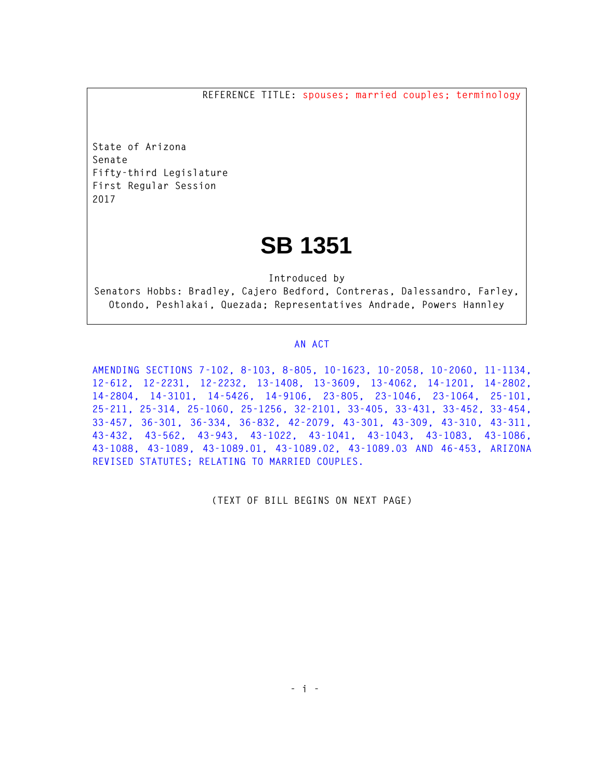**REFERENCE TITLE: spouses; married couples; terminology** 

**State of Arizona Senate Fifty-third Legislature First Regular Session 2017** 

# **SB 1351**

**Introduced by** 

**Senators Hobbs: Bradley, Cajero Bedford, Contreras, Dalessandro, Farley, Otondo, Peshlakai, Quezada; Representatives Andrade, Powers Hannley** 

### **AN ACT**

**AMENDING SECTIONS 7-102, 8-103, 8-805, 10-1623, 10-2058, 10-2060, 11-1134, 12-612, 12-2231, 12-2232, 13-1408, 13-3609, 13-4062, 14-1201, 14-2802, 14-2804, 14-3101, 14-5426, 14-9106, 23-805, 23-1046, 23-1064, 25-101, 25-211, 25-314, 25-1060, 25-1256, 32-2101, 33-405, 33-431, 33-452, 33-454, 33-457, 36-301, 36-334, 36-832, 42-2079, 43-301, 43-309, 43-310, 43-311, 43-432, 43-562, 43-943, 43-1022, 43-1041, 43-1043, 43-1083, 43-1086, 43-1088, 43-1089, 43-1089.01, 43-1089.02, 43-1089.03 AND 46-453, ARIZONA REVISED STATUTES; RELATING TO MARRIED COUPLES.** 

**(TEXT OF BILL BEGINS ON NEXT PAGE)**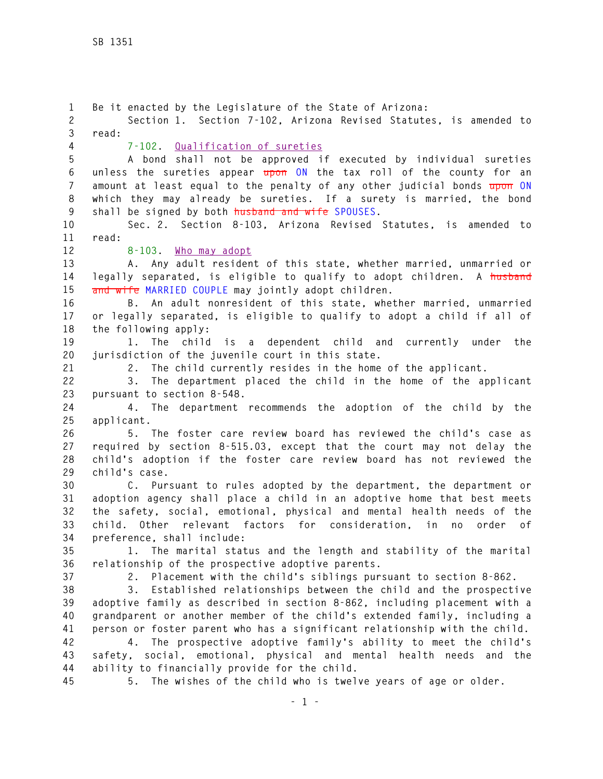**1 Be it enacted by the Legislature of the State of Arizona: 2 Section 1. Section 7-102, Arizona Revised Statutes, is amended to 3 read: 4 7-102. Qualification of sureties 5 A bond shall not be approved if executed by individual sureties 6 unless the sureties appear upon ON the tax roll of the county for an 7 amount at least equal to the penalty of any other judicial bonds upon ON 8 which they may already be sureties. If a surety is married, the bond 9 shall be signed by both husband and wife SPOUSES. 10 Sec. 2. Section 8-103, Arizona Revised Statutes, is amended to 11 read: 12 8-103. Who may adopt 13 A. Any adult resident of this state, whether married, unmarried or 14 legally separated, is eligible to qualify to adopt children. A husband 15 and wife MARRIED COUPLE may jointly adopt children. 16 B. An adult nonresident of this state, whether married, unmarried 17 or legally separated, is eligible to qualify to adopt a child if all of 18 the following apply: 19 1. The child is a dependent child and currently under the 20 jurisdiction of the juvenile court in this state. 21 2. The child currently resides in the home of the applicant. 22 3. The department placed the child in the home of the applicant 23 pursuant to section 8-548. 24 4. The department recommends the adoption of the child by the 25 applicant. 26 5. The foster care review board has reviewed the child's case as 27 required by section 8-515.03, except that the court may not delay the 28 child's adoption if the foster care review board has not reviewed the 29 child's case. 30 C. Pursuant to rules adopted by the department, the department or 31 adoption agency shall place a child in an adoptive home that best meets 32 the safety, social, emotional, physical and mental health needs of the 33 child. Other relevant factors for consideration, in no order of 34 preference, shall include: 35 1. The marital status and the length and stability of the marital 36 relationship of the prospective adoptive parents. 37 2. Placement with the child's siblings pursuant to section 8-862. 38 3. Established relationships between the child and the prospective 39 adoptive family as described in section 8-862, including placement with a 40 grandparent or another member of the child's extended family, including a 41 person or foster parent who has a significant relationship with the child. 42 4. The prospective adoptive family's ability to meet the child's 43 safety, social, emotional, physical and mental health needs and the 44 ability to financially provide for the child. 45 5. The wishes of the child who is twelve years of age or older.**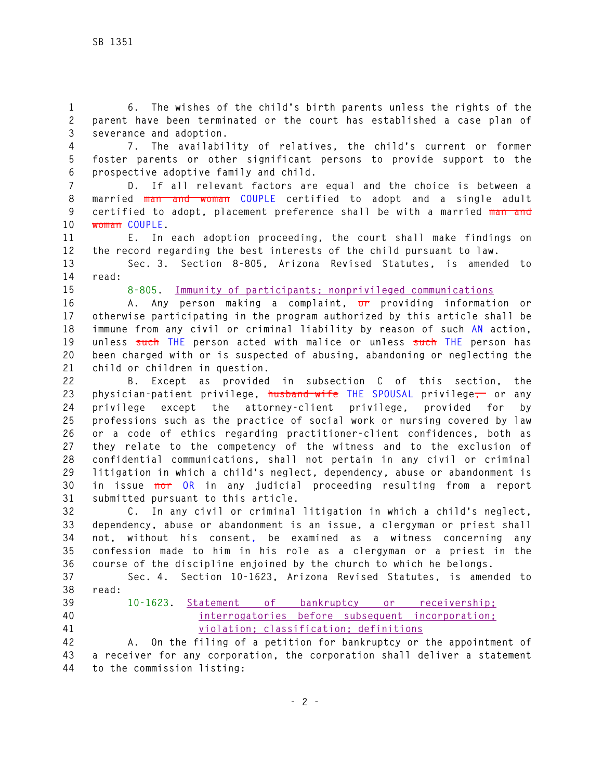**1 6. The wishes of the child's birth parents unless the rights of the 2 parent have been terminated or the court has established a case plan of 3 severance and adoption.** 

**4 7. The availability of relatives, the child's current or former 5 foster parents or other significant persons to provide support to the 6 prospective adoptive family and child.** 

**7 D. If all relevant factors are equal and the choice is between a 8 married man and woman COUPLE certified to adopt and a single adult 9 certified to adopt, placement preference shall be with a married man and 10 woman COUPLE.** 

**11 E. In each adoption proceeding, the court shall make findings on 12 the record regarding the best interests of the child pursuant to law.** 

**13 Sec. 3. Section 8-805, Arizona Revised Statutes, is amended to 14 read:** 

**15 8-805. Immunity of participants; nonprivileged communications**

**16 A. Any person making a complaint, or providing information or 17 otherwise participating in the program authorized by this article shall be 18 immune from any civil or criminal liability by reason of such AN action, 19 unless such THE person acted with malice or unless such THE person has 20 been charged with or is suspected of abusing, abandoning or neglecting the 21 child or children in question.** 

**22 B. Except as provided in subsection C of this section, the 23 physician-patient privilege, husband-wife THE SPOUSAL privilege, or any 24 privilege except the attorney-client privilege, provided for by 25 professions such as the practice of social work or nursing covered by law 26 or a code of ethics regarding practitioner-client confidences, both as 27 they relate to the competency of the witness and to the exclusion of 28 confidential communications, shall not pertain in any civil or criminal 29 litigation in which a child's neglect, dependency, abuse or abandonment is 30 in issue nor OR in any judicial proceeding resulting from a report 31 submitted pursuant to this article.** 

**32 C. In any civil or criminal litigation in which a child's neglect, 33 dependency, abuse or abandonment is an issue, a clergyman or priest shall 34 not, without his consent, be examined as a witness concerning any 35 confession made to him in his role as a clergyman or a priest in the 36 course of the discipline enjoined by the church to which he belongs.** 

**37 Sec. 4. Section 10-1623, Arizona Revised Statutes, is amended to 38 read:** 

- 
- 

## **39 10-1623. Statement of bankruptcy or receivership; 40 interrogatories before subsequent incorporation; 41 violation; classification; definitions**

**42 A. On the filing of a petition for bankruptcy or the appointment of 43 a receiver for any corporation, the corporation shall deliver a statement 44 to the commission listing:**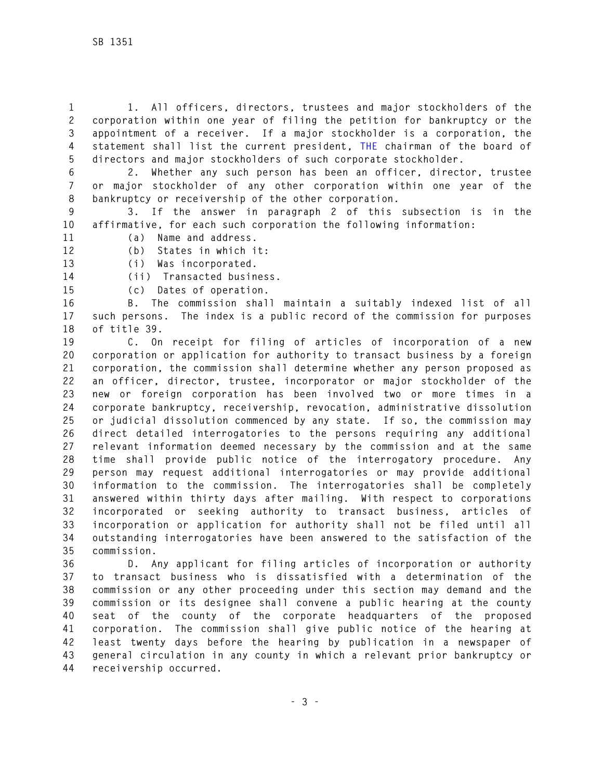**1 1. All officers, directors, trustees and major stockholders of the 2 corporation within one year of filing the petition for bankruptcy or the 3 appointment of a receiver. If a major stockholder is a corporation, the 4 statement shall list the current president, THE chairman of the board of 5 directors and major stockholders of such corporate stockholder.** 

**6 2. Whether any such person has been an officer, director, trustee 7 or major stockholder of any other corporation within one year of the 8 bankruptcy or receivership of the other corporation.** 

**9 3. If the answer in paragraph 2 of this subsection is in the 10 affirmative, for each such corporation the following information:** 

- **11 (a) Name and address.**
- 

**12 (b) States in which it:** 

**13 (i) Was incorporated.** 

**14 (ii) Transacted business.** 

**15 (c) Dates of operation.** 

**16 B. The commission shall maintain a suitably indexed list of all 17 such persons. The index is a public record of the commission for purposes 18 of title 39.** 

**19 C. On receipt for filing of articles of incorporation of a new 20 corporation or application for authority to transact business by a foreign 21 corporation, the commission shall determine whether any person proposed as 22 an officer, director, trustee, incorporator or major stockholder of the 23 new or foreign corporation has been involved two or more times in a 24 corporate bankruptcy, receivership, revocation, administrative dissolution 25 or judicial dissolution commenced by any state. If so, the commission may 26 direct detailed interrogatories to the persons requiring any additional 27 relevant information deemed necessary by the commission and at the same 28 time shall provide public notice of the interrogatory procedure. Any 29 person may request additional interrogatories or may provide additional 30 information to the commission. The interrogatories shall be completely 31 answered within thirty days after mailing. With respect to corporations 32 incorporated or seeking authority to transact business, articles of 33 incorporation or application for authority shall not be filed until all 34 outstanding interrogatories have been answered to the satisfaction of the 35 commission.** 

**36 D. Any applicant for filing articles of incorporation or authority 37 to transact business who is dissatisfied with a determination of the 38 commission or any other proceeding under this section may demand and the 39 commission or its designee shall convene a public hearing at the county 40 seat of the county of the corporate headquarters of the proposed 41 corporation. The commission shall give public notice of the hearing at 42 least twenty days before the hearing by publication in a newspaper of 43 general circulation in any county in which a relevant prior bankruptcy or 44 receivership occurred.**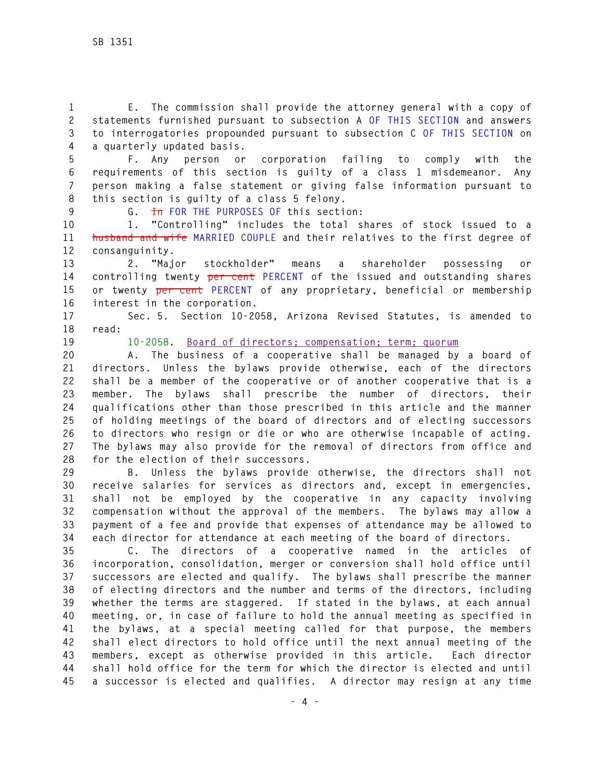**1 E. The commission shall provide the attorney general with a copy of 2 statements furnished pursuant to subsection A OF THIS SECTION and answers 3 to interrogatories propounded pursuant to subsection C OF THIS SECTION on 4 a quarterly updated basis.** 

**5 F. Any person or corporation failing to comply with the 6 requirements of this section is guilty of a class 1 misdemeanor. Any 7 person making a false statement or giving false information pursuant to 8 this section is guilty of a class 5 felony.** 

**9 G. In FOR THE PURPOSES OF this section:** 

**10 1. "Controlling" includes the total shares of stock issued to a 11 husband and wife MARRIED COUPLE and their relatives to the first degree of 12 consanguinity.** 

**13 2. "Major stockholder" means a shareholder possessing or 14 controlling twenty per cent PERCENT of the issued and outstanding shares 15 or twenty per cent PERCENT of any proprietary, beneficial or membership 16 interest in the corporation.** 

**17 Sec. 5. Section 10-2058, Arizona Revised Statutes, is amended to 18 read:** 

**19 10-2058. Board of directors; compensation; term; quorum** 

**20 A. The business of a cooperative shall be managed by a board of 21 directors. Unless the bylaws provide otherwise, each of the directors 22 shall be a member of the cooperative or of another cooperative that is a 23 member. The bylaws shall prescribe the number of directors, their 24 qualifications other than those prescribed in this article and the manner 25 of holding meetings of the board of directors and of electing successors 26 to directors who resign or die or who are otherwise incapable of acting. 27 The bylaws may also provide for the removal of directors from office and 28 for the election of their successors.** 

**29 B. Unless the bylaws provide otherwise, the directors shall not 30 receive salaries for services as directors and, except in emergencies, 31 shall not be employed by the cooperative in any capacity involving 32 compensation without the approval of the members. The bylaws may allow a 33 payment of a fee and provide that expenses of attendance may be allowed to 34 each director for attendance at each meeting of the board of directors.** 

**35 C. The directors of a cooperative named in the articles of 36 incorporation, consolidation, merger or conversion shall hold office until 37 successors are elected and qualify. The bylaws shall prescribe the manner 38 of electing directors and the number and terms of the directors, including 39 whether the terms are staggered. If stated in the bylaws, at each annual 40 meeting, or, in case of failure to hold the annual meeting as specified in 41 the bylaws, at a special meeting called for that purpose, the members 42 shall elect directors to hold office until the next annual meeting of the 43 members, except as otherwise provided in this article. Each director 44 shall hold office for the term for which the director is elected and until 45 a successor is elected and qualifies. A director may resign at any time**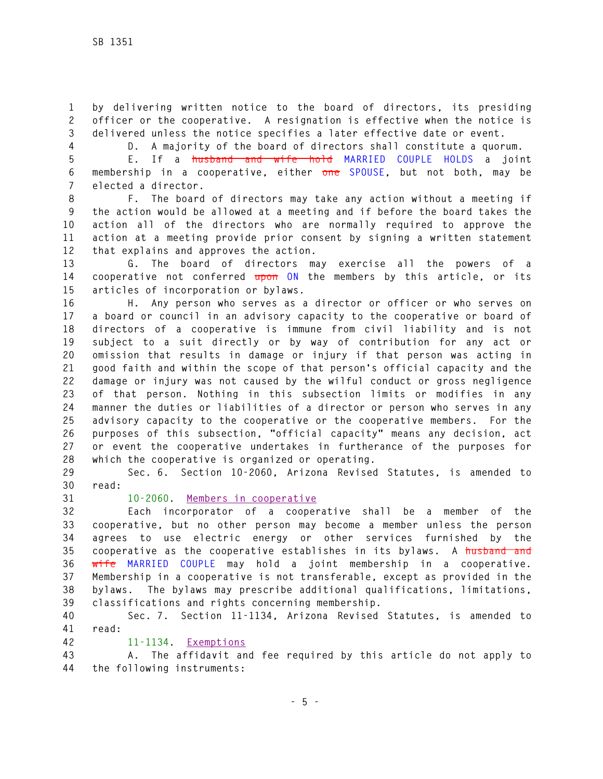**1 by delivering written notice to the board of directors, its presiding 2 officer or the cooperative. A resignation is effective when the notice is 3 delivered unless the notice specifies a later effective date or event.** 

**4 D. A majority of the board of directors shall constitute a quorum.** 

**5 E. If a husband and wife hold MARRIED COUPLE HOLDS a joint 6 membership in a cooperative, either one SPOUSE, but not both, may be 7 elected a director.** 

**8 F. The board of directors may take any action without a meeting if 9 the action would be allowed at a meeting and if before the board takes the 10 action all of the directors who are normally required to approve the 11 action at a meeting provide prior consent by signing a written statement 12 that explains and approves the action.** 

**13 G. The board of directors may exercise all the powers of a 14 cooperative not conferred upon ON the members by this article, or its 15 articles of incorporation or bylaws.** 

**16 H. Any person who serves as a director or officer or who serves on 17 a board or council in an advisory capacity to the cooperative or board of 18 directors of a cooperative is immune from civil liability and is not 19 subject to a suit directly or by way of contribution for any act or 20 omission that results in damage or injury if that person was acting in 21 good faith and within the scope of that person's official capacity and the 22 damage or injury was not caused by the wilful conduct or gross negligence 23 of that person. Nothing in this subsection limits or modifies in any 24 manner the duties or liabilities of a director or person who serves in any 25 advisory capacity to the cooperative or the cooperative members. For the 26 purposes of this subsection, "official capacity" means any decision, act 27 or event the cooperative undertakes in furtherance of the purposes for 28 which the cooperative is organized or operating.** 

**29 Sec. 6. Section 10-2060, Arizona Revised Statutes, is amended to 30 read:** 

### **31 10-2060. Members in cooperative**

**32 Each incorporator of a cooperative shall be a member of the 33 cooperative, but no other person may become a member unless the person 34 agrees to use electric energy or other services furnished by the 35 cooperative as the cooperative establishes in its bylaws. A husband and 36 wife MARRIED COUPLE may hold a joint membership in a cooperative. 37 Membership in a cooperative is not transferable, except as provided in the 38 bylaws. The bylaws may prescribe additional qualifications, limitations, 39 classifications and rights concerning membership.** 

**40 Sec. 7. Section 11-1134, Arizona Revised Statutes, is amended to 41 read:** 

**42 11-1134. Exemptions**

**43 A. The affidavit and fee required by this article do not apply to 44 the following instruments:**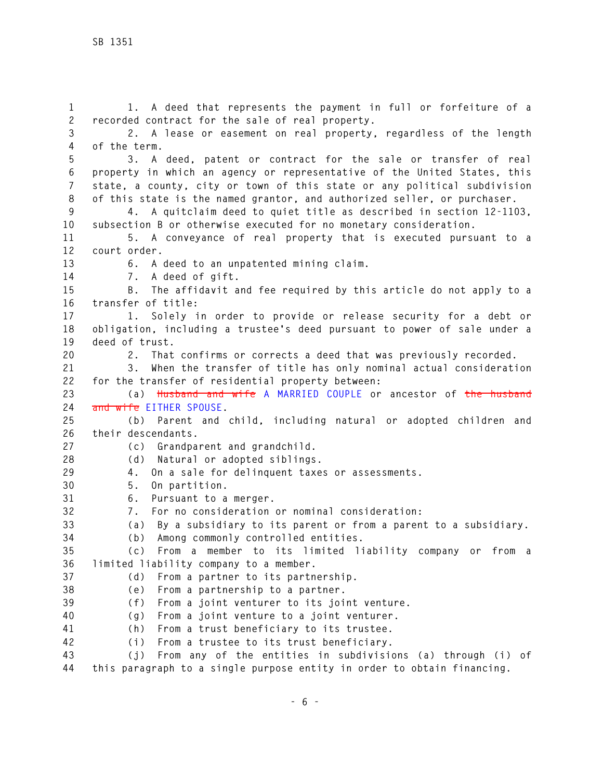**1 1. A deed that represents the payment in full or forfeiture of a 2 recorded contract for the sale of real property. 3 2. A lease or easement on real property, regardless of the length 4 of the term. 5 3. A deed, patent or contract for the sale or transfer of real 6 property in which an agency or representative of the United States, this 7 state, a county, city or town of this state or any political subdivision 8 of this state is the named grantor, and authorized seller, or purchaser. 9 4. A quitclaim deed to quiet title as described in section 12-1103, 10 subsection B or otherwise executed for no monetary consideration. 11 5. A conveyance of real property that is executed pursuant to a 12 court order. 13 6. A deed to an unpatented mining claim. 14 7. A deed of gift. 15 B. The affidavit and fee required by this article do not apply to a 16 transfer of title: 17 1. Solely in order to provide or release security for a debt or 18 obligation, including a trustee's deed pursuant to power of sale under a 19 deed of trust. 20 2. That confirms or corrects a deed that was previously recorded. 21 3. When the transfer of title has only nominal actual consideration 22 for the transfer of residential property between: 23 (a) Husband and wife A MARRIED COUPLE or ancestor of the husband 24 and wife EITHER SPOUSE. 25 (b) Parent and child, including natural or adopted children and 26 their descendants. 27 (c) Grandparent and grandchild. 28 (d) Natural or adopted siblings. 29 4. On a sale for delinquent taxes or assessments. 30 5. On partition. 31 6. Pursuant to a merger. 32 7. For no consideration or nominal consideration: 33 (a) By a subsidiary to its parent or from a parent to a subsidiary. 34 (b) Among commonly controlled entities. 35 (c) From a member to its limited liability company or from a 36 limited liability company to a member. 37 (d) From a partner to its partnership. 38 (e) From a partnership to a partner. 39 (f) From a joint venturer to its joint venture. 40 (g) From a joint venture to a joint venturer. 41 (h) From a trust beneficiary to its trustee. 42 (i) From a trustee to its trust beneficiary. 43 (j) From any of the entities in subdivisions (a) through (i) of** 

**44 this paragraph to a single purpose entity in order to obtain financing.**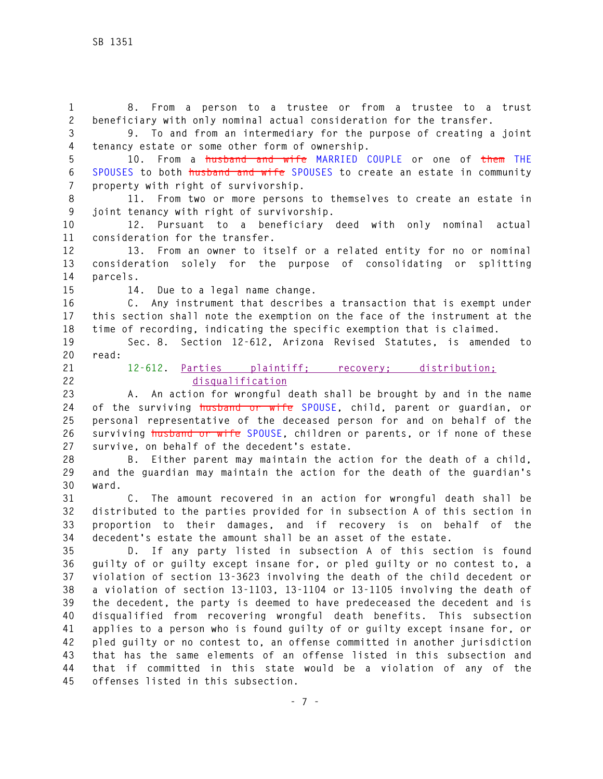**1 8. From a person to a trustee or from a trustee to a trust 2 beneficiary with only nominal actual consideration for the transfer.** 

**3 9. To and from an intermediary for the purpose of creating a joint 4 tenancy estate or some other form of ownership.** 

**5 10. From a husband and wife MARRIED COUPLE or one of them THE 6 SPOUSES to both husband and wife SPOUSES to create an estate in community 7 property with right of survivorship.** 

**8 11. From two or more persons to themselves to create an estate in 9 joint tenancy with right of survivorship.** 

**10 12. Pursuant to a beneficiary deed with only nominal actual 11 consideration for the transfer.** 

**12 13. From an owner to itself or a related entity for no or nominal 13 consideration solely for the purpose of consolidating or splitting 14 parcels.** 

**15 14. Due to a legal name change.** 

**16 C. Any instrument that describes a transaction that is exempt under 17 this section shall note the exemption on the face of the instrument at the 18 time of recording, indicating the specific exemption that is claimed.** 

**19 Sec. 8. Section 12-612, Arizona Revised Statutes, is amended to 20 read:** 

**21 12-612. Parties plaintiff; recovery; distribution; 22 disqualification**

**23 A. An action for wrongful death shall be brought by and in the name 24 of the surviving husband or wife SPOUSE, child, parent or guardian, or 25 personal representative of the deceased person for and on behalf of the 26 surviving husband or wife SPOUSE, children or parents, or if none of these 27 survive, on behalf of the decedent's estate.** 

**28 B. Either parent may maintain the action for the death of a child, 29 and the guardian may maintain the action for the death of the guardian's 30 ward.** 

**31 C. The amount recovered in an action for wrongful death shall be 32 distributed to the parties provided for in subsection A of this section in 33 proportion to their damages, and if recovery is on behalf of the 34 decedent's estate the amount shall be an asset of the estate.** 

**35 D. If any party listed in subsection A of this section is found 36 guilty of or guilty except insane for, or pled guilty or no contest to, a 37 violation of section 13-3623 involving the death of the child decedent or 38 a violation of section 13-1103, 13-1104 or 13-1105 involving the death of 39 the decedent, the party is deemed to have predeceased the decedent and is 40 disqualified from recovering wrongful death benefits. This subsection 41 applies to a person who is found guilty of or guilty except insane for, or 42 pled guilty or no contest to, an offense committed in another jurisdiction 43 that has the same elements of an offense listed in this subsection and 44 that if committed in this state would be a violation of any of the 45 offenses listed in this subsection.**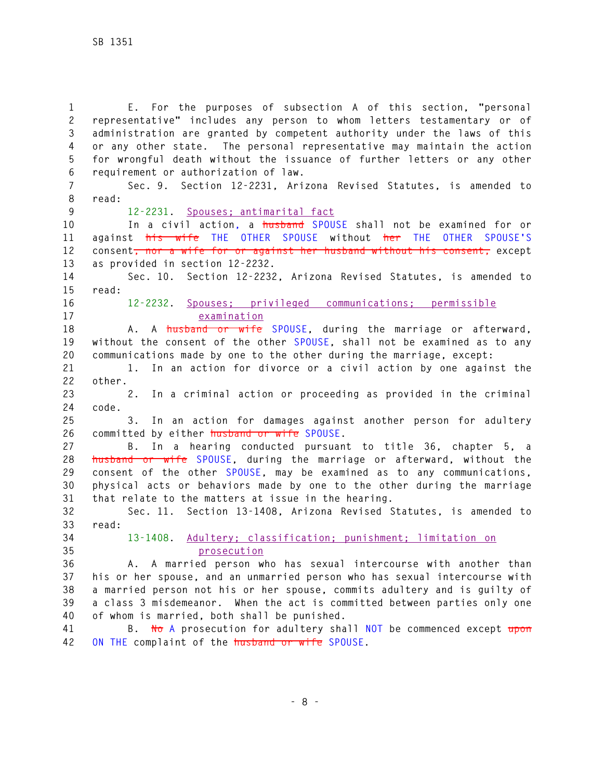**1 E. For the purposes of subsection A of this section, "personal 2 representative" includes any person to whom letters testamentary or of 3 administration are granted by competent authority under the laws of this 4 or any other state. The personal representative may maintain the action 5 for wrongful death without the issuance of further letters or any other 6 requirement or authorization of law. 7 Sec. 9. Section 12-2231, Arizona Revised Statutes, is amended to 8 read: 9 12-2231. Spouses; antimarital fact 10 In a civil action, a husband SPOUSE shall not be examined for or 11 against his wife THE OTHER SPOUSE without her THE OTHER SPOUSE'S 12 consent, nor a wife for or against her husband without his consent, except 13 as provided in section 12-2232. 14 Sec. 10. Section 12-2232, Arizona Revised Statutes, is amended to 15 read: 16 12-2232. Spouses; privileged communications; permissible 17 examination 18 A. A husband or wife SPOUSE, during the marriage or afterward, 19 without the consent of the other SPOUSE, shall not be examined as to any 20 communications made by one to the other during the marriage, except: 21 1. In an action for divorce or a civil action by one against the 22 other. 23 2. In a criminal action or proceeding as provided in the criminal 24 code. 25 3. In an action for damages against another person for adultery 26 committed by either husband or wife SPOUSE. 27 B. In a hearing conducted pursuant to title 36, chapter 5, a 28 husband or wife SPOUSE, during the marriage or afterward, without the 29 consent of the other SPOUSE, may be examined as to any communications, 30 physical acts or behaviors made by one to the other during the marriage 31 that relate to the matters at issue in the hearing. 32 Sec. 11. Section 13-1408, Arizona Revised Statutes, is amended to 33 read: 34 13-1408. Adultery; classification; punishment; limitation on 35 prosecution 36 A. A married person who has sexual intercourse with another than 37 his or her spouse, and an unmarried person who has sexual intercourse with 38 a married person not his or her spouse, commits adultery and is guilty of 39 a class 3 misdemeanor. When the act is committed between parties only one 40 of whom is married, both shall be punished. 41 B. No A prosecution for adultery shall NOT be commenced except upon 42 ON THE complaint of the husband or wife SPOUSE.**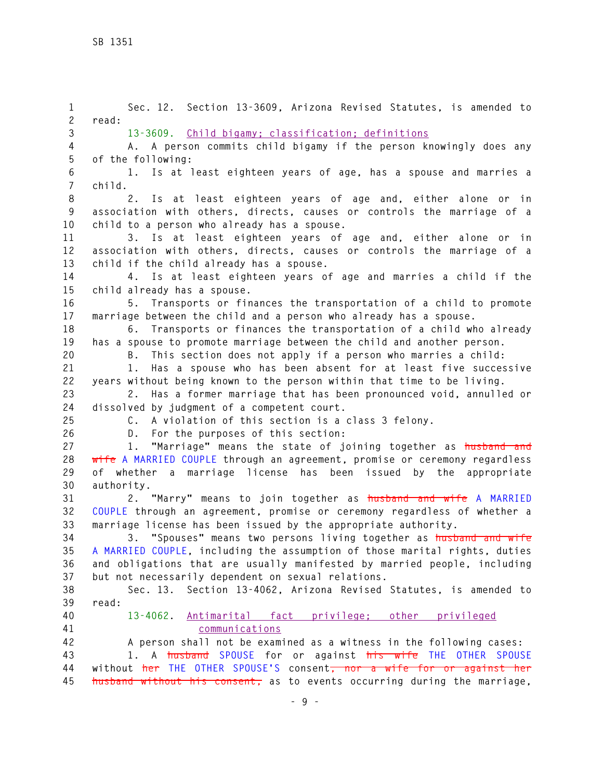**1 Sec. 12. Section 13-3609, Arizona Revised Statutes, is amended to 2 read: 3 13-3609. Child bigamy; classification; definitions 4 A. A person commits child bigamy if the person knowingly does any 5 of the following: 6 1. Is at least eighteen years of age, has a spouse and marries a 7 child. 8 2. Is at least eighteen years of age and, either alone or in 9 association with others, directs, causes or controls the marriage of a 10 child to a person who already has a spouse. 11 3. Is at least eighteen years of age and, either alone or in 12 association with others, directs, causes or controls the marriage of a 13 child if the child already has a spouse. 14 4. Is at least eighteen years of age and marries a child if the 15 child already has a spouse. 16 5. Transports or finances the transportation of a child to promote 17 marriage between the child and a person who already has a spouse. 18 6. Transports or finances the transportation of a child who already 19 has a spouse to promote marriage between the child and another person. 20 B. This section does not apply if a person who marries a child: 21 1. Has a spouse who has been absent for at least five successive 22 years without being known to the person within that time to be living. 23 2. Has a former marriage that has been pronounced void, annulled or 24 dissolved by judgment of a competent court. 25 C. A violation of this section is a class 3 felony. 26 D. For the purposes of this section: 27 1. "Marriage" means the state of joining together as husband and 28 wife A MARRIED COUPLE through an agreement, promise or ceremony regardless 29 of whether a marriage license has been issued by the appropriate 30 authority. 31 2. "Marry" means to join together as husband and wife A MARRIED 32 COUPLE through an agreement, promise or ceremony regardless of whether a 33 marriage license has been issued by the appropriate authority. 34 3. "Spouses" means two persons living together as husband and wife 35 A MARRIED COUPLE, including the assumption of those marital rights, duties 36 and obligations that are usually manifested by married people, including 37 but not necessarily dependent on sexual relations. 38 Sec. 13. Section 13-4062, Arizona Revised Statutes, is amended to 39 read: 40 13-4062. Antimarital fact privilege; other privileged 41 communications 42 A person shall not be examined as a witness in the following cases: 43 1. A husband SPOUSE for or against his wife THE OTHER SPOUSE 44 without her THE OTHER SPOUSE'S consent, nor a wife for or against her 45 husband without his consent, as to events occurring during the marriage,**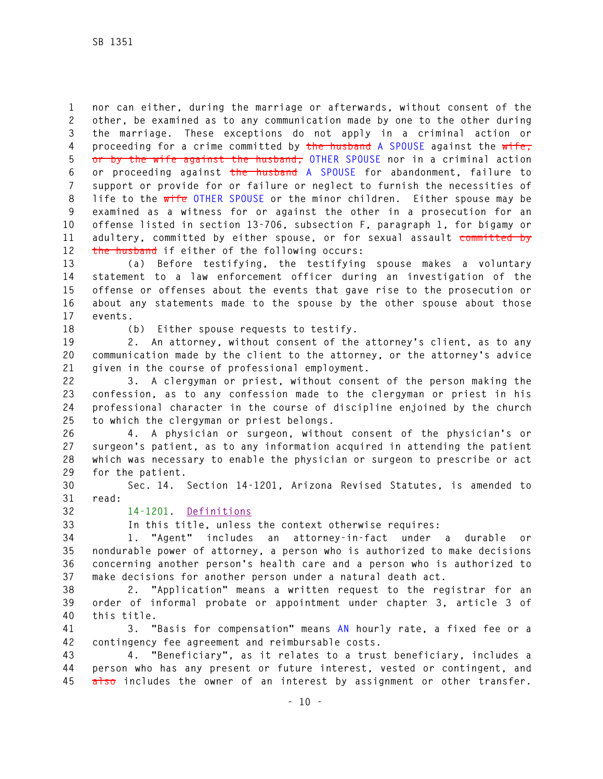**1 nor can either, during the marriage or afterwards, without consent of the 2 other, be examined as to any communication made by one to the other during 3 the marriage. These exceptions do not apply in a criminal action or 4 proceeding for a crime committed by the husband A SPOUSE against the wife, 5 or by the wife against the husband, OTHER SPOUSE nor in a criminal action 6 or proceeding against the husband A SPOUSE for abandonment, failure to 7 support or provide for or failure or neglect to furnish the necessities of 8 life to the wife OTHER SPOUSE or the minor children. Either spouse may be 9 examined as a witness for or against the other in a prosecution for an 10 offense listed in section 13-706, subsection F, paragraph 1, for bigamy or 11 adultery, committed by either spouse, or for sexual assault committed by 12 the husband if either of the following occurs:** 

**13 (a) Before testifying, the testifying spouse makes a voluntary 14 statement to a law enforcement officer during an investigation of the 15 offense or offenses about the events that gave rise to the prosecution or 16 about any statements made to the spouse by the other spouse about those 17 events.** 

**18 (b) Either spouse requests to testify.** 

**19 2. An attorney, without consent of the attorney's client, as to any 20 communication made by the client to the attorney, or the attorney's advice 21 given in the course of professional employment.** 

**22 3. A clergyman or priest, without consent of the person making the 23 confession, as to any confession made to the clergyman or priest in his 24 professional character in the course of discipline enjoined by the church 25 to which the clergyman or priest belongs.** 

**26 4. A physician or surgeon, without consent of the physician's or 27 surgeon's patient, as to any information acquired in attending the patient 28 which was necessary to enable the physician or surgeon to prescribe or act 29 for the patient.** 

**30 Sec. 14. Section 14-1201, Arizona Revised Statutes, is amended to 31 read:** 

**32 14-1201. Definitions**

**33 In this title, unless the context otherwise requires:** 

**34 1. "Agent" includes an attorney-in-fact under a durable or 35 nondurable power of attorney, a person who is authorized to make decisions 36 concerning another person's health care and a person who is authorized to 37 make decisions for another person under a natural death act.** 

**38 2. "Application" means a written request to the registrar for an 39 order of informal probate or appointment under chapter 3, article 3 of 40 this title.** 

**41 3. "Basis for compensation" means AN hourly rate, a fixed fee or a 42 contingency fee agreement and reimbursable costs.** 

**43 4. "Beneficiary", as it relates to a trust beneficiary, includes a 44 person who has any present or future interest, vested or contingent, and 45 also includes the owner of an interest by assignment or other transfer.**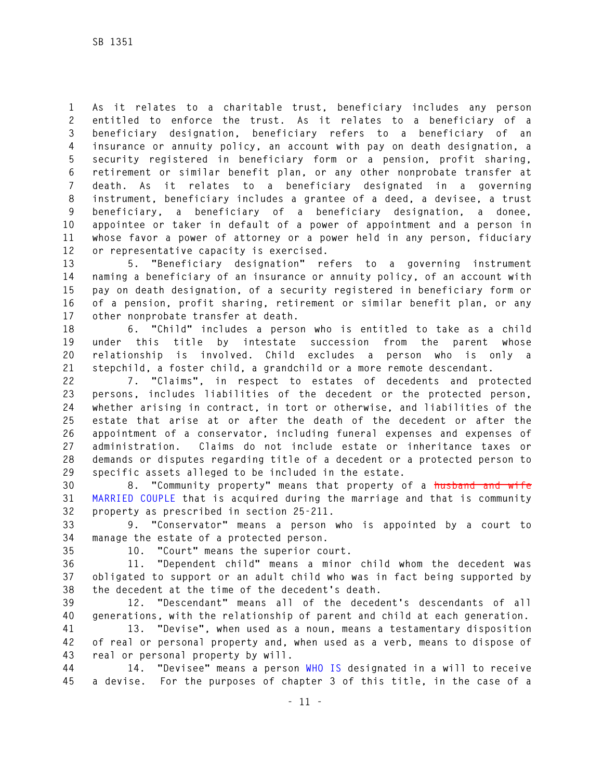**1 As it relates to a charitable trust, beneficiary includes any person 2 entitled to enforce the trust. As it relates to a beneficiary of a 3 beneficiary designation, beneficiary refers to a beneficiary of an 4 insurance or annuity policy, an account with pay on death designation, a 5 security registered in beneficiary form or a pension, profit sharing, 6 retirement or similar benefit plan, or any other nonprobate transfer at 7 death. As it relates to a beneficiary designated in a governing 8 instrument, beneficiary includes a grantee of a deed, a devisee, a trust 9 beneficiary, a beneficiary of a beneficiary designation, a donee, 10 appointee or taker in default of a power of appointment and a person in 11 whose favor a power of attorney or a power held in any person, fiduciary 12 or representative capacity is exercised.** 

**13 5. "Beneficiary designation" refers to a governing instrument 14 naming a beneficiary of an insurance or annuity policy, of an account with 15 pay on death designation, of a security registered in beneficiary form or 16 of a pension, profit sharing, retirement or similar benefit plan, or any 17 other nonprobate transfer at death.** 

**18 6. "Child" includes a person who is entitled to take as a child 19 under this title by intestate succession from the parent whose 20 relationship is involved. Child excludes a person who is only a 21 stepchild, a foster child, a grandchild or a more remote descendant.** 

**22 7. "Claims", in respect to estates of decedents and protected 23 persons, includes liabilities of the decedent or the protected person, 24 whether arising in contract, in tort or otherwise, and liabilities of the 25 estate that arise at or after the death of the decedent or after the 26 appointment of a conservator, including funeral expenses and expenses of 27 administration. Claims do not include estate or inheritance taxes or 28 demands or disputes regarding title of a decedent or a protected person to 29 specific assets alleged to be included in the estate.** 

**30 8. "Community property" means that property of a husband and wife 31 MARRIED COUPLE that is acquired during the marriage and that is community 32 property as prescribed in section 25-211.** 

**33 9. "Conservator" means a person who is appointed by a court to 34 manage the estate of a protected person.** 

**35 10. "Court" means the superior court.** 

**36 11. "Dependent child" means a minor child whom the decedent was 37 obligated to support or an adult child who was in fact being supported by 38 the decedent at the time of the decedent's death.** 

**39 12. "Descendant" means all of the decedent's descendants of all 40 generations, with the relationship of parent and child at each generation.** 

**41 13. "Devise", when used as a noun, means a testamentary disposition 42 of real or personal property and, when used as a verb, means to dispose of 43 real or personal property by will.** 

**44 14. "Devisee" means a person WHO IS designated in a will to receive 45 a devise. For the purposes of chapter 3 of this title, in the case of a**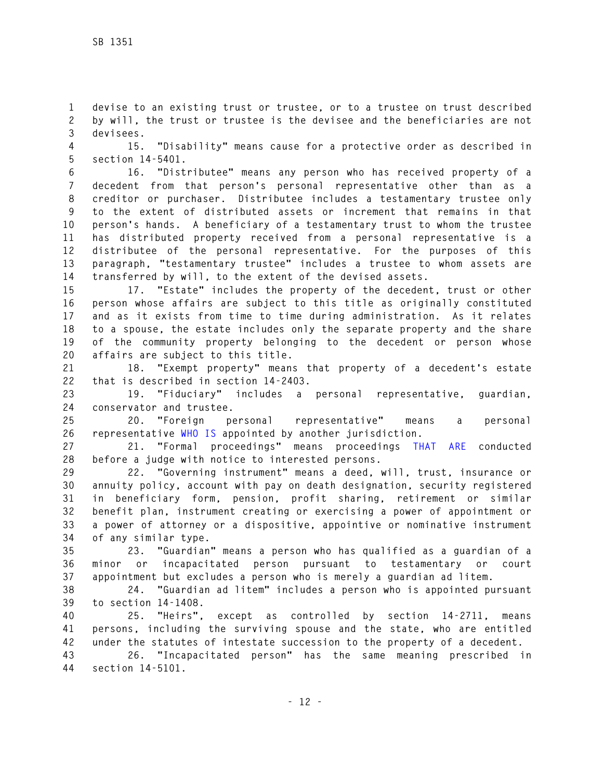**1 devise to an existing trust or trustee, or to a trustee on trust described 2 by will, the trust or trustee is the devisee and the beneficiaries are not 3 devisees.** 

**4 15. "Disability" means cause for a protective order as described in 5 section 14-5401.** 

**6 16. "Distributee" means any person who has received property of a 7 decedent from that person's personal representative other than as a 8 creditor or purchaser. Distributee includes a testamentary trustee only 9 to the extent of distributed assets or increment that remains in that 10 person's hands. A beneficiary of a testamentary trust to whom the trustee 11 has distributed property received from a personal representative is a 12 distributee of the personal representative. For the purposes of this 13 paragraph, "testamentary trustee" includes a trustee to whom assets are 14 transferred by will, to the extent of the devised assets.** 

**15 17. "Estate" includes the property of the decedent, trust or other 16 person whose affairs are subject to this title as originally constituted 17 and as it exists from time to time during administration. As it relates 18 to a spouse, the estate includes only the separate property and the share 19 of the community property belonging to the decedent or person whose 20 affairs are subject to this title.** 

**21 18. "Exempt property" means that property of a decedent's estate 22 that is described in section 14-2403.** 

**23 19. "Fiduciary" includes a personal representative, guardian, 24 conservator and trustee.** 

**25 20. "Foreign personal representative" means a personal 26 representative WHO IS appointed by another jurisdiction.** 

**27 21. "Formal proceedings" means proceedings THAT ARE conducted 28 before a judge with notice to interested persons.** 

**29 22. "Governing instrument" means a deed, will, trust, insurance or 30 annuity policy, account with pay on death designation, security registered 31 in beneficiary form, pension, profit sharing, retirement or similar 32 benefit plan, instrument creating or exercising a power of appointment or 33 a power of attorney or a dispositive, appointive or nominative instrument 34 of any similar type.** 

**35 23. "Guardian" means a person who has qualified as a guardian of a 36 minor or incapacitated person pursuant to testamentary or court 37 appointment but excludes a person who is merely a guardian ad litem.** 

**38 24. "Guardian ad litem" includes a person who is appointed pursuant 39 to section 14-1408.** 

**40 25. "Heirs", except as controlled by section 14-2711, means 41 persons, including the surviving spouse and the state, who are entitled 42 under the statutes of intestate succession to the property of a decedent.** 

**43 26. "Incapacitated person" has the same meaning prescribed in 44 section 14-5101.**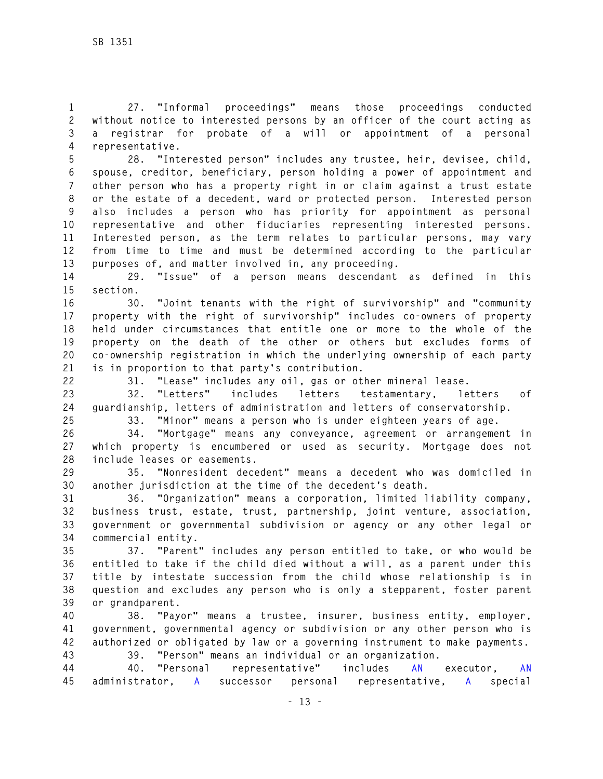**1 27. "Informal proceedings" means those proceedings conducted 2 without notice to interested persons by an officer of the court acting as 3 a registrar for probate of a will or appointment of a personal 4 representative.** 

**5 28. "Interested person" includes any trustee, heir, devisee, child, 6 spouse, creditor, beneficiary, person holding a power of appointment and 7 other person who has a property right in or claim against a trust estate 8 or the estate of a decedent, ward or protected person. Interested person 9 also includes a person who has priority for appointment as personal 10 representative and other fiduciaries representing interested persons. 11 Interested person, as the term relates to particular persons, may vary 12 from time to time and must be determined according to the particular 13 purposes of, and matter involved in, any proceeding.** 

**14 29. "Issue" of a person means descendant as defined in this 15 section.** 

**16 30. "Joint tenants with the right of survivorship" and "community 17 property with the right of survivorship" includes co-owners of property 18 held under circumstances that entitle one or more to the whole of the 19 property on the death of the other or others but excludes forms of 20 co-ownership registration in which the underlying ownership of each party 21 is in proportion to that party's contribution.** 

**22 31. "Lease" includes any oil, gas or other mineral lease.** 

**23 32. "Letters" includes letters testamentary, letters of 24 guardianship, letters of administration and letters of conservatorship.** 

**25 33. "Minor" means a person who is under eighteen years of age.** 

**26 34. "Mortgage" means any conveyance, agreement or arrangement in 27 which property is encumbered or used as security. Mortgage does not 28 include leases or easements.** 

**29 35. "Nonresident decedent" means a decedent who was domiciled in 30 another jurisdiction at the time of the decedent's death.** 

**31 36. "Organization" means a corporation, limited liability company, 32 business trust, estate, trust, partnership, joint venture, association, 33 government or governmental subdivision or agency or any other legal or 34 commercial entity.** 

**35 37. "Parent" includes any person entitled to take, or who would be 36 entitled to take if the child died without a will, as a parent under this 37 title by intestate succession from the child whose relationship is in 38 question and excludes any person who is only a stepparent, foster parent 39 or grandparent.** 

**40 38. "Payor" means a trustee, insurer, business entity, employer, 41 government, governmental agency or subdivision or any other person who is 42 authorized or obligated by law or a governing instrument to make payments.** 

**43 39. "Person" means an individual or an organization.** 

**44 40. "Personal representative" includes AN executor, AN 45 administrator, A successor personal representative, A special**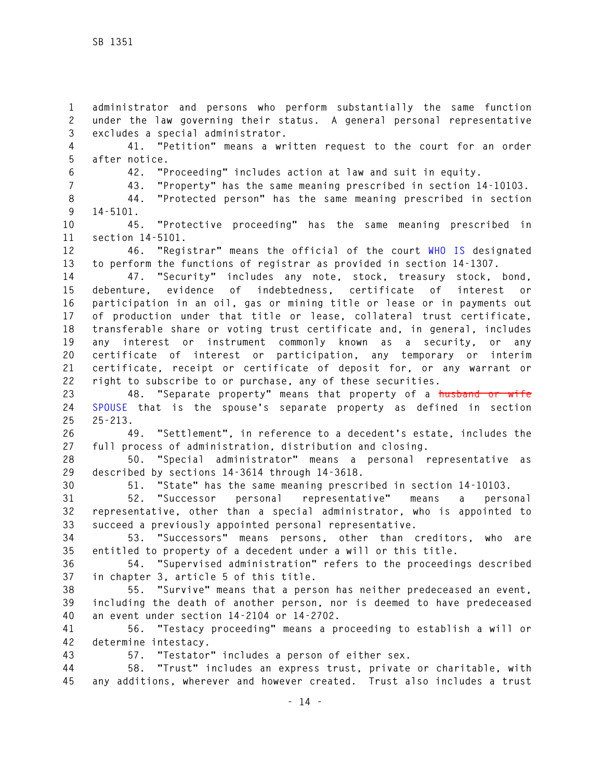**1 administrator and persons who perform substantially the same function 2 under the law governing their status. A general personal representative 3 excludes a special administrator.** 

**4 41. "Petition" means a written request to the court for an order 5 after notice.** 

**6 42. "Proceeding" includes action at law and suit in equity.** 

**7 43. "Property" has the same meaning prescribed in section 14-10103.** 

**8 44. "Protected person" has the same meaning prescribed in section 9 14-5101.** 

**10 45. "Protective proceeding" has the same meaning prescribed in 11 section 14-5101.** 

**12 46. "Registrar" means the official of the court WHO IS designated 13 to perform the functions of registrar as provided in section 14-1307.** 

**14 47. "Security" includes any note, stock, treasury stock, bond, 15 debenture, evidence of indebtedness, certificate of interest or 16 participation in an oil, gas or mining title or lease or in payments out 17 of production under that title or lease, collateral trust certificate, 18 transferable share or voting trust certificate and, in general, includes 19 any interest or instrument commonly known as a security, or any 20 certificate of interest or participation, any temporary or interim 21 certificate, receipt or certificate of deposit for, or any warrant or 22 right to subscribe to or purchase, any of these securities.** 

**23 48. "Separate property" means that property of a husband or wife 24 SPOUSE that is the spouse's separate property as defined in section 25 25-213.** 

**26 49. "Settlement", in reference to a decedent's estate, includes the 27 full process of administration, distribution and closing.** 

**28 50. "Special administrator" means a personal representative as 29 described by sections 14-3614 through 14-3618.** 

**30 51. "State" has the same meaning prescribed in section 14-10103.** 

**31 52. "Successor personal representative" means a personal 32 representative, other than a special administrator, who is appointed to 33 succeed a previously appointed personal representative.** 

**34 53. "Successors" means persons, other than creditors, who are 35 entitled to property of a decedent under a will or this title.** 

**36 54. "Supervised administration" refers to the proceedings described 37 in chapter 3, article 5 of this title.** 

**38 55. "Survive" means that a person has neither predeceased an event, 39 including the death of another person, nor is deemed to have predeceased 40 an event under section 14-2104 or 14-2702.** 

**41 56. "Testacy proceeding" means a proceeding to establish a will or 42 determine intestacy.** 

**43 57. "Testator" includes a person of either sex.** 

**44 58. "Trust" includes an express trust, private or charitable, with 45 any additions, wherever and however created. Trust also includes a trust**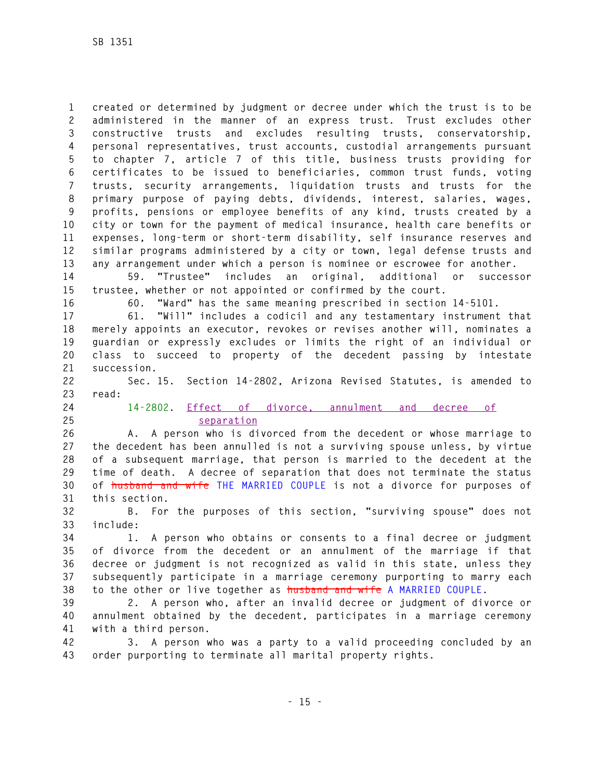**1 created or determined by judgment or decree under which the trust is to be 2 administered in the manner of an express trust. Trust excludes other 3 constructive trusts and excludes resulting trusts, conservatorship, 4 personal representatives, trust accounts, custodial arrangements pursuant 5 to chapter 7, article 7 of this title, business trusts providing for 6 certificates to be issued to beneficiaries, common trust funds, voting 7 trusts, security arrangements, liquidation trusts and trusts for the 8 primary purpose of paying debts, dividends, interest, salaries, wages, 9 profits, pensions or employee benefits of any kind, trusts created by a 10 city or town for the payment of medical insurance, health care benefits or 11 expenses, long-term or short-term disability, self insurance reserves and 12 similar programs administered by a city or town, legal defense trusts and 13 any arrangement under which a person is nominee or escrowee for another.** 

**14 59. "Trustee" includes an original, additional or successor 15 trustee, whether or not appointed or confirmed by the court.** 

**16 60. "Ward" has the same meaning prescribed in section 14-5101.** 

**17 61. "Will" includes a codicil and any testamentary instrument that 18 merely appoints an executor, revokes or revises another will, nominates a 19 guardian or expressly excludes or limits the right of an individual or 20 class to succeed to property of the decedent passing by intestate 21 succession.** 

**22 Sec. 15. Section 14-2802, Arizona Revised Statutes, is amended to 23 read:** 

**24 14-2802. Effect of divorce, annulment and decree of 25 separation**

**26 A. A person who is divorced from the decedent or whose marriage to 27 the decedent has been annulled is not a surviving spouse unless, by virtue 28 of a subsequent marriage, that person is married to the decedent at the 29 time of death. A decree of separation that does not terminate the status 30 of husband and wife THE MARRIED COUPLE is not a divorce for purposes of 31 this section.** 

**32 B. For the purposes of this section, "surviving spouse" does not 33 include:** 

**34 1. A person who obtains or consents to a final decree or judgment 35 of divorce from the decedent or an annulment of the marriage if that 36 decree or judgment is not recognized as valid in this state, unless they 37 subsequently participate in a marriage ceremony purporting to marry each 38 to the other or live together as husband and wife A MARRIED COUPLE.** 

**39 2. A person who, after an invalid decree or judgment of divorce or 40 annulment obtained by the decedent, participates in a marriage ceremony 41 with a third person.** 

**42 3. A person who was a party to a valid proceeding concluded by an 43 order purporting to terminate all marital property rights.**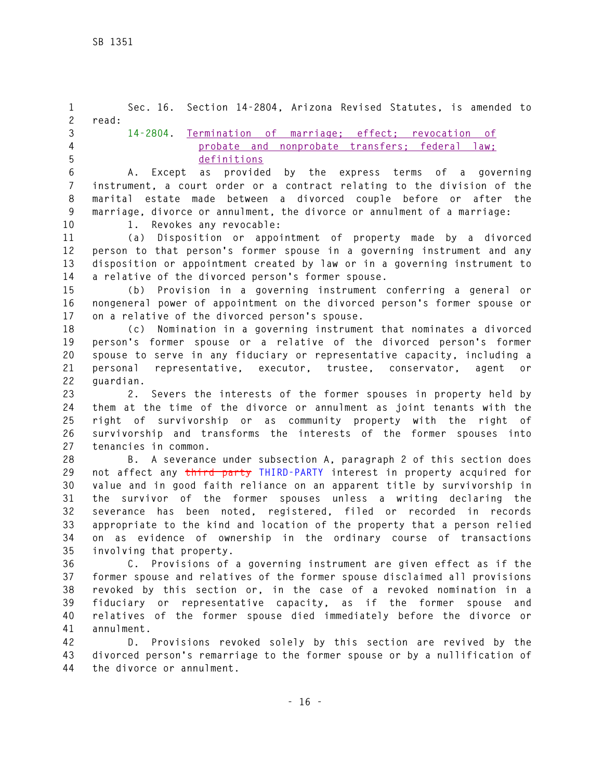**1 Sec. 16. Section 14-2804, Arizona Revised Statutes, is amended to 2 read: 3 14-2804. Termination of marriage; effect; revocation of 4 probate and nonprobate transfers; federal law; 5 definitions 6 A. Except as provided by the express terms of a governing 7 instrument, a court order or a contract relating to the division of the 8 marital estate made between a divorced couple before or after the 9 marriage, divorce or annulment, the divorce or annulment of a marriage: 10 1. Revokes any revocable: 11 (a) Disposition or appointment of property made by a divorced 12 person to that person's former spouse in a governing instrument and any 13 disposition or appointment created by law or in a governing instrument to 14 a relative of the divorced person's former spouse. 15 (b) Provision in a governing instrument conferring a general or 16 nongeneral power of appointment on the divorced person's former spouse or 17 on a relative of the divorced person's spouse. 18 (c) Nomination in a governing instrument that nominates a divorced 19 person's former spouse or a relative of the divorced person's former 20 spouse to serve in any fiduciary or representative capacity, including a 21 personal representative, executor, trustee, conservator, agent or 22 guardian. 23 2. Severs the interests of the former spouses in property held by 24 them at the time of the divorce or annulment as joint tenants with the 25 right of survivorship or as community property with the right of 26 survivorship and transforms the interests of the former spouses into 27 tenancies in common. 28 B. A severance under subsection A, paragraph 2 of this section does 29 not affect any third party THIRD-PARTY interest in property acquired for 30 value and in good faith reliance on an apparent title by survivorship in 31 the survivor of the former spouses unless a writing declaring the 32 severance has been noted, registered, filed or recorded in records 33 appropriate to the kind and location of the property that a person relied 34 on as evidence of ownership in the ordinary course of transactions 35 involving that property. 36 C. Provisions of a governing instrument are given effect as if the 37 former spouse and relatives of the former spouse disclaimed all provisions 38 revoked by this section or, in the case of a revoked nomination in a 39 fiduciary or representative capacity, as if the former spouse and 40 relatives of the former spouse died immediately before the divorce or 41 annulment. 42 D. Provisions revoked solely by this section are revived by the 43 divorced person's remarriage to the former spouse or by a nullification of 44 the divorce or annulment.**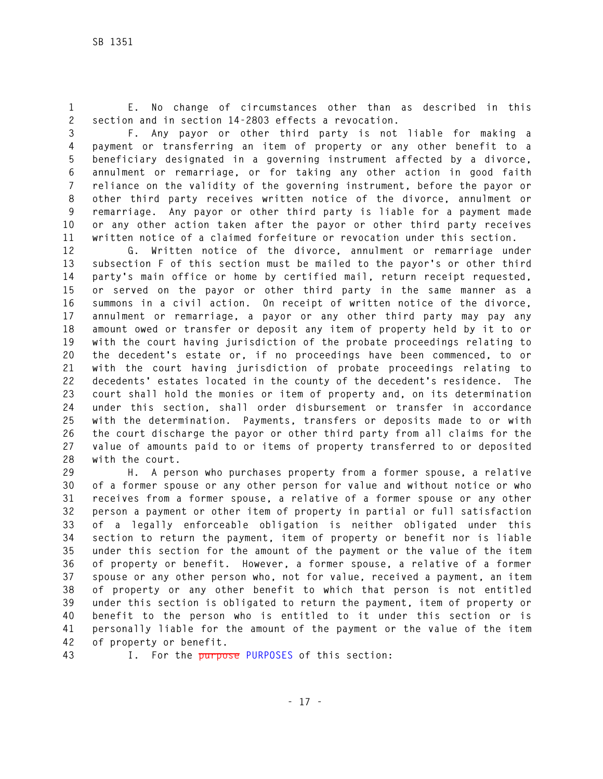**1 E. No change of circumstances other than as described in this 2 section and in section 14-2803 effects a revocation.** 

**3 F. Any payor or other third party is not liable for making a 4 payment or transferring an item of property or any other benefit to a 5 beneficiary designated in a governing instrument affected by a divorce, 6 annulment or remarriage, or for taking any other action in good faith 7 reliance on the validity of the governing instrument, before the payor or 8 other third party receives written notice of the divorce, annulment or 9 remarriage. Any payor or other third party is liable for a payment made 10 or any other action taken after the payor or other third party receives 11 written notice of a claimed forfeiture or revocation under this section.** 

**12 G. Written notice of the divorce, annulment or remarriage under 13 subsection F of this section must be mailed to the payor's or other third 14 party's main office or home by certified mail, return receipt requested, 15 or served on the payor or other third party in the same manner as a 16 summons in a civil action. On receipt of written notice of the divorce, 17 annulment or remarriage, a payor or any other third party may pay any 18 amount owed or transfer or deposit any item of property held by it to or 19 with the court having jurisdiction of the probate proceedings relating to 20 the decedent's estate or, if no proceedings have been commenced, to or 21 with the court having jurisdiction of probate proceedings relating to 22 decedents' estates located in the county of the decedent's residence. The 23 court shall hold the monies or item of property and, on its determination 24 under this section, shall order disbursement or transfer in accordance 25 with the determination. Payments, transfers or deposits made to or with 26 the court discharge the payor or other third party from all claims for the 27 value of amounts paid to or items of property transferred to or deposited 28 with the court.** 

**29 H. A person who purchases property from a former spouse, a relative 30 of a former spouse or any other person for value and without notice or who 31 receives from a former spouse, a relative of a former spouse or any other 32 person a payment or other item of property in partial or full satisfaction 33 of a legally enforceable obligation is neither obligated under this 34 section to return the payment, item of property or benefit nor is liable 35 under this section for the amount of the payment or the value of the item 36 of property or benefit. However, a former spouse, a relative of a former 37 spouse or any other person who, not for value, received a payment, an item 38 of property or any other benefit to which that person is not entitled 39 under this section is obligated to return the payment, item of property or 40 benefit to the person who is entitled to it under this section or is 41 personally liable for the amount of the payment or the value of the item 42 of property or benefit.** 

**43 I. For the purpose PURPOSES of this section:**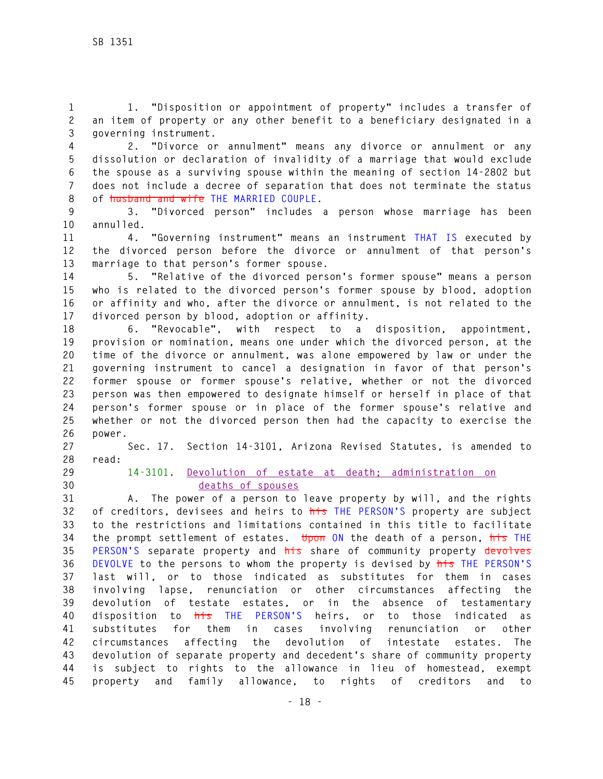**1 1. "Disposition or appointment of property" includes a transfer of 2 an item of property or any other benefit to a beneficiary designated in a 3 governing instrument.** 

**4 2. "Divorce or annulment" means any divorce or annulment or any 5 dissolution or declaration of invalidity of a marriage that would exclude 6 the spouse as a surviving spouse within the meaning of section 14-2802 but 7 does not include a decree of separation that does not terminate the status 8 of husband and wife THE MARRIED COUPLE.** 

**9 3. "Divorced person" includes a person whose marriage has been 10 annulled.** 

**11 4. "Governing instrument" means an instrument THAT IS executed by 12 the divorced person before the divorce or annulment of that person's 13 marriage to that person's former spouse.** 

**14 5. "Relative of the divorced person's former spouse" means a person 15 who is related to the divorced person's former spouse by blood, adoption 16 or affinity and who, after the divorce or annulment, is not related to the 17 divorced person by blood, adoption or affinity.** 

**18 6. "Revocable", with respect to a disposition, appointment, 19 provision or nomination, means one under which the divorced person, at the 20 time of the divorce or annulment, was alone empowered by law or under the 21 governing instrument to cancel a designation in favor of that person's 22 former spouse or former spouse's relative, whether or not the divorced 23 person was then empowered to designate himself or herself in place of that 24 person's former spouse or in place of the former spouse's relative and 25 whether or not the divorced person then had the capacity to exercise the 26 power.** 

**27 Sec. 17. Section 14-3101, Arizona Revised Statutes, is amended to 28 read:** 

- 
- 

**29 14-3101. Devolution of estate at death; administration on 30 deaths of spouses**

**31 A. The power of a person to leave property by will, and the rights 32 of creditors, devisees and heirs to his THE PERSON'S property are subject 33 to the restrictions and limitations contained in this title to facilitate 34 the prompt settlement of estates. Upon ON the death of a person, his THE 35 PERSON'S separate property and his share of community property devolves 36 DEVOLVE to the persons to whom the property is devised by his THE PERSON'S 37 last will, or to those indicated as substitutes for them in cases 38 involving lapse, renunciation or other circumstances affecting the 39 devolution of testate estates, or in the absence of testamentary 40 disposition to his THE PERSON'S heirs, or to those indicated as 41 substitutes for them in cases involving renunciation or other 42 circumstances affecting the devolution of intestate estates. The 43 devolution of separate property and decedent's share of community property 44 is subject to rights to the allowance in lieu of homestead, exempt 45 property and family allowance, to rights of creditors and to**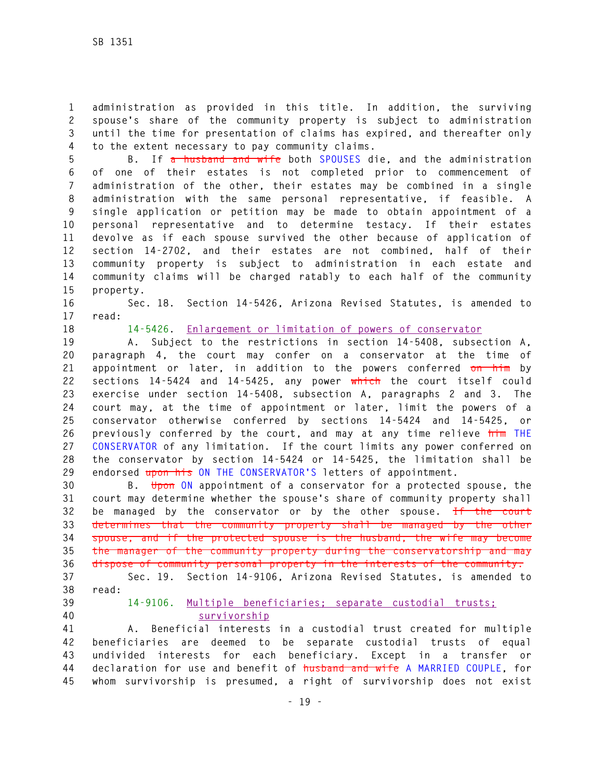**1 administration as provided in this title. In addition, the surviving 2 spouse's share of the community property is subject to administration 3 until the time for presentation of claims has expired, and thereafter only 4 to the extent necessary to pay community claims.** 

**5 B. If a husband and wife both SPOUSES die, and the administration 6 of one of their estates is not completed prior to commencement of 7 administration of the other, their estates may be combined in a single 8 administration with the same personal representative, if feasible. A 9 single application or petition may be made to obtain appointment of a 10 personal representative and to determine testacy. If their estates 11 devolve as if each spouse survived the other because of application of 12 section 14-2702, and their estates are not combined, half of their 13 community property is subject to administration in each estate and 14 community claims will be charged ratably to each half of the community 15 property.** 

**16 Sec. 18. Section 14-5426, Arizona Revised Statutes, is amended to 17 read:** 

**18 14-5426. Enlargement or limitation of powers of conservator**

**19 A. Subject to the restrictions in section 14-5408, subsection A, 20 paragraph 4, the court may confer on a conservator at the time of 21 appointment or later, in addition to the powers conferred on him by 22 sections 14-5424 and 14-5425, any power which the court itself could 23 exercise under section 14-5408, subsection A, paragraphs 2 and 3. The 24 court may, at the time of appointment or later, limit the powers of a 25 conservator otherwise conferred by sections 14-5424 and 14-5425, or 26 previously conferred by the court, and may at any time relieve him THE 27 CONSERVATOR of any limitation. If the court limits any power conferred on 28 the conservator by section 14-5424 or 14-5425, the limitation shall be 29 endorsed upon his ON THE CONSERVATOR'S letters of appointment.** 

**30 B. Upon ON appointment of a conservator for a protected spouse, the 31 court may determine whether the spouse's share of community property shall 32 be managed by the conservator or by the other spouse. If the court 33 determines that the community property shall be managed by the other 34 spouse, and if the protected spouse is the husband, the wife may become 35 the manager of the community property during the conservatorship and may 36 dispose of community personal property in the interests of the community.** 

**37 Sec. 19. Section 14-9106, Arizona Revised Statutes, is amended to 38 read:** 

- 
- 

### **39 14-9106. Multiple beneficiaries; separate custodial trusts; 40 survivorship**

**41 A. Beneficial interests in a custodial trust created for multiple 42 beneficiaries are deemed to be separate custodial trusts of equal 43 undivided interests for each beneficiary. Except in a transfer or 44 declaration for use and benefit of husband and wife A MARRIED COUPLE, for 45 whom survivorship is presumed, a right of survivorship does not exist**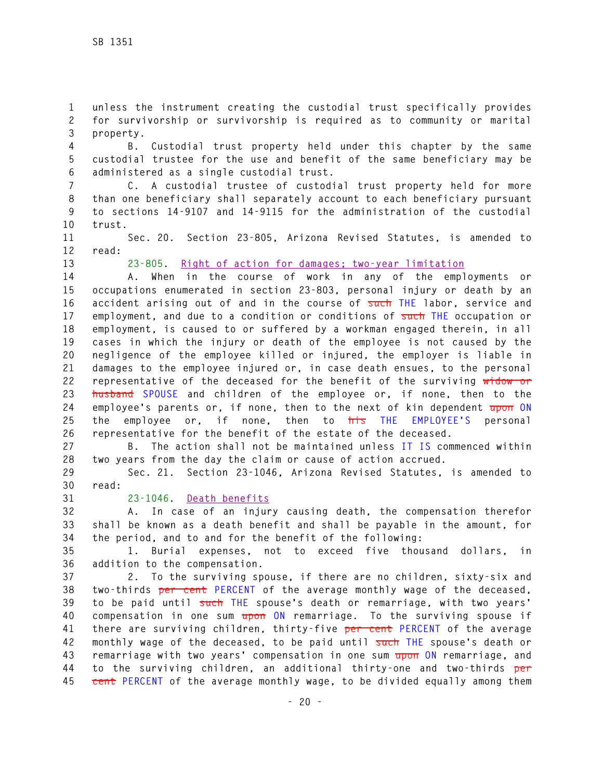**1 unless the instrument creating the custodial trust specifically provides 2 for survivorship or survivorship is required as to community or marital 3 property.** 

**4 B. Custodial trust property held under this chapter by the same 5 custodial trustee for the use and benefit of the same beneficiary may be 6 administered as a single custodial trust.** 

**7 C. A custodial trustee of custodial trust property held for more 8 than one beneficiary shall separately account to each beneficiary pursuant 9 to sections 14-9107 and 14-9115 for the administration of the custodial 10 trust.** 

**11 Sec. 20. Section 23-805, Arizona Revised Statutes, is amended to 12 read:** 

**13 23-805. Right of action for damages; two-year limitation**

**14 A. When in the course of work in any of the employments or 15 occupations enumerated in section 23-803, personal injury or death by an 16 accident arising out of and in the course of such THE labor, service and 17 employment, and due to a condition or conditions of such THE occupation or 18 employment, is caused to or suffered by a workman engaged therein, in all 19 cases in which the injury or death of the employee is not caused by the 20 negligence of the employee killed or injured, the employer is liable in 21 damages to the employee injured or, in case death ensues, to the personal 22 representative of the deceased for the benefit of the surviving widow or 23 husband SPOUSE and children of the employee or, if none, then to the 24 employee's parents or, if none, then to the next of kin dependent upon ON 25 the employee or, if none, then to his THE EMPLOYEE'S personal 26 representative for the benefit of the estate of the deceased.** 

**27 B. The action shall not be maintained unless IT IS commenced within 28 two years from the day the claim or cause of action accrued.** 

**29 Sec. 21. Section 23-1046, Arizona Revised Statutes, is amended to 30 read:** 

**31 23-1046. Death benefits**

**32 A. In case of an injury causing death, the compensation therefor 33 shall be known as a death benefit and shall be payable in the amount, for 34 the period, and to and for the benefit of the following:** 

**35 1. Burial expenses, not to exceed five thousand dollars, in 36 addition to the compensation.** 

**37 2. To the surviving spouse, if there are no children, sixty-six and 38 two-thirds per cent PERCENT of the average monthly wage of the deceased, 39 to be paid until such THE spouse's death or remarriage, with two years' 40 compensation in one sum upon ON remarriage. To the surviving spouse if 41 there are surviving children, thirty-five per cent PERCENT of the average 42 monthly wage of the deceased, to be paid until such THE spouse's death or 43 remarriage with two years' compensation in one sum upon ON remarriage, and 44 to the surviving children, an additional thirty-one and two-thirds per 45 cent PERCENT of the average monthly wage, to be divided equally among them**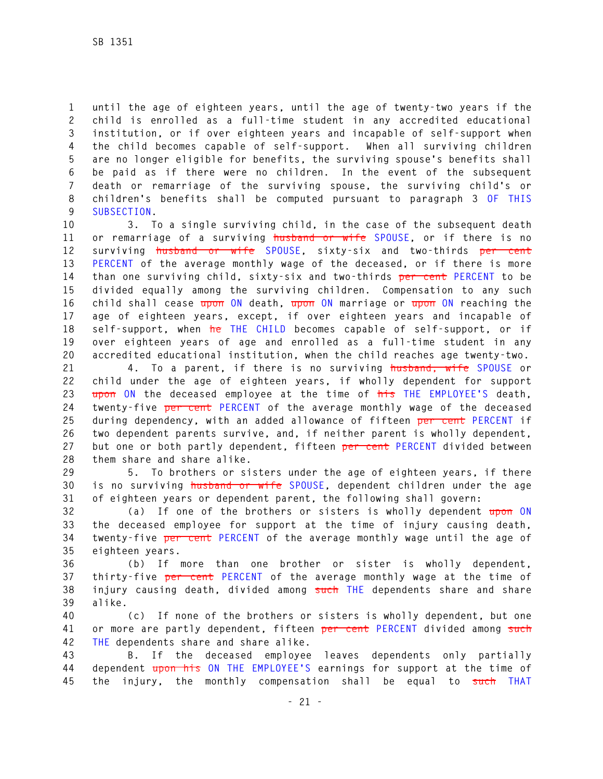**1 until the age of eighteen years, until the age of twenty-two years if the 2 child is enrolled as a full-time student in any accredited educational 3 institution, or if over eighteen years and incapable of self-support when 4 the child becomes capable of self-support. When all surviving children 5 are no longer eligible for benefits, the surviving spouse's benefits shall 6 be paid as if there were no children. In the event of the subsequent 7 death or remarriage of the surviving spouse, the surviving child's or 8 children's benefits shall be computed pursuant to paragraph 3 OF THIS 9 SUBSECTION.** 

**10 3. To a single surviving child, in the case of the subsequent death 11 or remarriage of a surviving husband or wife SPOUSE, or if there is no 12 surviving husband or wife SPOUSE, sixty-six and two-thirds per cent 13 PERCENT of the average monthly wage of the deceased, or if there is more 14 than one surviving child, sixty-six and two-thirds per cent PERCENT to be 15 divided equally among the surviving children. Compensation to any such 16 child shall cease upon ON death, upon ON marriage or upon ON reaching the 17 age of eighteen years, except, if over eighteen years and incapable of 18 self-support, when he THE CHILD becomes capable of self-support, or if 19 over eighteen years of age and enrolled as a full-time student in any 20 accredited educational institution, when the child reaches age twenty-two.** 

**21 4. To a parent, if there is no surviving husband, wife SPOUSE or 22 child under the age of eighteen years, if wholly dependent for support 23 upon ON the deceased employee at the time of his THE EMPLOYEE'S death, 24 twenty-five per cent PERCENT of the average monthly wage of the deceased 25 during dependency, with an added allowance of fifteen per cent PERCENT if 26 two dependent parents survive, and, if neither parent is wholly dependent, 27 but one or both partly dependent, fifteen per cent PERCENT divided between 28 them share and share alike.** 

**29 5. To brothers or sisters under the age of eighteen years, if there 30 is no surviving husband or wife SPOUSE, dependent children under the age 31 of eighteen years or dependent parent, the following shall govern:** 

**32 (a) If one of the brothers or sisters is wholly dependent upon ON 33 the deceased employee for support at the time of injury causing death, 34 twenty-five per cent PERCENT of the average monthly wage until the age of 35 eighteen years.** 

**36 (b) If more than one brother or sister is wholly dependent, 37 thirty-five per cent PERCENT of the average monthly wage at the time of 38 injury causing death, divided among such THE dependents share and share 39 alike.** 

**40 (c) If none of the brothers or sisters is wholly dependent, but one 41 or more are partly dependent, fifteen per cent PERCENT divided among such 42 THE dependents share and share alike.** 

**43 B. If the deceased employee leaves dependents only partially 44 dependent upon his ON THE EMPLOYEE'S earnings for support at the time of 45 the injury, the monthly compensation shall be equal to such THAT**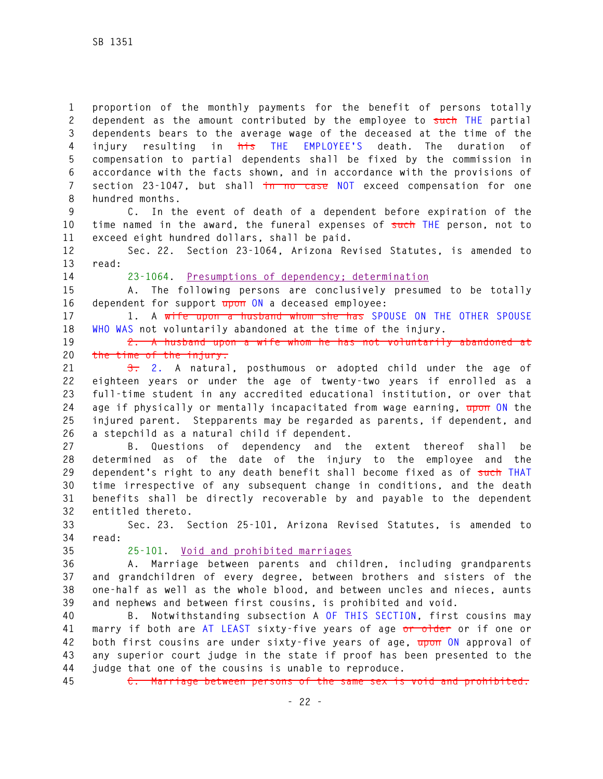**1 proportion of the monthly payments for the benefit of persons totally 2 dependent as the amount contributed by the employee to such THE partial 3 dependents bears to the average wage of the deceased at the time of the 4 injury resulting in his THE EMPLOYEE'S death. The duration of 5 compensation to partial dependents shall be fixed by the commission in 6 accordance with the facts shown, and in accordance with the provisions of 7 section 23-1047, but shall in no case NOT exceed compensation for one 8 hundred months.** 

**9 C. In the event of death of a dependent before expiration of the 10 time named in the award, the funeral expenses of such THE person, not to 11 exceed eight hundred dollars, shall be paid.** 

**12 Sec. 22. Section 23-1064, Arizona Revised Statutes, is amended to 13 read:** 

**14 23-1064. Presumptions of dependency; determination**

**15 A. The following persons are conclusively presumed to be totally 16 dependent for support upon ON a deceased employee:** 

**17 1. A wife upon a husband whom she has SPOUSE ON THE OTHER SPOUSE 18 WHO WAS not voluntarily abandoned at the time of the injury.**

**19 2. A husband upon a wife whom he has not voluntarily abandoned at 20 the time of the injury.** 

**21 3. 2. A natural, posthumous or adopted child under the age of 22 eighteen years or under the age of twenty-two years if enrolled as a 23 full-time student in any accredited educational institution, or over that 24 age if physically or mentally incapacitated from wage earning, upon ON the 25 injured parent. Stepparents may be regarded as parents, if dependent, and 26 a stepchild as a natural child if dependent.** 

**27 B. Questions of dependency and the extent thereof shall be 28 determined as of the date of the injury to the employee and the 29 dependent's right to any death benefit shall become fixed as of such THAT 30 time irrespective of any subsequent change in conditions, and the death 31 benefits shall be directly recoverable by and payable to the dependent 32 entitled thereto.** 

**33 Sec. 23. Section 25-101, Arizona Revised Statutes, is amended to 34 read:** 

**35 25-101. Void and prohibited marriages**

**36 A. Marriage between parents and children, including grandparents 37 and grandchildren of every degree, between brothers and sisters of the 38 one-half as well as the whole blood, and between uncles and nieces, aunts 39 and nephews and between first cousins, is prohibited and void.** 

**40 B. Notwithstanding subsection A OF THIS SECTION, first cousins may 41 marry if both are AT LEAST sixty-five years of age or older or if one or 42 both first cousins are under sixty-five years of age, upon ON approval of 43 any superior court judge in the state if proof has been presented to the 44 judge that one of the cousins is unable to reproduce.** 

**45 C. Marriage between persons of the same sex is void and prohibited.**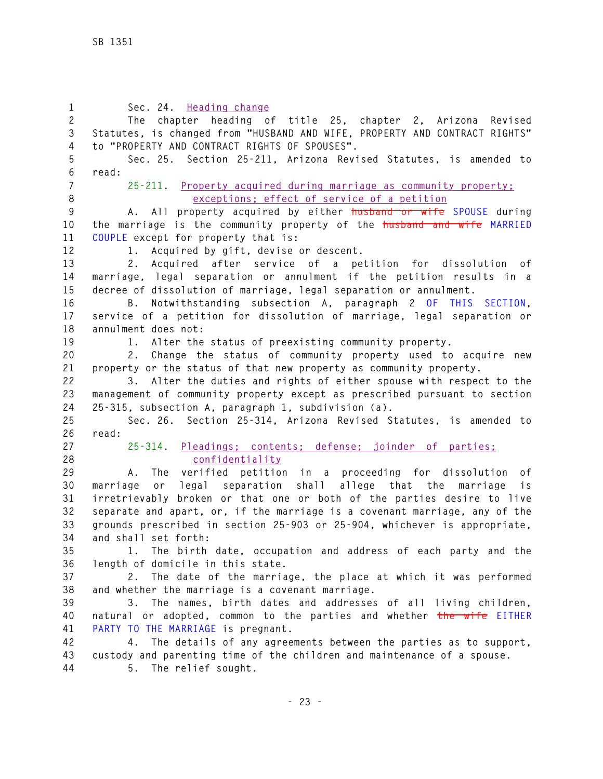**1 Sec. 24. Heading change 2 The chapter heading of title 25, chapter 2, Arizona Revised 3 Statutes, is changed from "HUSBAND AND WIFE, PROPERTY AND CONTRACT RIGHTS" 4 to "PROPERTY AND CONTRACT RIGHTS OF SPOUSES". 5 Sec. 25. Section 25-211, Arizona Revised Statutes, is amended to 6 read: 7 25-211. Property acquired during marriage as community property; 8 exceptions; effect of service of a petition 9 A. All property acquired by either husband or wife SPOUSE during 10 the marriage is the community property of the husband and wife MARRIED 11 COUPLE except for property that is: 12 1. Acquired by gift, devise or descent. 13 2. Acquired after service of a petition for dissolution of 14 marriage, legal separation or annulment if the petition results in a 15 decree of dissolution of marriage, legal separation or annulment. 16 B. Notwithstanding subsection A, paragraph 2 OF THIS SECTION, 17 service of a petition for dissolution of marriage, legal separation or 18 annulment does not: 19 1. Alter the status of preexisting community property. 20 2. Change the status of community property used to acquire new 21 property or the status of that new property as community property. 22 3. Alter the duties and rights of either spouse with respect to the 23 management of community property except as prescribed pursuant to section 24 25-315, subsection A, paragraph 1, subdivision (a). 25 Sec. 26. Section 25-314, Arizona Revised Statutes, is amended to 26 read: 27 25-314. Pleadings; contents; defense; joinder of parties; 28 confidentiality 29 A. The verified petition in a proceeding for dissolution of 30 marriage or legal separation shall allege that the marriage is 31 irretrievably broken or that one or both of the parties desire to live 32 separate and apart, or, if the marriage is a covenant marriage, any of the 33 grounds prescribed in section 25-903 or 25-904, whichever is appropriate, 34 and shall set forth: 35 1. The birth date, occupation and address of each party and the 36 length of domicile in this state. 37 2. The date of the marriage, the place at which it was performed 38 and whether the marriage is a covenant marriage. 39 3. The names, birth dates and addresses of all living children, 40 natural or adopted, common to the parties and whether the wife EITHER 41 PARTY TO THE MARRIAGE is pregnant. 42 4. The details of any agreements between the parties as to support, 43 custody and parenting time of the children and maintenance of a spouse. 44 5. The relief sought.**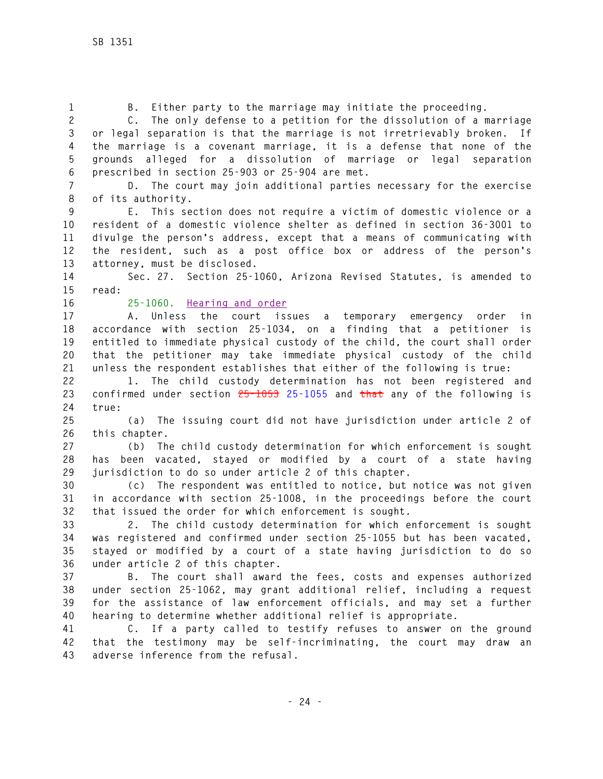**1 B. Either party to the marriage may initiate the proceeding.** 

**2 C. The only defense to a petition for the dissolution of a marriage 3 or legal separation is that the marriage is not irretrievably broken. If 4 the marriage is a covenant marriage, it is a defense that none of the 5 grounds alleged for a dissolution of marriage or legal separation 6 prescribed in section 25-903 or 25-904 are met.** 

**7 D. The court may join additional parties necessary for the exercise 8 of its authority.** 

**9 E. This section does not require a victim of domestic violence or a 10 resident of a domestic violence shelter as defined in section 36-3001 to 11 divulge the person's address, except that a means of communicating with 12 the resident, such as a post office box or address of the person's 13 attorney, must be disclosed.** 

**14 Sec. 27. Section 25-1060, Arizona Revised Statutes, is amended to 15 read:** 

**16 25-1060. Hearing and order** 

**17 A. Unless the court issues a temporary emergency order in 18 accordance with section 25-1034, on a finding that a petitioner is 19 entitled to immediate physical custody of the child, the court shall order 20 that the petitioner may take immediate physical custody of the child 21 unless the respondent establishes that either of the following is true:** 

**22 1. The child custody determination has not been registered and 23 confirmed under section 25-1053 25-1055 and that any of the following is 24 true:** 

**25 (a) The issuing court did not have jurisdiction under article 2 of 26 this chapter.** 

**27 (b) The child custody determination for which enforcement is sought 28 has been vacated, stayed or modified by a court of a state having 29 jurisdiction to do so under article 2 of this chapter.** 

**30 (c) The respondent was entitled to notice, but notice was not given 31 in accordance with section 25-1008, in the proceedings before the court 32 that issued the order for which enforcement is sought.** 

**33 2. The child custody determination for which enforcement is sought 34 was registered and confirmed under section 25-1055 but has been vacated, 35 stayed or modified by a court of a state having jurisdiction to do so 36 under article 2 of this chapter.** 

**37 B. The court shall award the fees, costs and expenses authorized 38 under section 25-1062, may grant additional relief, including a request 39 for the assistance of law enforcement officials, and may set a further 40 hearing to determine whether additional relief is appropriate.** 

**41 C. If a party called to testify refuses to answer on the ground 42 that the testimony may be self-incriminating, the court may draw an 43 adverse inference from the refusal.**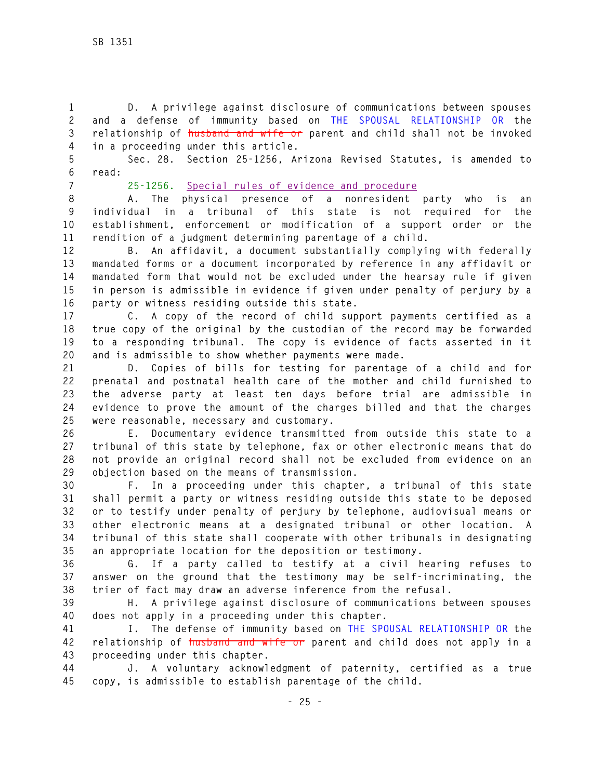**1 D. A privilege against disclosure of communications between spouses 2 and a defense of immunity based on THE SPOUSAL RELATIONSHIP OR the 3 relationship of husband and wife or parent and child shall not be invoked 4 in a proceeding under this article.** 

**5 Sec. 28. Section 25-1256, Arizona Revised Statutes, is amended to 6 read:** 

**7 25-1256. Special rules of evidence and procedure**

**8 A. The physical presence of a nonresident party who is an 9 individual in a tribunal of this state is not required for the 10 establishment, enforcement or modification of a support order or the 11 rendition of a judgment determining parentage of a child.** 

**12 B. An affidavit, a document substantially complying with federally 13 mandated forms or a document incorporated by reference in any affidavit or 14 mandated form that would not be excluded under the hearsay rule if given 15 in person is admissible in evidence if given under penalty of perjury by a 16 party or witness residing outside this state.** 

**17 C. A copy of the record of child support payments certified as a 18 true copy of the original by the custodian of the record may be forwarded 19 to a responding tribunal. The copy is evidence of facts asserted in it 20 and is admissible to show whether payments were made.** 

**21 D. Copies of bills for testing for parentage of a child and for 22 prenatal and postnatal health care of the mother and child furnished to 23 the adverse party at least ten days before trial are admissible in 24 evidence to prove the amount of the charges billed and that the charges 25 were reasonable, necessary and customary.** 

**26 E. Documentary evidence transmitted from outside this state to a 27 tribunal of this state by telephone, fax or other electronic means that do 28 not provide an original record shall not be excluded from evidence on an 29 objection based on the means of transmission.** 

**30 F. In a proceeding under this chapter, a tribunal of this state 31 shall permit a party or witness residing outside this state to be deposed 32 or to testify under penalty of perjury by telephone, audiovisual means or 33 other electronic means at a designated tribunal or other location. A 34 tribunal of this state shall cooperate with other tribunals in designating 35 an appropriate location for the deposition or testimony.** 

**36 G. If a party called to testify at a civil hearing refuses to 37 answer on the ground that the testimony may be self-incriminating, the 38 trier of fact may draw an adverse inference from the refusal.** 

**39 H. A privilege against disclosure of communications between spouses 40 does not apply in a proceeding under this chapter.** 

**41 I. The defense of immunity based on THE SPOUSAL RELATIONSHIP OR the 42 relationship of husband and wife or parent and child does not apply in a 43 proceeding under this chapter.** 

**44 J. A voluntary acknowledgment of paternity, certified as a true 45 copy, is admissible to establish parentage of the child.**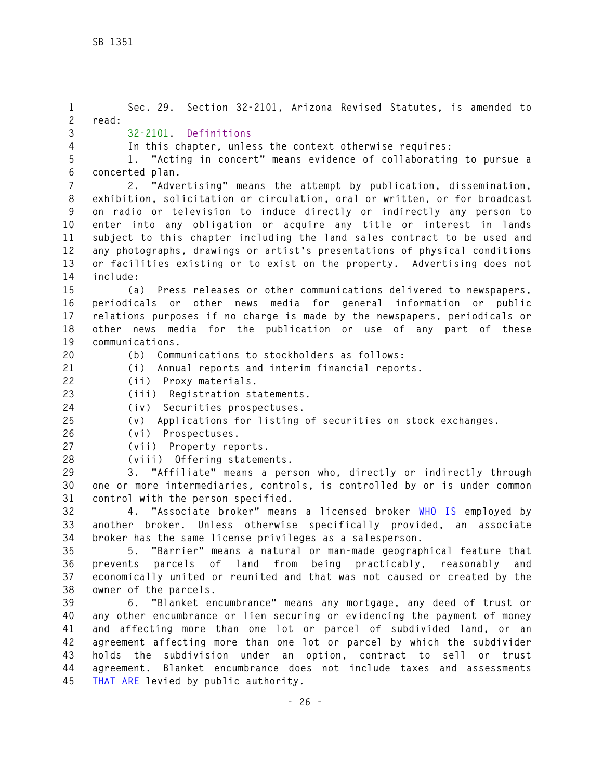**1 Sec. 29. Section 32-2101, Arizona Revised Statutes, is amended to 2 read: 3 32-2101. Definitions 4 In this chapter, unless the context otherwise requires: 5 1. "Acting in concert" means evidence of collaborating to pursue a 6 concerted plan. 7 2. "Advertising" means the attempt by publication, dissemination, 8 exhibition, solicitation or circulation, oral or written, or for broadcast 9 on radio or television to induce directly or indirectly any person to 10 enter into any obligation or acquire any title or interest in lands 11 subject to this chapter including the land sales contract to be used and 12 any photographs, drawings or artist's presentations of physical conditions 13 or facilities existing or to exist on the property. Advertising does not 14 include: 15 (a) Press releases or other communications delivered to newspapers, 16 periodicals or other news media for general information or public 17 relations purposes if no charge is made by the newspapers, periodicals or 18 other news media for the publication or use of any part of these 19 communications. 20 (b) Communications to stockholders as follows: 21 (i) Annual reports and interim financial reports. 22 (ii) Proxy materials. 23 (iii) Registration statements. 24 (iv) Securities prospectuses. 25 (v) Applications for listing of securities on stock exchanges. 26 (vi) Prospectuses. 27 (vii) Property reports. 28 (viii) Offering statements. 29 3. "Affiliate" means a person who, directly or indirectly through 30 one or more intermediaries, controls, is controlled by or is under common 31 control with the person specified. 32 4. "Associate broker" means a licensed broker WHO IS employed by 33 another broker. Unless otherwise specifically provided, an associate 34 broker has the same license privileges as a salesperson. 35 5. "Barrier" means a natural or man-made geographical feature that 36 prevents parcels of land from being practicably, reasonably and 37 economically united or reunited and that was not caused or created by the 38 owner of the parcels. 39 6. "Blanket encumbrance" means any mortgage, any deed of trust or 40 any other encumbrance or lien securing or evidencing the payment of money 41 and affecting more than one lot or parcel of subdivided land, or an 42 agreement affecting more than one lot or parcel by which the subdivider 43 holds the subdivision under an option, contract to sell or trust 44 agreement. Blanket encumbrance does not include taxes and assessments 45 THAT ARE levied by public authority.**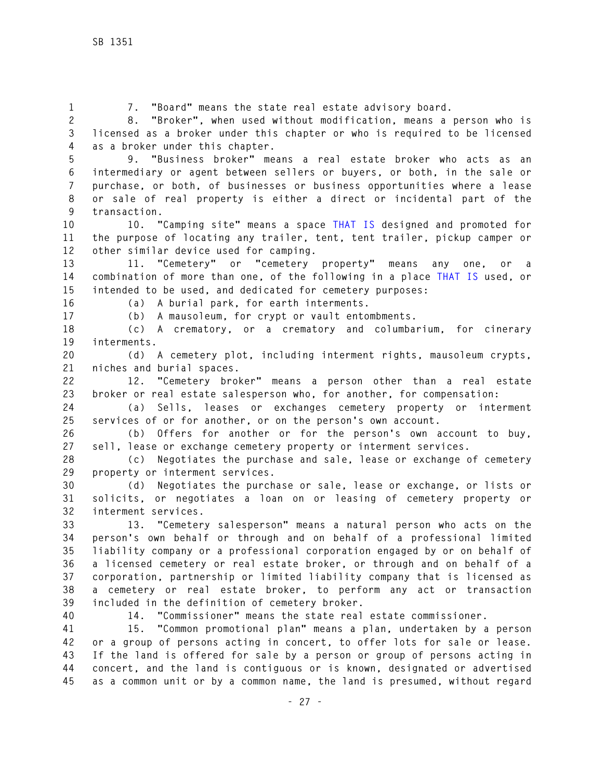**1 7. "Board" means the state real estate advisory board.** 

**2 8. "Broker", when used without modification, means a person who is 3 licensed as a broker under this chapter or who is required to be licensed 4 as a broker under this chapter.** 

**5 9. "Business broker" means a real estate broker who acts as an 6 intermediary or agent between sellers or buyers, or both, in the sale or 7 purchase, or both, of businesses or business opportunities where a lease 8 or sale of real property is either a direct or incidental part of the 9 transaction.** 

**10 10. "Camping site" means a space THAT IS designed and promoted for 11 the purpose of locating any trailer, tent, tent trailer, pickup camper or 12 other similar device used for camping.** 

**13 11. "Cemetery" or "cemetery property" means any one, or a 14 combination of more than one, of the following in a place THAT IS used, or 15 intended to be used, and dedicated for cemetery purposes:** 

**16 (a) A burial park, for earth interments.** 

**17 (b) A mausoleum, for crypt or vault entombments.** 

**18 (c) A crematory, or a crematory and columbarium, for cinerary 19 interments.** 

**20 (d) A cemetery plot, including interment rights, mausoleum crypts, 21 niches and burial spaces.** 

**22 12. "Cemetery broker" means a person other than a real estate 23 broker or real estate salesperson who, for another, for compensation:** 

**24 (a) Sells, leases or exchanges cemetery property or interment 25 services of or for another, or on the person's own account.** 

**26 (b) Offers for another or for the person's own account to buy, 27 sell, lease or exchange cemetery property or interment services.** 

**28 (c) Negotiates the purchase and sale, lease or exchange of cemetery 29 property or interment services.** 

**30 (d) Negotiates the purchase or sale, lease or exchange, or lists or 31 solicits, or negotiates a loan on or leasing of cemetery property or 32 interment services.** 

**33 13. "Cemetery salesperson" means a natural person who acts on the 34 person's own behalf or through and on behalf of a professional limited 35 liability company or a professional corporation engaged by or on behalf of 36 a licensed cemetery or real estate broker, or through and on behalf of a 37 corporation, partnership or limited liability company that is licensed as 38 a cemetery or real estate broker, to perform any act or transaction 39 included in the definition of cemetery broker.** 

**40 14. "Commissioner" means the state real estate commissioner.** 

**41 15. "Common promotional plan" means a plan, undertaken by a person 42 or a group of persons acting in concert, to offer lots for sale or lease. 43 If the land is offered for sale by a person or group of persons acting in 44 concert, and the land is contiguous or is known, designated or advertised 45 as a common unit or by a common name, the land is presumed, without regard**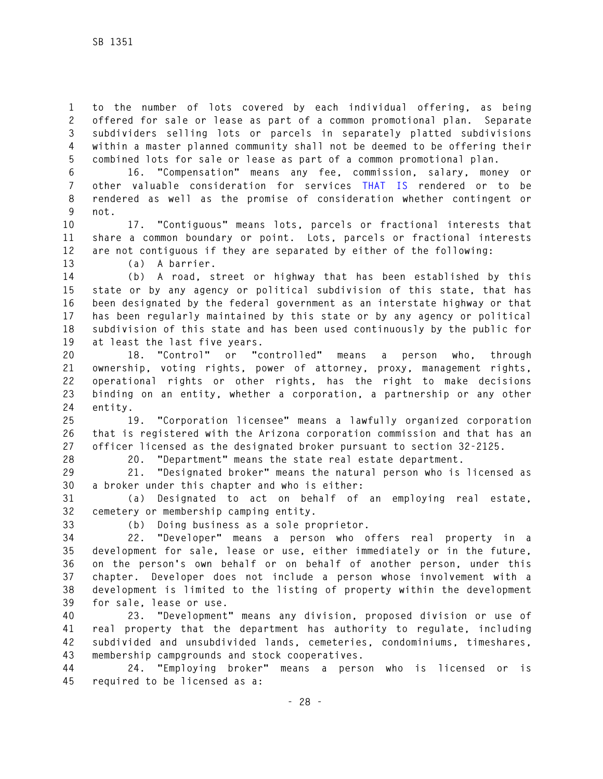**1 to the number of lots covered by each individual offering, as being 2 offered for sale or lease as part of a common promotional plan. Separate 3 subdividers selling lots or parcels in separately platted subdivisions 4 within a master planned community shall not be deemed to be offering their 5 combined lots for sale or lease as part of a common promotional plan.** 

**6 16. "Compensation" means any fee, commission, salary, money or 7 other valuable consideration for services THAT IS rendered or to be 8 rendered as well as the promise of consideration whether contingent or 9 not.** 

**10 17. "Contiguous" means lots, parcels or fractional interests that 11 share a common boundary or point. Lots, parcels or fractional interests 12 are not contiguous if they are separated by either of the following:** 

**13 (a) A barrier.** 

**14 (b) A road, street or highway that has been established by this 15 state or by any agency or political subdivision of this state, that has 16 been designated by the federal government as an interstate highway or that 17 has been regularly maintained by this state or by any agency or political 18 subdivision of this state and has been used continuously by the public for 19 at least the last five years.** 

**20 18. "Control" or "controlled" means a person who, through 21 ownership, voting rights, power of attorney, proxy, management rights, 22 operational rights or other rights, has the right to make decisions 23 binding on an entity, whether a corporation, a partnership or any other 24 entity.** 

**25 19. "Corporation licensee" means a lawfully organized corporation 26 that is registered with the Arizona corporation commission and that has an 27 officer licensed as the designated broker pursuant to section 32-2125.** 

**28 20. "Department" means the state real estate department.** 

**29 21. "Designated broker" means the natural person who is licensed as 30 a broker under this chapter and who is either:** 

**31 (a) Designated to act on behalf of an employing real estate, 32 cemetery or membership camping entity.** 

**33 (b) Doing business as a sole proprietor.** 

**34 22. "Developer" means a person who offers real property in a 35 development for sale, lease or use, either immediately or in the future, 36 on the person's own behalf or on behalf of another person, under this 37 chapter. Developer does not include a person whose involvement with a 38 development is limited to the listing of property within the development 39 for sale, lease or use.** 

**40 23. "Development" means any division, proposed division or use of 41 real property that the department has authority to regulate, including 42 subdivided and unsubdivided lands, cemeteries, condominiums, timeshares, 43 membership campgrounds and stock cooperatives.** 

**44 24. "Employing broker" means a person who is licensed or is 45 required to be licensed as a:**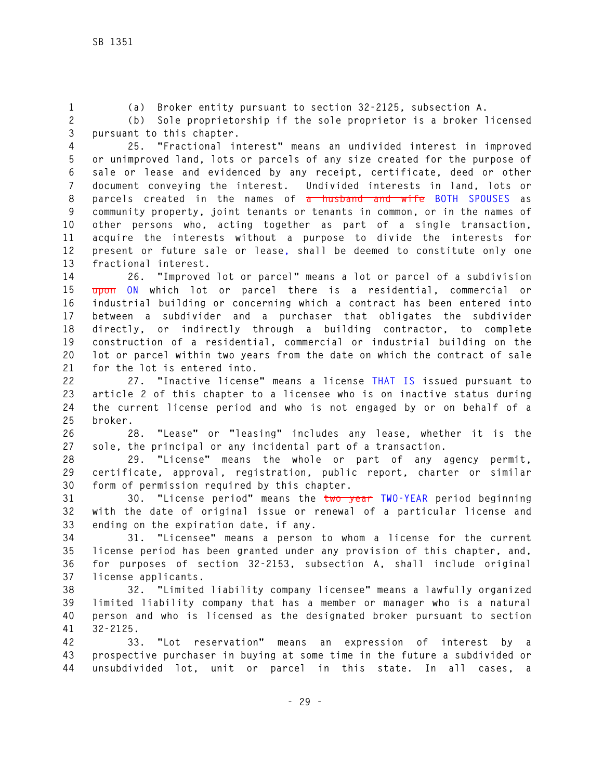**1 (a) Broker entity pursuant to section 32-2125, subsection A.** 

**2 (b) Sole proprietorship if the sole proprietor is a broker licensed 3 pursuant to this chapter.** 

**4 25. "Fractional interest" means an undivided interest in improved 5 or unimproved land, lots or parcels of any size created for the purpose of 6 sale or lease and evidenced by any receipt, certificate, deed or other 7 document conveying the interest. Undivided interests in land, lots or 8 parcels created in the names of a husband and wife BOTH SPOUSES as 9 community property, joint tenants or tenants in common, or in the names of 10 other persons who, acting together as part of a single transaction, 11 acquire the interests without a purpose to divide the interests for 12 present or future sale or lease, shall be deemed to constitute only one 13 fractional interest.** 

**14 26. "Improved lot or parcel" means a lot or parcel of a subdivision 15 upon ON which lot or parcel there is a residential, commercial or 16 industrial building or concerning which a contract has been entered into 17 between a subdivider and a purchaser that obligates the subdivider 18 directly, or indirectly through a building contractor, to complete 19 construction of a residential, commercial or industrial building on the 20 lot or parcel within two years from the date on which the contract of sale 21 for the lot is entered into.** 

**22 27. "Inactive license" means a license THAT IS issued pursuant to 23 article 2 of this chapter to a licensee who is on inactive status during 24 the current license period and who is not engaged by or on behalf of a 25 broker.** 

**26 28. "Lease" or "leasing" includes any lease, whether it is the 27 sole, the principal or any incidental part of a transaction.** 

**28 29. "License" means the whole or part of any agency permit, 29 certificate, approval, registration, public report, charter or similar 30 form of permission required by this chapter.** 

**31 30. "License period" means the two year TWO-YEAR period beginning 32 with the date of original issue or renewal of a particular license and 33 ending on the expiration date, if any.** 

**34 31. "Licensee" means a person to whom a license for the current 35 license period has been granted under any provision of this chapter, and, 36 for purposes of section 32-2153, subsection A, shall include original 37 license applicants.** 

**38 32. "Limited liability company licensee" means a lawfully organized 39 limited liability company that has a member or manager who is a natural 40 person and who is licensed as the designated broker pursuant to section 41 32-2125.** 

**42 33. "Lot reservation" means an expression of interest by a 43 prospective purchaser in buying at some time in the future a subdivided or 44 unsubdivided lot, unit or parcel in this state. In all cases, a**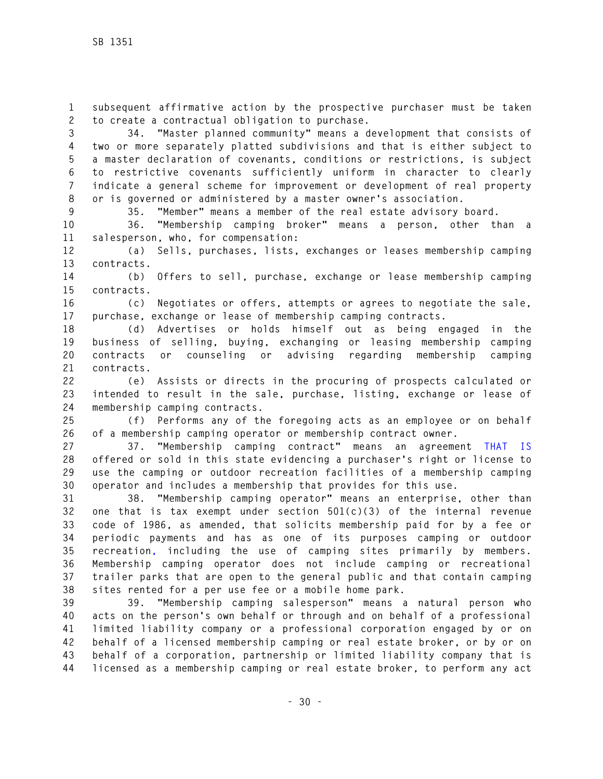**1 subsequent affirmative action by the prospective purchaser must be taken 2 to create a contractual obligation to purchase.** 

**3 34. "Master planned community" means a development that consists of 4 two or more separately platted subdivisions and that is either subject to 5 a master declaration of covenants, conditions or restrictions, is subject 6 to restrictive covenants sufficiently uniform in character to clearly 7 indicate a general scheme for improvement or development of real property 8 or is governed or administered by a master owner's association.** 

**9 35. "Member" means a member of the real estate advisory board.** 

**10 36. "Membership camping broker" means a person, other than a 11 salesperson, who, for compensation:** 

**12 (a) Sells, purchases, lists, exchanges or leases membership camping 13 contracts.** 

**14 (b) Offers to sell, purchase, exchange or lease membership camping 15 contracts.** 

**16 (c) Negotiates or offers, attempts or agrees to negotiate the sale, 17 purchase, exchange or lease of membership camping contracts.** 

**18 (d) Advertises or holds himself out as being engaged in the 19 business of selling, buying, exchanging or leasing membership camping 20 contracts or counseling or advising regarding membership camping 21 contracts.** 

**22 (e) Assists or directs in the procuring of prospects calculated or 23 intended to result in the sale, purchase, listing, exchange or lease of 24 membership camping contracts.** 

**25 (f) Performs any of the foregoing acts as an employee or on behalf 26 of a membership camping operator or membership contract owner.** 

**27 37. "Membership camping contract" means an agreement THAT IS 28 offered or sold in this state evidencing a purchaser's right or license to 29 use the camping or outdoor recreation facilities of a membership camping 30 operator and includes a membership that provides for this use.** 

**31 38. "Membership camping operator" means an enterprise, other than 32 one that is tax exempt under section 501(c)(3) of the internal revenue 33 code of 1986, as amended, that solicits membership paid for by a fee or 34 periodic payments and has as one of its purposes camping or outdoor 35 recreation, including the use of camping sites primarily by members. 36 Membership camping operator does not include camping or recreational 37 trailer parks that are open to the general public and that contain camping 38 sites rented for a per use fee or a mobile home park.** 

**39 39. "Membership camping salesperson" means a natural person who 40 acts on the person's own behalf or through and on behalf of a professional 41 limited liability company or a professional corporation engaged by or on 42 behalf of a licensed membership camping or real estate broker, or by or on 43 behalf of a corporation, partnership or limited liability company that is 44 licensed as a membership camping or real estate broker, to perform any act**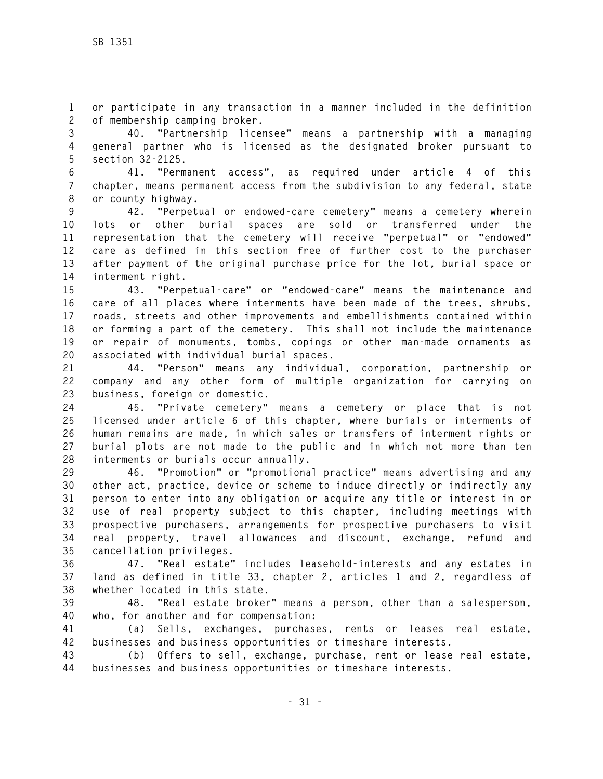**1 or participate in any transaction in a manner included in the definition 2 of membership camping broker.** 

**3 40. "Partnership licensee" means a partnership with a managing 4 general partner who is licensed as the designated broker pursuant to 5 section 32-2125.** 

**6 41. "Permanent access", as required under article 4 of this 7 chapter, means permanent access from the subdivision to any federal, state 8 or county highway.** 

**9 42. "Perpetual or endowed-care cemetery" means a cemetery wherein 10 lots or other burial spaces are sold or transferred under the 11 representation that the cemetery will receive "perpetual" or "endowed" 12 care as defined in this section free of further cost to the purchaser 13 after payment of the original purchase price for the lot, burial space or 14 interment right.** 

**15 43. "Perpetual-care" or "endowed-care" means the maintenance and 16 care of all places where interments have been made of the trees, shrubs, 17 roads, streets and other improvements and embellishments contained within 18 or forming a part of the cemetery. This shall not include the maintenance 19 or repair of monuments, tombs, copings or other man-made ornaments as 20 associated with individual burial spaces.** 

**21 44. "Person" means any individual, corporation, partnership or 22 company and any other form of multiple organization for carrying on 23 business, foreign or domestic.** 

**24 45. "Private cemetery" means a cemetery or place that is not 25 licensed under article 6 of this chapter, where burials or interments of 26 human remains are made, in which sales or transfers of interment rights or 27 burial plots are not made to the public and in which not more than ten 28 interments or burials occur annually.** 

**29 46. "Promotion" or "promotional practice" means advertising and any 30 other act, practice, device or scheme to induce directly or indirectly any 31 person to enter into any obligation or acquire any title or interest in or 32 use of real property subject to this chapter, including meetings with 33 prospective purchasers, arrangements for prospective purchasers to visit 34 real property, travel allowances and discount, exchange, refund and 35 cancellation privileges.** 

**36 47. "Real estate" includes leasehold-interests and any estates in 37 land as defined in title 33, chapter 2, articles 1 and 2, regardless of 38 whether located in this state.** 

**39 48. "Real estate broker" means a person, other than a salesperson, 40 who, for another and for compensation:** 

**41 (a) Sells, exchanges, purchases, rents or leases real estate, 42 businesses and business opportunities or timeshare interests.** 

**43 (b) Offers to sell, exchange, purchase, rent or lease real estate, 44 businesses and business opportunities or timeshare interests.**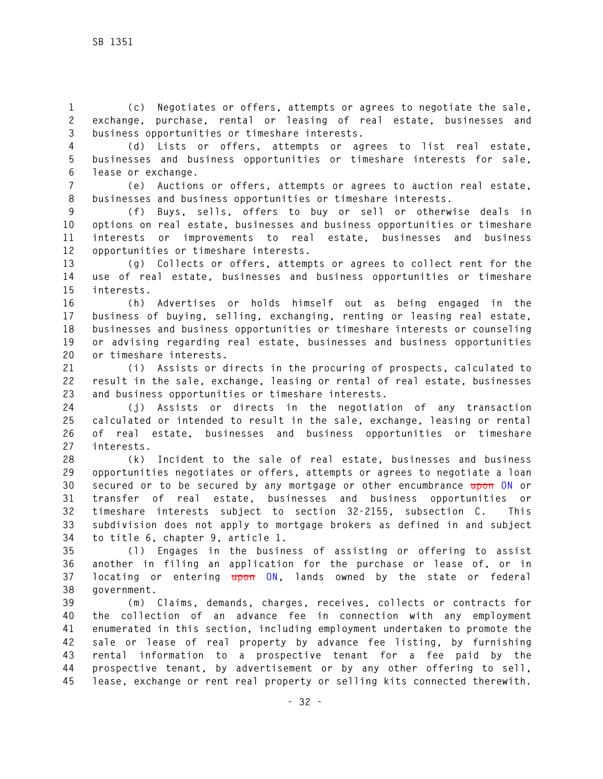**1 (c) Negotiates or offers, attempts or agrees to negotiate the sale, 2 exchange, purchase, rental or leasing of real estate, businesses and 3 business opportunities or timeshare interests.** 

- **4 (d) Lists or offers, attempts or agrees to list real estate, 5 businesses and business opportunities or timeshare interests for sale, 6 lease or exchange.**
- **7 (e) Auctions or offers, attempts or agrees to auction real estate, 8 businesses and business opportunities or timeshare interests.**

**9 (f) Buys, sells, offers to buy or sell or otherwise deals in 10 options on real estate, businesses and business opportunities or timeshare 11 interests or improvements to real estate, businesses and business 12 opportunities or timeshare interests.** 

**13 (g) Collects or offers, attempts or agrees to collect rent for the 14 use of real estate, businesses and business opportunities or timeshare 15 interests.** 

**16 (h) Advertises or holds himself out as being engaged in the 17 business of buying, selling, exchanging, renting or leasing real estate, 18 businesses and business opportunities or timeshare interests or counseling 19 or advising regarding real estate, businesses and business opportunities 20 or timeshare interests.** 

**21 (i) Assists or directs in the procuring of prospects, calculated to 22 result in the sale, exchange, leasing or rental of real estate, businesses 23 and business opportunities or timeshare interests.** 

**24 (j) Assists or directs in the negotiation of any transaction 25 calculated or intended to result in the sale, exchange, leasing or rental 26 of real estate, businesses and business opportunities or timeshare 27 interests.** 

**28 (k) Incident to the sale of real estate, businesses and business 29 opportunities negotiates or offers, attempts or agrees to negotiate a loan 30 secured or to be secured by any mortgage or other encumbrance upon ON or 31 transfer of real estate, businesses and business opportunities or 32 timeshare interests subject to section 32-2155, subsection C. This 33 subdivision does not apply to mortgage brokers as defined in and subject 34 to title 6, chapter 9, article 1.** 

**35 (l) Engages in the business of assisting or offering to assist 36 another in filing an application for the purchase or lease of, or in 37 locating or entering upon ON, lands owned by the state or federal 38 government.** 

**39 (m) Claims, demands, charges, receives, collects or contracts for 40 the collection of an advance fee in connection with any employment 41 enumerated in this section, including employment undertaken to promote the 42 sale or lease of real property by advance fee listing, by furnishing 43 rental information to a prospective tenant for a fee paid by the 44 prospective tenant, by advertisement or by any other offering to sell, 45 lease, exchange or rent real property or selling kits connected therewith.**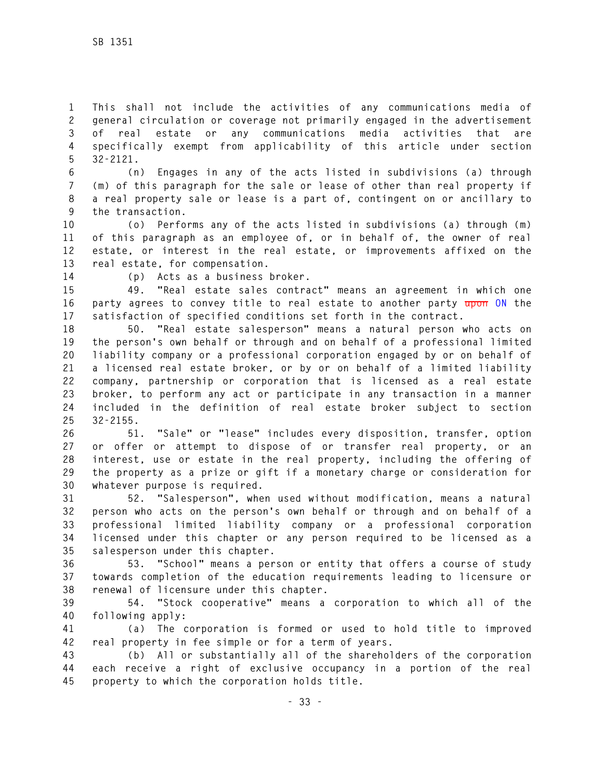**1 This shall not include the activities of any communications media of 2 general circulation or coverage not primarily engaged in the advertisement 3 of real estate or any communications media activities that are 4 specifically exempt from applicability of this article under section 5 32-2121.** 

**6 (n) Engages in any of the acts listed in subdivisions (a) through 7 (m) of this paragraph for the sale or lease of other than real property if 8 a real property sale or lease is a part of, contingent on or ancillary to 9 the transaction.** 

**10 (o) Performs any of the acts listed in subdivisions (a) through (m) 11 of this paragraph as an employee of, or in behalf of, the owner of real 12 estate, or interest in the real estate, or improvements affixed on the 13 real estate, for compensation.** 

**14 (p) Acts as a business broker.** 

**15 49. "Real estate sales contract" means an agreement in which one 16 party agrees to convey title to real estate to another party upon ON the 17 satisfaction of specified conditions set forth in the contract.** 

**18 50. "Real estate salesperson" means a natural person who acts on 19 the person's own behalf or through and on behalf of a professional limited 20 liability company or a professional corporation engaged by or on behalf of 21 a licensed real estate broker, or by or on behalf of a limited liability 22 company, partnership or corporation that is licensed as a real estate 23 broker, to perform any act or participate in any transaction in a manner 24 included in the definition of real estate broker subject to section 25 32-2155.** 

**26 51. "Sale" or "lease" includes every disposition, transfer, option 27 or offer or attempt to dispose of or transfer real property, or an 28 interest, use or estate in the real property, including the offering of 29 the property as a prize or gift if a monetary charge or consideration for 30 whatever purpose is required.** 

**31 52. "Salesperson", when used without modification, means a natural 32 person who acts on the person's own behalf or through and on behalf of a 33 professional limited liability company or a professional corporation 34 licensed under this chapter or any person required to be licensed as a 35 salesperson under this chapter.** 

**36 53. "School" means a person or entity that offers a course of study 37 towards completion of the education requirements leading to licensure or 38 renewal of licensure under this chapter.** 

**39 54. "Stock cooperative" means a corporation to which all of the 40 following apply:** 

**41 (a) The corporation is formed or used to hold title to improved 42 real property in fee simple or for a term of years.** 

**43 (b) All or substantially all of the shareholders of the corporation 44 each receive a right of exclusive occupancy in a portion of the real 45 property to which the corporation holds title.**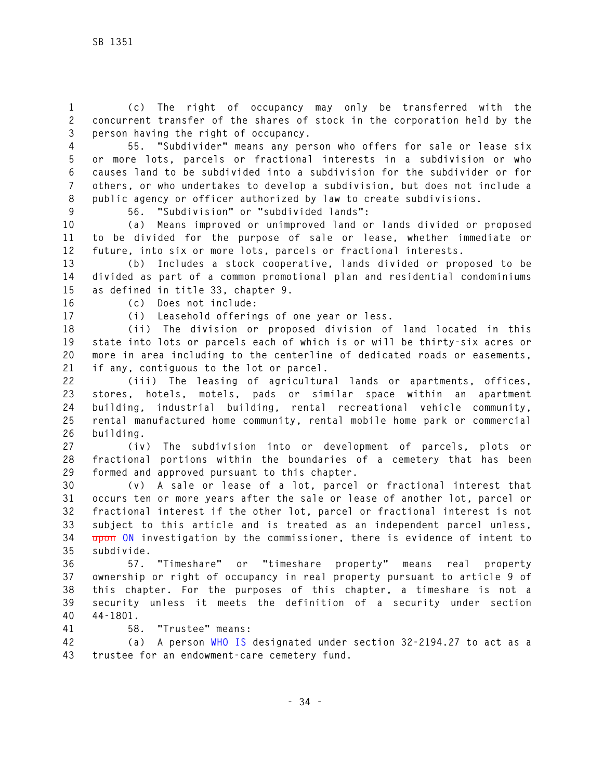**1 (c) The right of occupancy may only be transferred with the 2 concurrent transfer of the shares of stock in the corporation held by the 3 person having the right of occupancy.** 

**4 55. "Subdivider" means any person who offers for sale or lease six 5 or more lots, parcels or fractional interests in a subdivision or who 6 causes land to be subdivided into a subdivision for the subdivider or for 7 others, or who undertakes to develop a subdivision, but does not include a 8 public agency or officer authorized by law to create subdivisions.** 

**9 56. "Subdivision" or "subdivided lands":** 

**10 (a) Means improved or unimproved land or lands divided or proposed 11 to be divided for the purpose of sale or lease, whether immediate or 12 future, into six or more lots, parcels or fractional interests.** 

**13 (b) Includes a stock cooperative, lands divided or proposed to be 14 divided as part of a common promotional plan and residential condominiums 15 as defined in title 33, chapter 9.** 

**16 (c) Does not include:** 

**17 (i) Leasehold offerings of one year or less.** 

**18 (ii) The division or proposed division of land located in this 19 state into lots or parcels each of which is or will be thirty-six acres or 20 more in area including to the centerline of dedicated roads or easements, 21 if any, contiguous to the lot or parcel.** 

**22 (iii) The leasing of agricultural lands or apartments, offices, 23 stores, hotels, motels, pads or similar space within an apartment 24 building, industrial building, rental recreational vehicle community, 25 rental manufactured home community, rental mobile home park or commercial 26 building.** 

**27 (iv) The subdivision into or development of parcels, plots or 28 fractional portions within the boundaries of a cemetery that has been 29 formed and approved pursuant to this chapter.** 

**30 (v) A sale or lease of a lot, parcel or fractional interest that 31 occurs ten or more years after the sale or lease of another lot, parcel or 32 fractional interest if the other lot, parcel or fractional interest is not 33 subject to this article and is treated as an independent parcel unless, 34 upon ON investigation by the commissioner, there is evidence of intent to 35 subdivide.** 

**36 57. "Timeshare" or "timeshare property" means real property 37 ownership or right of occupancy in real property pursuant to article 9 of 38 this chapter. For the purposes of this chapter, a timeshare is not a 39 security unless it meets the definition of a security under section 40 44-1801.** 

**41 58. "Trustee" means:** 

**42 (a) A person WHO IS designated under section 32-2194.27 to act as a 43 trustee for an endowment-care cemetery fund.**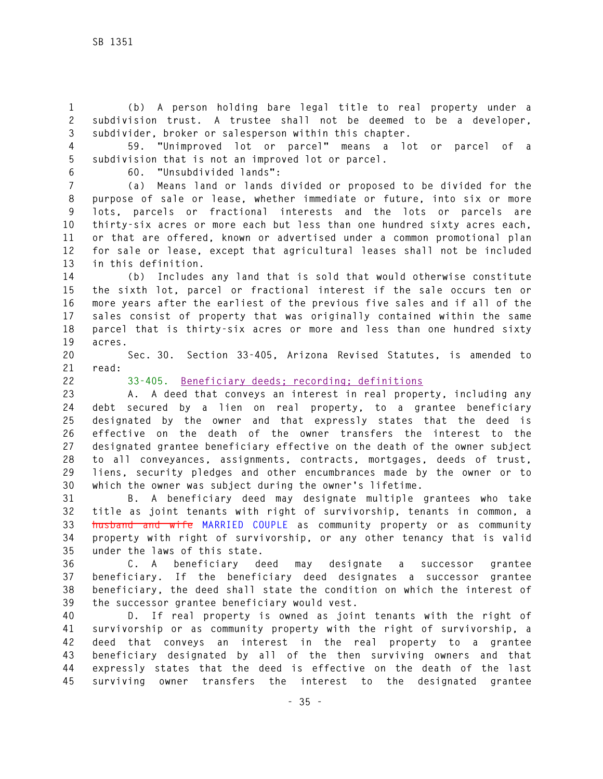**1 (b) A person holding bare legal title to real property under a 2 subdivision trust. A trustee shall not be deemed to be a developer, 3 subdivider, broker or salesperson within this chapter.** 

**4 59. "Unimproved lot or parcel" means a lot or parcel of a 5 subdivision that is not an improved lot or parcel.** 

**6 60. "Unsubdivided lands":** 

**7 (a) Means land or lands divided or proposed to be divided for the 8 purpose of sale or lease, whether immediate or future, into six or more 9 lots, parcels or fractional interests and the lots or parcels are 10 thirty-six acres or more each but less than one hundred sixty acres each, 11 or that are offered, known or advertised under a common promotional plan 12 for sale or lease, except that agricultural leases shall not be included 13 in this definition.** 

**14 (b) Includes any land that is sold that would otherwise constitute 15 the sixth lot, parcel or fractional interest if the sale occurs ten or 16 more years after the earliest of the previous five sales and if all of the 17 sales consist of property that was originally contained within the same 18 parcel that is thirty-six acres or more and less than one hundred sixty 19 acres.** 

**20 Sec. 30. Section 33-405, Arizona Revised Statutes, is amended to 21 read:** 

## **22 33-405. Beneficiary deeds; recording; definitions**

**23 A. A deed that conveys an interest in real property, including any 24 debt secured by a lien on real property, to a grantee beneficiary 25 designated by the owner and that expressly states that the deed is 26 effective on the death of the owner transfers the interest to the 27 designated grantee beneficiary effective on the death of the owner subject 28 to all conveyances, assignments, contracts, mortgages, deeds of trust, 29 liens, security pledges and other encumbrances made by the owner or to 30 which the owner was subject during the owner's lifetime.** 

**31 B. A beneficiary deed may designate multiple grantees who take 32 title as joint tenants with right of survivorship, tenants in common, a 33 husband and wife MARRIED COUPLE as community property or as community 34 property with right of survivorship, or any other tenancy that is valid 35 under the laws of this state.** 

**36 C. A beneficiary deed may designate a successor grantee 37 beneficiary. If the beneficiary deed designates a successor grantee 38 beneficiary, the deed shall state the condition on which the interest of 39 the successor grantee beneficiary would vest.** 

**40 D. If real property is owned as joint tenants with the right of 41 survivorship or as community property with the right of survivorship, a 42 deed that conveys an interest in the real property to a grantee 43 beneficiary designated by all of the then surviving owners and that 44 expressly states that the deed is effective on the death of the last 45 surviving owner transfers the interest to the designated grantee**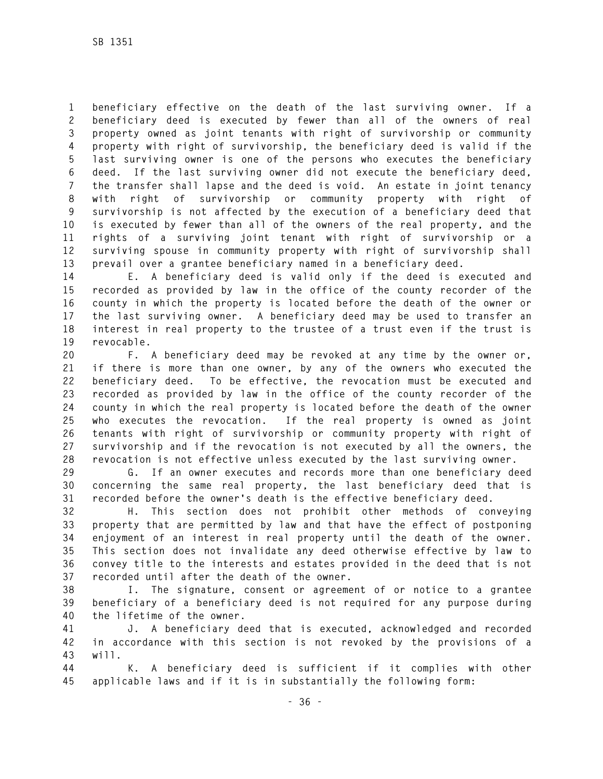**1 beneficiary effective on the death of the last surviving owner. If a 2 beneficiary deed is executed by fewer than all of the owners of real 3 property owned as joint tenants with right of survivorship or community 4 property with right of survivorship, the beneficiary deed is valid if the 5 last surviving owner is one of the persons who executes the beneficiary 6 deed. If the last surviving owner did not execute the beneficiary deed, 7 the transfer shall lapse and the deed is void. An estate in joint tenancy 8 with right of survivorship or community property with right of 9 survivorship is not affected by the execution of a beneficiary deed that 10 is executed by fewer than all of the owners of the real property, and the 11 rights of a surviving joint tenant with right of survivorship or a 12 surviving spouse in community property with right of survivorship shall 13 prevail over a grantee beneficiary named in a beneficiary deed.** 

**14 E. A beneficiary deed is valid only if the deed is executed and 15 recorded as provided by law in the office of the county recorder of the 16 county in which the property is located before the death of the owner or 17 the last surviving owner. A beneficiary deed may be used to transfer an 18 interest in real property to the trustee of a trust even if the trust is 19 revocable.** 

**20 F. A beneficiary deed may be revoked at any time by the owner or, 21 if there is more than one owner, by any of the owners who executed the 22 beneficiary deed. To be effective, the revocation must be executed and 23 recorded as provided by law in the office of the county recorder of the 24 county in which the real property is located before the death of the owner 25 who executes the revocation. If the real property is owned as joint 26 tenants with right of survivorship or community property with right of 27 survivorship and if the revocation is not executed by all the owners, the 28 revocation is not effective unless executed by the last surviving owner.** 

**29 G. If an owner executes and records more than one beneficiary deed 30 concerning the same real property, the last beneficiary deed that is 31 recorded before the owner's death is the effective beneficiary deed.** 

**32 H. This section does not prohibit other methods of conveying 33 property that are permitted by law and that have the effect of postponing 34 enjoyment of an interest in real property until the death of the owner. 35 This section does not invalidate any deed otherwise effective by law to 36 convey title to the interests and estates provided in the deed that is not 37 recorded until after the death of the owner.** 

**38 I. The signature, consent or agreement of or notice to a grantee 39 beneficiary of a beneficiary deed is not required for any purpose during 40 the lifetime of the owner.** 

**41 J. A beneficiary deed that is executed, acknowledged and recorded 42 in accordance with this section is not revoked by the provisions of a 43 will.** 

**44 K. A beneficiary deed is sufficient if it complies with other 45 applicable laws and if it is in substantially the following form:**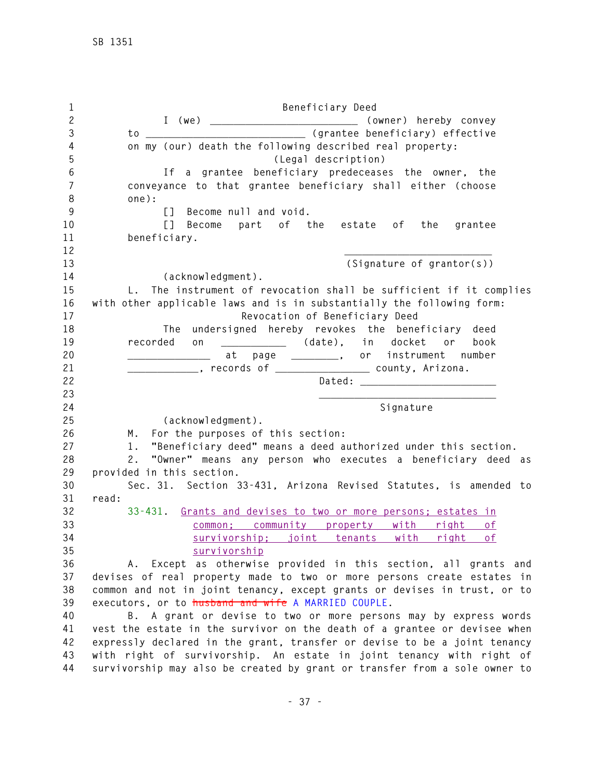**1 Beneficiary Deed 2 I (we) \_\_\_\_\_\_\_\_\_\_\_\_\_\_\_\_\_\_\_\_\_\_\_\_\_ (owner) hereby convey 3 to \_\_\_\_\_\_\_\_\_\_\_\_\_\_\_\_\_\_\_\_\_\_\_\_\_\_\_ (grantee beneficiary) effective 4 on my (our) death the following described real property: 5 (Legal description) 6 If a grantee beneficiary predeceases the owner, the 7 conveyance to that grantee beneficiary shall either (choose 8 one): 9 [] Become null and void. 10 [] Become part of the estate of the grantee 11 beneficiary. 12 \_\_\_\_\_\_\_\_\_\_\_\_\_\_\_\_\_\_\_\_\_\_\_\_\_ 13 (Signature of grantor(s)) 14 (acknowledgment). 15 L. The instrument of revocation shall be sufficient if it complies 16 with other applicable laws and is in substantially the following form: 17 Revocation of Beneficiary Deed 18 The undersigned hereby revokes the beneficiary deed 19 recorded on \_\_\_\_\_\_\_\_\_\_\_ (date), in docket or book 20 \_\_\_\_\_\_\_\_\_\_\_\_\_\_ at page \_\_\_\_\_\_\_\_, or instrument number 21 \_\_\_\_\_\_\_\_\_\_\_\_, records of \_\_\_\_\_\_\_\_\_\_\_\_\_\_\_\_ county, Arizona. 22 Dated: \_\_\_\_\_\_\_\_\_\_\_\_\_\_\_\_\_\_\_\_\_\_\_ 23 \_\_\_\_\_\_\_\_\_\_\_\_\_\_\_\_\_\_\_\_\_\_\_\_\_\_\_\_\_\_**  24 Signature **120 Signature 120 Signature 120 Signature 120 Signature 25 (acknowledgment). 26 M. For the purposes of this section: 27 1. "Beneficiary deed" means a deed authorized under this section. 28 2. "Owner" means any person who executes a beneficiary deed as 29 provided in this section. 30 Sec. 31. Section 33-431, Arizona Revised Statutes, is amended to 31 read: 32 33-431. Grants and devises to two or more persons; estates in 33 common; community property with right of 34 survivorship; joint tenants with right of 35 survivorship 36 A. Except as otherwise provided in this section, all grants and 37 devises of real property made to two or more persons create estates in 38 common and not in joint tenancy, except grants or devises in trust, or to 39 executors, or to husband and wife A MARRIED COUPLE. 40 B. A grant or devise to two or more persons may by express words 41 vest the estate in the survivor on the death of a grantee or devisee when 42 expressly declared in the grant, transfer or devise to be a joint tenancy 43 with right of survivorship. An estate in joint tenancy with right of 44 survivorship may also be created by grant or transfer from a sole owner to**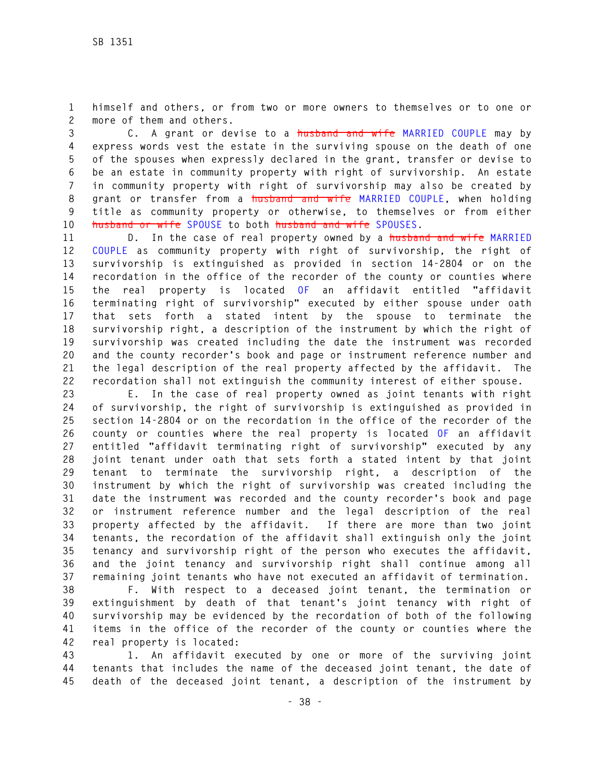**1 himself and others, or from two or more owners to themselves or to one or 2 more of them and others.** 

**3 C. A grant or devise to a husband and wife MARRIED COUPLE may by 4 express words vest the estate in the surviving spouse on the death of one 5 of the spouses when expressly declared in the grant, transfer or devise to 6 be an estate in community property with right of survivorship. An estate 7 in community property with right of survivorship may also be created by 8 grant or transfer from a husband and wife MARRIED COUPLE, when holding 9 title as community property or otherwise, to themselves or from either 10 husband or wife SPOUSE to both husband and wife SPOUSES.** 

**11 D. In the case of real property owned by a husband and wife MARRIED 12 COUPLE as community property with right of survivorship, the right of 13 survivorship is extinguished as provided in section 14-2804 or on the 14 recordation in the office of the recorder of the county or counties where 15 the real property is located OF an affidavit entitled "affidavit 16 terminating right of survivorship" executed by either spouse under oath 17 that sets forth a stated intent by the spouse to terminate the 18 survivorship right, a description of the instrument by which the right of 19 survivorship was created including the date the instrument was recorded 20 and the county recorder's book and page or instrument reference number and 21 the legal description of the real property affected by the affidavit. The 22 recordation shall not extinguish the community interest of either spouse.** 

**23 E. In the case of real property owned as joint tenants with right 24 of survivorship, the right of survivorship is extinguished as provided in 25 section 14-2804 or on the recordation in the office of the recorder of the 26 county or counties where the real property is located OF an affidavit 27 entitled "affidavit terminating right of survivorship" executed by any 28 joint tenant under oath that sets forth a stated intent by that joint 29 tenant to terminate the survivorship right, a description of the 30 instrument by which the right of survivorship was created including the 31 date the instrument was recorded and the county recorder's book and page 32 or instrument reference number and the legal description of the real 33 property affected by the affidavit. If there are more than two joint 34 tenants, the recordation of the affidavit shall extinguish only the joint 35 tenancy and survivorship right of the person who executes the affidavit, 36 and the joint tenancy and survivorship right shall continue among all 37 remaining joint tenants who have not executed an affidavit of termination.** 

**38 F. With respect to a deceased joint tenant, the termination or 39 extinguishment by death of that tenant's joint tenancy with right of 40 survivorship may be evidenced by the recordation of both of the following 41 items in the office of the recorder of the county or counties where the 42 real property is located:** 

**43 1. An affidavit executed by one or more of the surviving joint 44 tenants that includes the name of the deceased joint tenant, the date of 45 death of the deceased joint tenant, a description of the instrument by**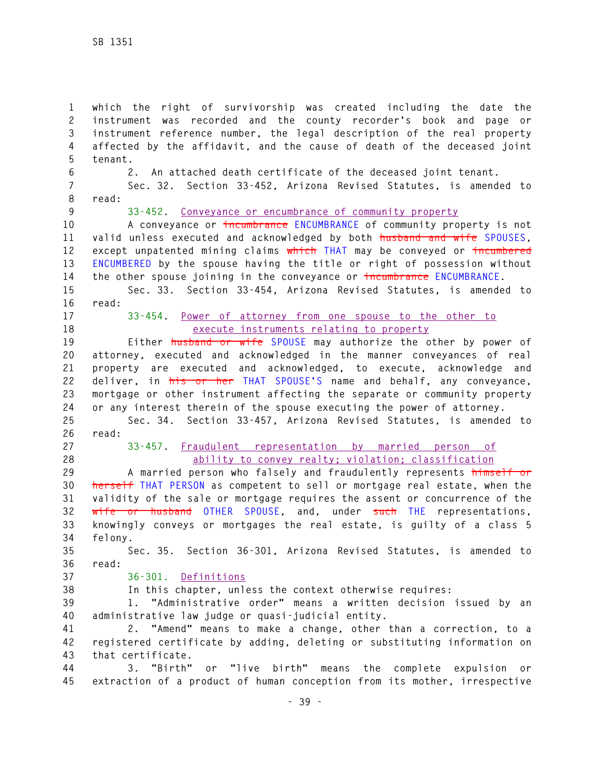**1 which the right of survivorship was created including the date the 2 instrument was recorded and the county recorder's book and page or 3 instrument reference number, the legal description of the real property 4 affected by the affidavit, and the cause of death of the deceased joint 5 tenant.** 

**6 2. An attached death certificate of the deceased joint tenant.** 

**7 Sec. 32. Section 33-452, Arizona Revised Statutes, is amended to 8 read:** 

**9 33-452. Conveyance or encumbrance of community property**

**10 A conveyance or incumbrance ENCUMBRANCE of community property is not 11 valid unless executed and acknowledged by both husband and wife SPOUSES, 12 except unpatented mining claims which THAT may be conveyed or incumbered 13 ENCUMBERED by the spouse having the title or right of possession without 14 the other spouse joining in the conveyance or incumbrance ENCUMBRANCE.** 

**15 Sec. 33. Section 33-454, Arizona Revised Statutes, is amended to 16 read:** 

**17 33-454. Power of attorney from one spouse to the other to 18 execute instruments relating to property**

**19 Either husband or wife SPOUSE may authorize the other by power of 20 attorney, executed and acknowledged in the manner conveyances of real 21 property are executed and acknowledged, to execute, acknowledge and 22 deliver, in his or her THAT SPOUSE'S name and behalf, any conveyance, 23 mortgage or other instrument affecting the separate or community property 24 or any interest therein of the spouse executing the power of attorney.** 

**25 Sec. 34. Section 33-457, Arizona Revised Statutes, is amended to 26 read:** 

**27 33-457. Fraudulent representation by married person of 28 ability to convey realty; violation; classification**

**29 A married person who falsely and fraudulently represents himself or 30 herself THAT PERSON as competent to sell or mortgage real estate, when the 31 validity of the sale or mortgage requires the assent or concurrence of the 32 wife or husband OTHER SPOUSE, and, under such THE representations, 33 knowingly conveys or mortgages the real estate, is guilty of a class 5 34 felony.** 

**35 Sec. 35. Section 36-301, Arizona Revised Statutes, is amended to 36 read:** 

#### **37 36-301. Definitions**

**38 In this chapter, unless the context otherwise requires:** 

**39 1. "Administrative order" means a written decision issued by an 40 administrative law judge or quasi-judicial entity.** 

**41 2. "Amend" means to make a change, other than a correction, to a 42 registered certificate by adding, deleting or substituting information on 43 that certificate.** 

**44 3. "Birth" or "live birth" means the complete expulsion or 45 extraction of a product of human conception from its mother, irrespective**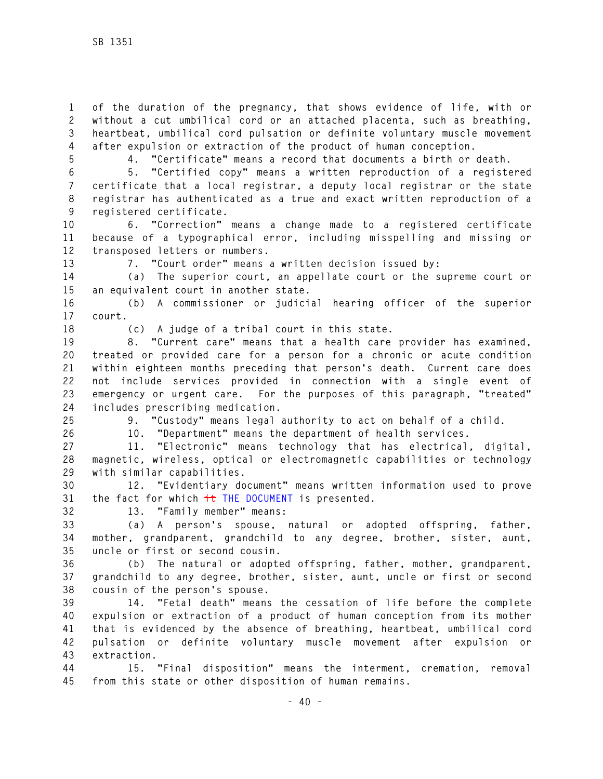**1 of the duration of the pregnancy, that shows evidence of life, with or 2 without a cut umbilical cord or an attached placenta, such as breathing, 3 heartbeat, umbilical cord pulsation or definite voluntary muscle movement 4 after expulsion or extraction of the product of human conception.** 

**5 4. "Certificate" means a record that documents a birth or death.** 

**6 5. "Certified copy" means a written reproduction of a registered 7 certificate that a local registrar, a deputy local registrar or the state 8 registrar has authenticated as a true and exact written reproduction of a 9 registered certificate.** 

**10 6. "Correction" means a change made to a registered certificate 11 because of a typographical error, including misspelling and missing or 12 transposed letters or numbers.** 

**13 7. "Court order" means a written decision issued by:** 

**14 (a) The superior court, an appellate court or the supreme court or 15 an equivalent court in another state.** 

**16 (b) A commissioner or judicial hearing officer of the superior 17 court.** 

**18 (c) A judge of a tribal court in this state.** 

**19 8. "Current care" means that a health care provider has examined, 20 treated or provided care for a person for a chronic or acute condition 21 within eighteen months preceding that person's death. Current care does 22 not include services provided in connection with a single event of 23 emergency or urgent care. For the purposes of this paragraph, "treated" 24 includes prescribing medication.** 

**25 9. "Custody" means legal authority to act on behalf of a child.** 

**26 10. "Department" means the department of health services.** 

**27 11. "Electronic" means technology that has electrical, digital, 28 magnetic, wireless, optical or electromagnetic capabilities or technology 29 with similar capabilities.** 

**30 12. "Evidentiary document" means written information used to prove**  31 the fact for which  $\frac{1}{T}$  THE DOCUMENT is presented.

**32 13. "Family member" means:** 

**33 (a) A person's spouse, natural or adopted offspring, father, 34 mother, grandparent, grandchild to any degree, brother, sister, aunt, 35 uncle or first or second cousin.** 

**36 (b) The natural or adopted offspring, father, mother, grandparent, 37 grandchild to any degree, brother, sister, aunt, uncle or first or second 38 cousin of the person's spouse.** 

**39 14. "Fetal death" means the cessation of life before the complete 40 expulsion or extraction of a product of human conception from its mother 41 that is evidenced by the absence of breathing, heartbeat, umbilical cord 42 pulsation or definite voluntary muscle movement after expulsion or 43 extraction.** 

**44 15. "Final disposition" means the interment, cremation, removal 45 from this state or other disposition of human remains.**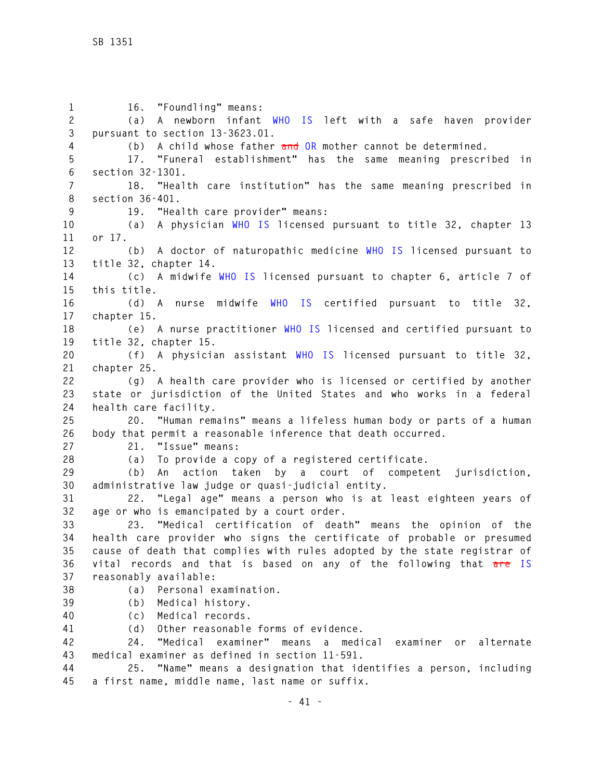**1 16. "Foundling" means: 2 (a) A newborn infant WHO IS left with a safe haven provider 3 pursuant to section 13-3623.01. 4 (b) A child whose father and OR mother cannot be determined. 5 17. "Funeral establishment" has the same meaning prescribed in 6 section 32-1301. 7 18. "Health care institution" has the same meaning prescribed in 8 section 36-401. 9 19. "Health care provider" means: 10 (a) A physician WHO IS licensed pursuant to title 32, chapter 13 11 or 17. 12 (b) A doctor of naturopathic medicine WHO IS licensed pursuant to 13 title 32, chapter 14. 14 (c) A midwife WHO IS licensed pursuant to chapter 6, article 7 of 15 this title. 16 (d) A nurse midwife WHO IS certified pursuant to title 32, 17 chapter 15. 18 (e) A nurse practitioner WHO IS licensed and certified pursuant to 19 title 32, chapter 15. 20 (f) A physician assistant WHO IS licensed pursuant to title 32, 21 chapter 25. 22 (g) A health care provider who is licensed or certified by another 23 state or jurisdiction of the United States and who works in a federal 24 health care facility. 25 20. "Human remains" means a lifeless human body or parts of a human 26 body that permit a reasonable inference that death occurred. 27 21. "Issue" means: 28 (a) To provide a copy of a registered certificate. 29 (b) An action taken by a court of competent jurisdiction, 30 administrative law judge or quasi-judicial entity. 31 22. "Legal age" means a person who is at least eighteen years of 32 age or who is emancipated by a court order. 33 23. "Medical certification of death" means the opinion of the 34 health care provider who signs the certificate of probable or presumed 35 cause of death that complies with rules adopted by the state registrar of 36 vital records and that is based on any of the following that are IS 37 reasonably available: 38 (a) Personal examination. 39 (b) Medical history. 40 (c) Medical records. 41 (d) Other reasonable forms of evidence. 42 24. "Medical examiner" means a medical examiner or alternate 43 medical examiner as defined in section 11-591. 44 25. "Name" means a designation that identifies a person, including 45 a first name, middle name, last name or suffix.**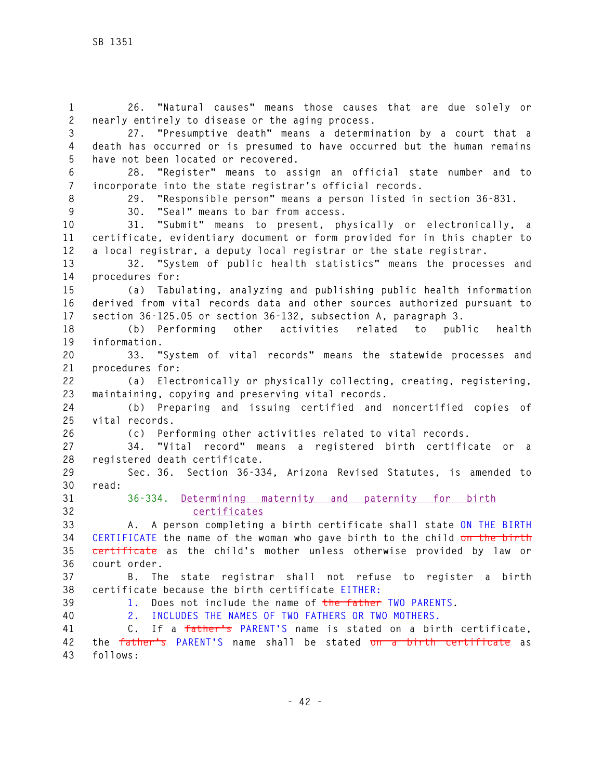**1 26. "Natural causes" means those causes that are due solely or 2 nearly entirely to disease or the aging process. 3 27. "Presumptive death" means a determination by a court that a 4 death has occurred or is presumed to have occurred but the human remains 5 have not been located or recovered. 6 28. "Register" means to assign an official state number and to 7 incorporate into the state registrar's official records. 8 29. "Responsible person" means a person listed in section 36-831. 9 30. "Seal" means to bar from access. 10 31. "Submit" means to present, physically or electronically, a 11 certificate, evidentiary document or form provided for in this chapter to 12 a local registrar, a deputy local registrar or the state registrar. 13 32. "System of public health statistics" means the processes and 14 procedures for: 15 (a) Tabulating, analyzing and publishing public health information 16 derived from vital records data and other sources authorized pursuant to 17 section 36-125.05 or section 36-132, subsection A, paragraph 3. 18 (b) Performing other activities related to public health 19 information. 20 33. "System of vital records" means the statewide processes and 21 procedures for: 22 (a) Electronically or physically collecting, creating, registering, 23 maintaining, copying and preserving vital records. 24 (b) Preparing and issuing certified and noncertified copies of 25 vital records. 26 (c) Performing other activities related to vital records. 27 34. "Vital record" means a registered birth certificate or a 28 registered death certificate. 29 Sec. 36. Section 36-334, Arizona Revised Statutes, is amended to 30 read: 31 36-334. Determining maternity and paternity for birth 32 certificates 33 A. A person completing a birth certificate shall state ON THE BIRTH 34 CERTIFICATE the name of the woman who gave birth to the child on the birth 35 certificate as the child's mother unless otherwise provided by law or 36 court order. 37 B. The state registrar shall not refuse to register a birth 38 certificate because the birth certificate EITHER: 39 1. Does not include the name of the father TWO PARENTS. 40 2. INCLUDES THE NAMES OF TWO FATHERS OR TWO MOTHERS. 41 C. If a father's PARENT'S name is stated on a birth certificate, 42 the father's PARENT'S name shall be stated on a birth certificate as 43 follows:**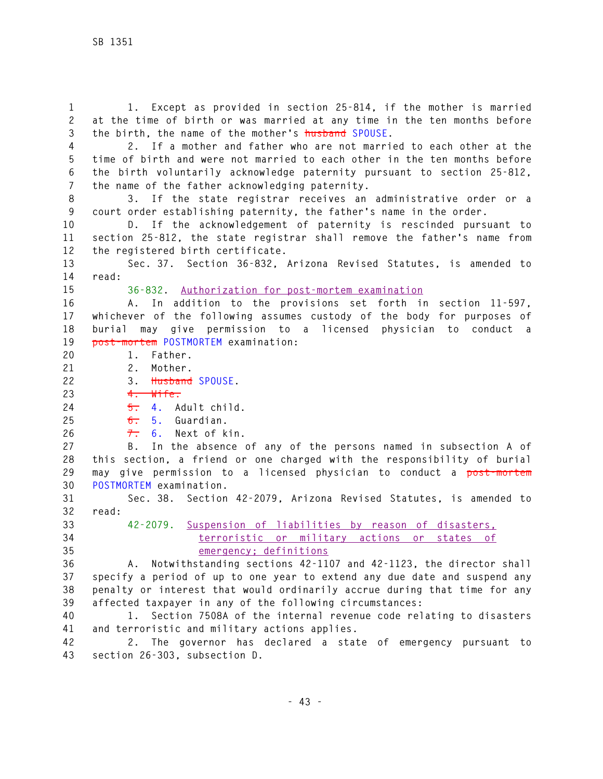**1 1. Except as provided in section 25-814, if the mother is married 2 at the time of birth or was married at any time in the ten months before 3 the birth, the name of the mother's husband SPOUSE.** 

**4 2. If a mother and father who are not married to each other at the 5 time of birth and were not married to each other in the ten months before 6 the birth voluntarily acknowledge paternity pursuant to section 25-812, 7 the name of the father acknowledging paternity.** 

**8 3. If the state registrar receives an administrative order or a 9 court order establishing paternity, the father's name in the order.** 

**10 D. If the acknowledgement of paternity is rescinded pursuant to 11 section 25-812, the state registrar shall remove the father's name from 12 the registered birth certificate.** 

**13 Sec. 37. Section 36-832, Arizona Revised Statutes, is amended to 14 read:** 

**15 36-832. Authorization for post-mortem examination**

**16 A. In addition to the provisions set forth in section 11-597, 17 whichever of the following assumes custody of the body for purposes of 18 burial may give permission to a licensed physician to conduct a 19 post-mortem POSTMORTEM examination:** 

- **20 1. Father.**
- **21 2. Mother.**
- **22 3. Husband SPOUSE.**
- **23 4. Wife.**
- **24 5. 4. Adult child.**
- **25 6. 5. Guardian.**
- **26 7. 6. Next of kin.**

**27 B. In the absence of any of the persons named in subsection A of 28 this section, a friend or one charged with the responsibility of burial 29 may give permission to a licensed physician to conduct a post-mortem 30 POSTMORTEM examination.** 

**31 Sec. 38. Section 42-2079, Arizona Revised Statutes, is amended to 32 read:** 

**33 42-2079. Suspension of liabilities by reason of disasters, 34 terroristic or military actions or states of 35 emergency; definitions**

**36 A. Notwithstanding sections 42-1107 and 42-1123, the director shall 37 specify a period of up to one year to extend any due date and suspend any 38 penalty or interest that would ordinarily accrue during that time for any 39 affected taxpayer in any of the following circumstances:** 

**40 1. Section 7508A of the internal revenue code relating to disasters 41 and terroristic and military actions applies.** 

**42 2. The governor has declared a state of emergency pursuant to 43 section 26-303, subsection D.**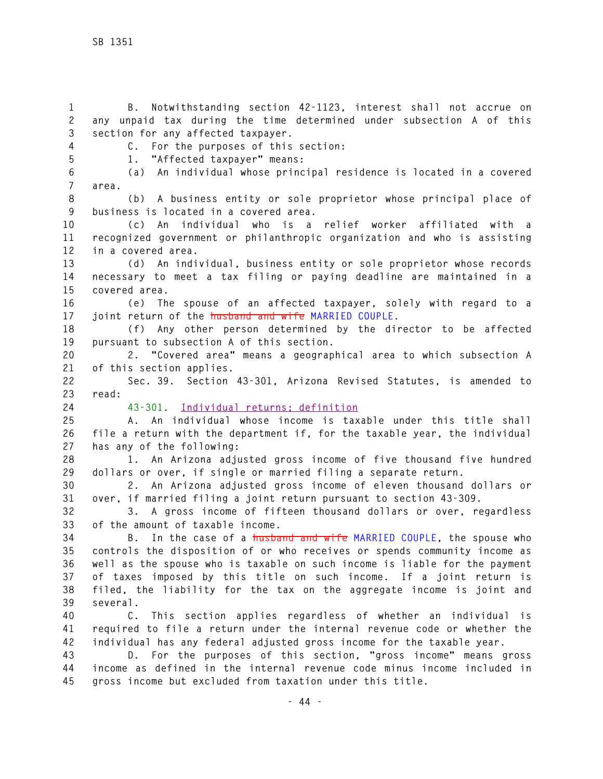**1 B. Notwithstanding section 42-1123, interest shall not accrue on 2 any unpaid tax during the time determined under subsection A of this 3 section for any affected taxpayer.** 

**4 C. For the purposes of this section:** 

**5 1. "Affected taxpayer" means:** 

**6 (a) An individual whose principal residence is located in a covered 7 area.** 

**8 (b) A business entity or sole proprietor whose principal place of 9 business is located in a covered area.** 

**10 (c) An individual who is a relief worker affiliated with a 11 recognized government or philanthropic organization and who is assisting 12 in a covered area.** 

**13 (d) An individual, business entity or sole proprietor whose records 14 necessary to meet a tax filing or paying deadline are maintained in a 15 covered area.** 

**16 (e) The spouse of an affected taxpayer, solely with regard to a 17 joint return of the husband and wife MARRIED COUPLE.** 

**18 (f) Any other person determined by the director to be affected 19 pursuant to subsection A of this section.** 

**20 2. "Covered area" means a geographical area to which subsection A 21 of this section applies.** 

**22 Sec. 39. Section 43-301, Arizona Revised Statutes, is amended to 23 read:** 

**24 43-301. Individual returns; definition**

**25 A. An individual whose income is taxable under this title shall 26 file a return with the department if, for the taxable year, the individual 27 has any of the following:** 

**28 1. An Arizona adjusted gross income of five thousand five hundred 29 dollars or over, if single or married filing a separate return.** 

**30 2. An Arizona adjusted gross income of eleven thousand dollars or 31 over, if married filing a joint return pursuant to section 43-309.** 

**32 3. A gross income of fifteen thousand dollars or over, regardless 33 of the amount of taxable income.** 

**34 B. In the case of a husband and wife MARRIED COUPLE, the spouse who 35 controls the disposition of or who receives or spends community income as 36 well as the spouse who is taxable on such income is liable for the payment 37 of taxes imposed by this title on such income. If a joint return is 38 filed, the liability for the tax on the aggregate income is joint and 39 several.** 

**40 C. This section applies regardless of whether an individual is 41 required to file a return under the internal revenue code or whether the 42 individual has any federal adjusted gross income for the taxable year.** 

**43 D. For the purposes of this section, "gross income" means gross 44 income as defined in the internal revenue code minus income included in 45 gross income but excluded from taxation under this title.**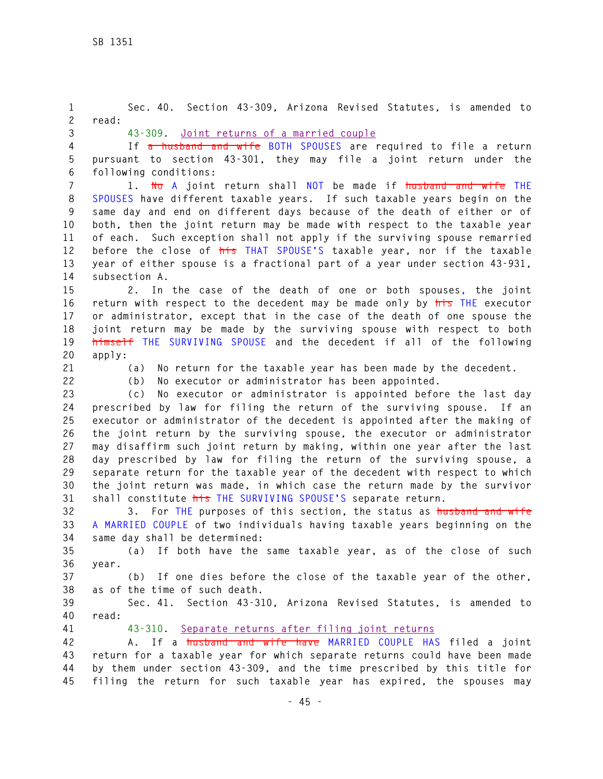**1 Sec. 40. Section 43-309, Arizona Revised Statutes, is amended to 2 read: 3 43-309. Joint returns of a married couple 4 If a husband and wife BOTH SPOUSES are required to file a return 5 pursuant to section 43-301, they may file a joint return under the 6 following conditions: 7 1. No A joint return shall NOT be made if husband and wife THE 8 SPOUSES have different taxable years. If such taxable years begin on the 9 same day and end on different days because of the death of either or of 10 both, then the joint return may be made with respect to the taxable year 11 of each. Such exception shall not apply if the surviving spouse remarried 12 before the close of his THAT SPOUSE'S taxable year, nor if the taxable 13 year of either spouse is a fractional part of a year under section 43-931, 14 subsection A. 15 2. In the case of the death of one or both spouses, the joint 16 return with respect to the decedent may be made only by his THE executor 17 or administrator, except that in the case of the death of one spouse the 18 joint return may be made by the surviving spouse with respect to both 19 himself THE SURVIVING SPOUSE and the decedent if all of the following 20 apply: 21 (a) No return for the taxable year has been made by the decedent. 22 (b) No executor or administrator has been appointed. 23 (c) No executor or administrator is appointed before the last day 24 prescribed by law for filing the return of the surviving spouse. If an 25 executor or administrator of the decedent is appointed after the making of 26 the joint return by the surviving spouse, the executor or administrator 27 may disaffirm such joint return by making, within one year after the last 28 day prescribed by law for filing the return of the surviving spouse, a 29 separate return for the taxable year of the decedent with respect to which 30 the joint return was made, in which case the return made by the survivor 31 shall constitute his THE SURVIVING SPOUSE'S separate return. 32 3. For THE purposes of this section, the status as husband and wife 33 A MARRIED COUPLE of two individuals having taxable years beginning on the 34 same day shall be determined: 35 (a) If both have the same taxable year, as of the close of such 36 year. 37 (b) If one dies before the close of the taxable year of the other, 38 as of the time of such death.** 

**39 Sec. 41. Section 43-310, Arizona Revised Statutes, is amended to 40 read:** 

**41 43-310. Separate returns after filing joint returns**

**42 A. If a husband and wife have MARRIED COUPLE HAS filed a joint 43 return for a taxable year for which separate returns could have been made 44 by them under section 43-309, and the time prescribed by this title for 45 filing the return for such taxable year has expired, the spouses may**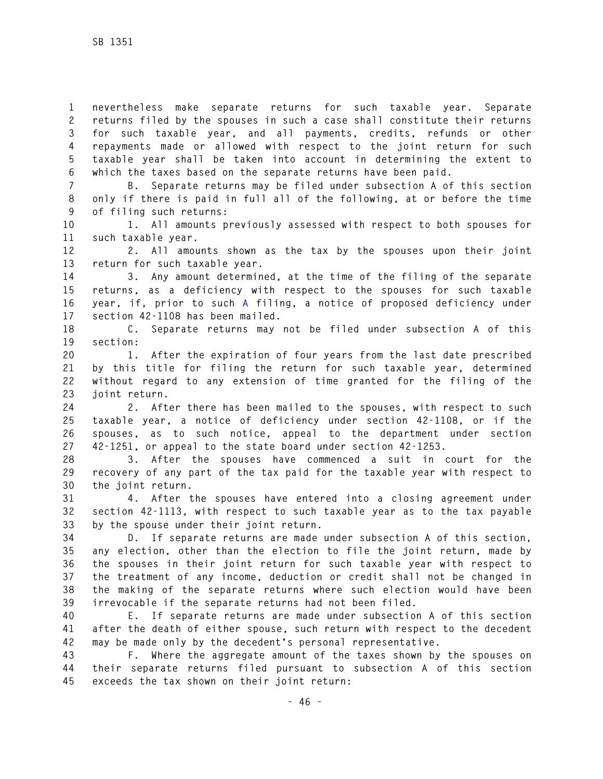**1 nevertheless make separate returns for such taxable year. Separate 2 returns filed by the spouses in such a case shall constitute their returns 3 for such taxable year, and all payments, credits, refunds or other 4 repayments made or allowed with respect to the joint return for such 5 taxable year shall be taken into account in determining the extent to 6 which the taxes based on the separate returns have been paid.** 

**7 B. Separate returns may be filed under subsection A of this section 8 only if there is paid in full all of the following, at or before the time 9 of filing such returns:** 

**10 1. All amounts previously assessed with respect to both spouses for 11 such taxable year.** 

**12 2. All amounts shown as the tax by the spouses upon their joint 13 return for such taxable year.** 

**14 3. Any amount determined, at the time of the filing of the separate 15 returns, as a deficiency with respect to the spouses for such taxable 16 year, if, prior to such A filing, a notice of proposed deficiency under 17 section 42-1108 has been mailed.** 

**18 C. Separate returns may not be filed under subsection A of this 19 section:** 

**20 1. After the expiration of four years from the last date prescribed 21 by this title for filing the return for such taxable year, determined 22 without regard to any extension of time granted for the filing of the 23 joint return.** 

**24 2. After there has been mailed to the spouses, with respect to such 25 taxable year, a notice of deficiency under section 42-1108, or if the 26 spouses, as to such notice, appeal to the department under section 27 42-1251, or appeal to the state board under section 42-1253.** 

**28 3. After the spouses have commenced a suit in court for the 29 recovery of any part of the tax paid for the taxable year with respect to 30 the joint return.** 

**31 4. After the spouses have entered into a closing agreement under 32 section 42-1113, with respect to such taxable year as to the tax payable 33 by the spouse under their joint return.** 

**34 D. If separate returns are made under subsection A of this section, 35 any election, other than the election to file the joint return, made by 36 the spouses in their joint return for such taxable year with respect to 37 the treatment of any income, deduction or credit shall not be changed in 38 the making of the separate returns where such election would have been 39 irrevocable if the separate returns had not been filed.** 

**40 E. If separate returns are made under subsection A of this section 41 after the death of either spouse, such return with respect to the decedent 42 may be made only by the decedent's personal representative.** 

**43 F. Where the aggregate amount of the taxes shown by the spouses on 44 their separate returns filed pursuant to subsection A of this section 45 exceeds the tax shown on their joint return:**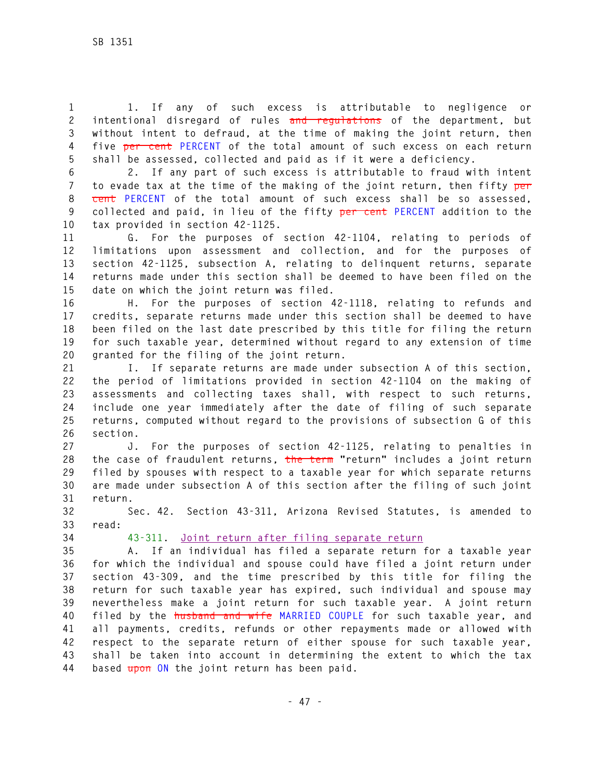**1 1. If any of such excess is attributable to negligence or 2 intentional disregard of rules and regulations of the department, but 3 without intent to defraud, at the time of making the joint return, then 4 five per cent PERCENT of the total amount of such excess on each return 5 shall be assessed, collected and paid as if it were a deficiency.** 

**6 2. If any part of such excess is attributable to fraud with intent 7 to evade tax at the time of the making of the joint return, then fifty per 8 cent PERCENT of the total amount of such excess shall be so assessed, 9 collected and paid, in lieu of the fifty per cent PERCENT addition to the 10 tax provided in section 42-1125.** 

**11 G. For the purposes of section 42-1104, relating to periods of 12 limitations upon assessment and collection, and for the purposes of 13 section 42-1125, subsection A, relating to delinquent returns, separate 14 returns made under this section shall be deemed to have been filed on the 15 date on which the joint return was filed.** 

**16 H. For the purposes of section 42-1118, relating to refunds and 17 credits, separate returns made under this section shall be deemed to have 18 been filed on the last date prescribed by this title for filing the return 19 for such taxable year, determined without regard to any extension of time 20 granted for the filing of the joint return.** 

**21 I. If separate returns are made under subsection A of this section, 22 the period of limitations provided in section 42-1104 on the making of 23 assessments and collecting taxes shall, with respect to such returns, 24 include one year immediately after the date of filing of such separate 25 returns, computed without regard to the provisions of subsection G of this 26 section.** 

**27 J. For the purposes of section 42-1125, relating to penalties in 28 the case of fraudulent returns, the term "return" includes a joint return 29 filed by spouses with respect to a taxable year for which separate returns 30 are made under subsection A of this section after the filing of such joint 31 return.** 

**32 Sec. 42. Section 43-311, Arizona Revised Statutes, is amended to 33 read:** 

**34 43-311. Joint return after filing separate return**

**35 A. If an individual has filed a separate return for a taxable year 36 for which the individual and spouse could have filed a joint return under 37 section 43-309, and the time prescribed by this title for filing the 38 return for such taxable year has expired, such individual and spouse may 39 nevertheless make a joint return for such taxable year. A joint return 40 filed by the husband and wife MARRIED COUPLE for such taxable year, and 41 all payments, credits, refunds or other repayments made or allowed with 42 respect to the separate return of either spouse for such taxable year, 43 shall be taken into account in determining the extent to which the tax 44 based upon ON the joint return has been paid.**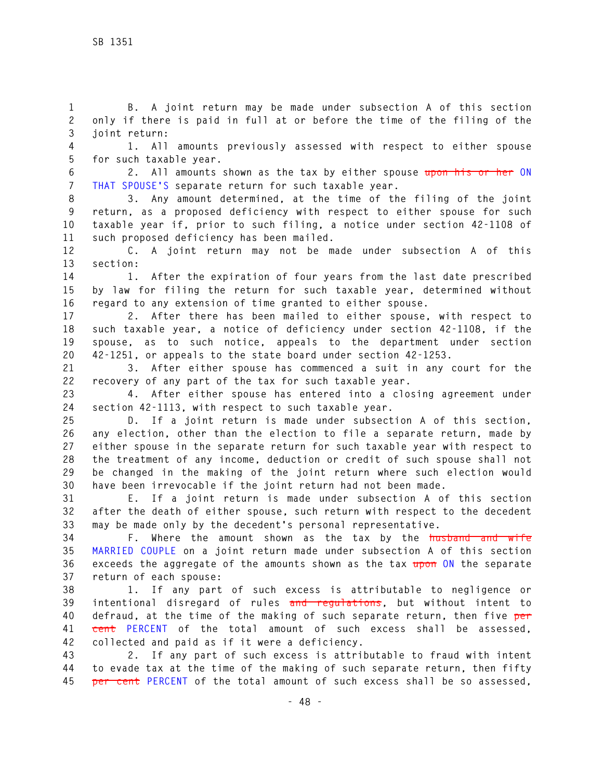**1 B. A joint return may be made under subsection A of this section 2 only if there is paid in full at or before the time of the filing of the 3 joint return:** 

**4 1. All amounts previously assessed with respect to either spouse 5 for such taxable year.** 

**6 2. All amounts shown as the tax by either spouse upon his or her ON 7 THAT SPOUSE'S separate return for such taxable year.** 

**8 3. Any amount determined, at the time of the filing of the joint 9 return, as a proposed deficiency with respect to either spouse for such 10 taxable year if, prior to such filing, a notice under section 42-1108 of 11 such proposed deficiency has been mailed.** 

**12 C. A joint return may not be made under subsection A of this 13 section:** 

**14 1. After the expiration of four years from the last date prescribed 15 by law for filing the return for such taxable year, determined without 16 regard to any extension of time granted to either spouse.** 

**17 2. After there has been mailed to either spouse, with respect to 18 such taxable year, a notice of deficiency under section 42-1108, if the 19 spouse, as to such notice, appeals to the department under section 20 42-1251, or appeals to the state board under section 42-1253.** 

**21 3. After either spouse has commenced a suit in any court for the 22 recovery of any part of the tax for such taxable year.** 

**23 4. After either spouse has entered into a closing agreement under 24 section 42-1113, with respect to such taxable year.** 

**25 D. If a joint return is made under subsection A of this section, 26 any election, other than the election to file a separate return, made by 27 either spouse in the separate return for such taxable year with respect to 28 the treatment of any income, deduction or credit of such spouse shall not 29 be changed in the making of the joint return where such election would 30 have been irrevocable if the joint return had not been made.** 

**31 E. If a joint return is made under subsection A of this section 32 after the death of either spouse, such return with respect to the decedent 33 may be made only by the decedent's personal representative.** 

**34 F. Where the amount shown as the tax by the husband and wife 35 MARRIED COUPLE on a joint return made under subsection A of this section 36 exceeds the aggregate of the amounts shown as the tax upon ON the separate 37 return of each spouse:** 

**38 1. If any part of such excess is attributable to negligence or 39 intentional disregard of rules and regulations, but without intent to 40 defraud, at the time of the making of such separate return, then five per 41 cent PERCENT of the total amount of such excess shall be assessed, 42 collected and paid as if it were a deficiency.** 

**43 2. If any part of such excess is attributable to fraud with intent 44 to evade tax at the time of the making of such separate return, then fifty 45 per cent PERCENT of the total amount of such excess shall be so assessed,**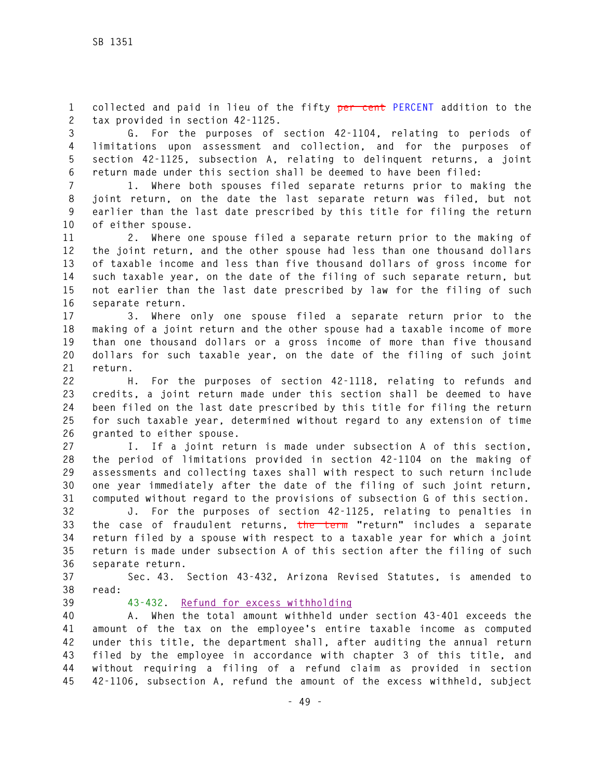**1 collected and paid in lieu of the fifty per cent PERCENT addition to the 2 tax provided in section 42-1125.** 

**3 G. For the purposes of section 42-1104, relating to periods of 4 limitations upon assessment and collection, and for the purposes of 5 section 42-1125, subsection A, relating to delinquent returns, a joint 6 return made under this section shall be deemed to have been filed:** 

**7 1. Where both spouses filed separate returns prior to making the 8 joint return, on the date the last separate return was filed, but not 9 earlier than the last date prescribed by this title for filing the return 10 of either spouse.** 

**11 2. Where one spouse filed a separate return prior to the making of 12 the joint return, and the other spouse had less than one thousand dollars 13 of taxable income and less than five thousand dollars of gross income for 14 such taxable year, on the date of the filing of such separate return, but 15 not earlier than the last date prescribed by law for the filing of such 16 separate return.** 

**17 3. Where only one spouse filed a separate return prior to the 18 making of a joint return and the other spouse had a taxable income of more 19 than one thousand dollars or a gross income of more than five thousand 20 dollars for such taxable year, on the date of the filing of such joint 21 return.** 

**22 H. For the purposes of section 42-1118, relating to refunds and 23 credits, a joint return made under this section shall be deemed to have 24 been filed on the last date prescribed by this title for filing the return 25 for such taxable year, determined without regard to any extension of time 26 granted to either spouse.** 

**27 I. If a joint return is made under subsection A of this section, 28 the period of limitations provided in section 42-1104 on the making of 29 assessments and collecting taxes shall with respect to such return include 30 one year immediately after the date of the filing of such joint return, 31 computed without regard to the provisions of subsection G of this section.** 

**32 J. For the purposes of section 42-1125, relating to penalties in 33 the case of fraudulent returns, the term "return" includes a separate 34 return filed by a spouse with respect to a taxable year for which a joint 35 return is made under subsection A of this section after the filing of such 36 separate return.** 

**37 Sec. 43. Section 43-432, Arizona Revised Statutes, is amended to 38 read:** 

### **39 43-432. Refund for excess withholding**

**40 A. When the total amount withheld under section 43-401 exceeds the 41 amount of the tax on the employee's entire taxable income as computed 42 under this title, the department shall, after auditing the annual return 43 filed by the employee in accordance with chapter 3 of this title, and 44 without requiring a filing of a refund claim as provided in section 45 42-1106, subsection A, refund the amount of the excess withheld, subject**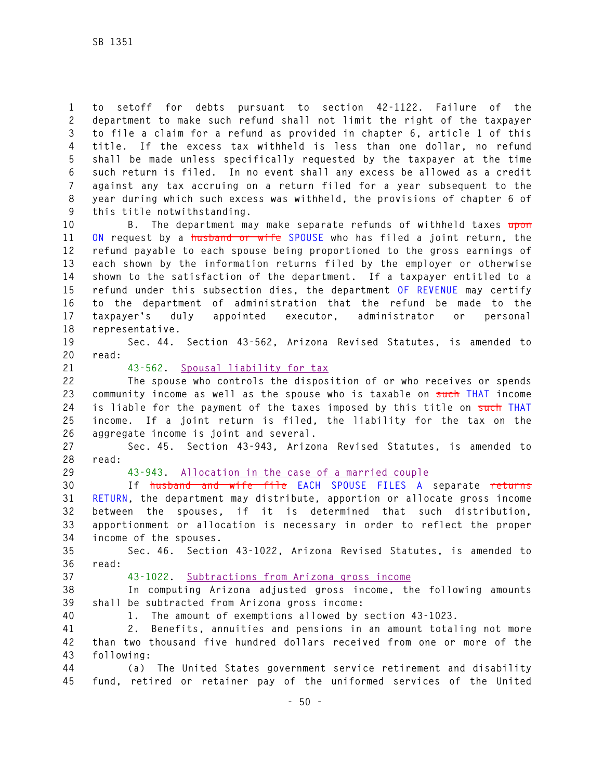**1 to setoff for debts pursuant to section 42-1122. Failure of the 2 department to make such refund shall not limit the right of the taxpayer 3 to file a claim for a refund as provided in chapter 6, article 1 of this 4 title. If the excess tax withheld is less than one dollar, no refund 5 shall be made unless specifically requested by the taxpayer at the time 6 such return is filed. In no event shall any excess be allowed as a credit 7 against any tax accruing on a return filed for a year subsequent to the 8 year during which such excess was withheld, the provisions of chapter 6 of 9 this title notwithstanding.** 

**10 B. The department may make separate refunds of withheld taxes upon 11 ON request by a husband or wife SPOUSE who has filed a joint return, the 12 refund payable to each spouse being proportioned to the gross earnings of 13 each shown by the information returns filed by the employer or otherwise 14 shown to the satisfaction of the department. If a taxpayer entitled to a 15 refund under this subsection dies, the department OF REVENUE may certify 16 to the department of administration that the refund be made to the 17 taxpayer's duly appointed executor, administrator or personal 18 representative.** 

**19 Sec. 44. Section 43-562, Arizona Revised Statutes, is amended to 20 read:** 

**21 43-562. Spousal liability for tax**

**22 The spouse who controls the disposition of or who receives or spends 23 community income as well as the spouse who is taxable on such THAT income 24 is liable for the payment of the taxes imposed by this title on such THAT 25 income. If a joint return is filed, the liability for the tax on the 26 aggregate income is joint and several.** 

**27 Sec. 45. Section 43-943, Arizona Revised Statutes, is amended to 28 read:** 

**29 43-943. Allocation in the case of a married couple**

**30 If husband and wife file EACH SPOUSE FILES A separate returns 31 RETURN, the department may distribute, apportion or allocate gross income 32 between the spouses, if it is determined that such distribution, 33 apportionment or allocation is necessary in order to reflect the proper 34 income of the spouses.** 

**35 Sec. 46. Section 43-1022, Arizona Revised Statutes, is amended to 36 read:** 

**37 43-1022. Subtractions from Arizona gross income**

**38 In computing Arizona adjusted gross income, the following amounts 39 shall be subtracted from Arizona gross income:** 

**40 1. The amount of exemptions allowed by section 43-1023.** 

**41 2. Benefits, annuities and pensions in an amount totaling not more 42 than two thousand five hundred dollars received from one or more of the 43 following:** 

**44 (a) The United States government service retirement and disability 45 fund, retired or retainer pay of the uniformed services of the United**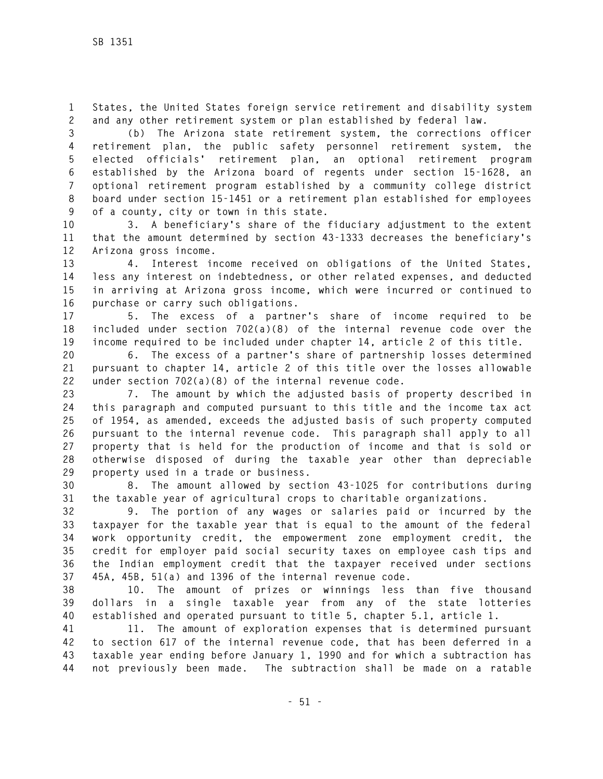**1 States, the United States foreign service retirement and disability system 2 and any other retirement system or plan established by federal law.** 

**3 (b) The Arizona state retirement system, the corrections officer 4 retirement plan, the public safety personnel retirement system, the 5 elected officials' retirement plan, an optional retirement program 6 established by the Arizona board of regents under section 15-1628, an 7 optional retirement program established by a community college district 8 board under section 15-1451 or a retirement plan established for employees 9 of a county, city or town in this state.** 

**10 3. A beneficiary's share of the fiduciary adjustment to the extent 11 that the amount determined by section 43-1333 decreases the beneficiary's 12 Arizona gross income.** 

**13 4. Interest income received on obligations of the United States, 14 less any interest on indebtedness, or other related expenses, and deducted 15 in arriving at Arizona gross income, which were incurred or continued to 16 purchase or carry such obligations.** 

**17 5. The excess of a partner's share of income required to be 18 included under section 702(a)(8) of the internal revenue code over the 19 income required to be included under chapter 14, article 2 of this title.** 

**20 6. The excess of a partner's share of partnership losses determined 21 pursuant to chapter 14, article 2 of this title over the losses allowable 22 under section 702(a)(8) of the internal revenue code.** 

**23 7. The amount by which the adjusted basis of property described in 24 this paragraph and computed pursuant to this title and the income tax act 25 of 1954, as amended, exceeds the adjusted basis of such property computed 26 pursuant to the internal revenue code. This paragraph shall apply to all 27 property that is held for the production of income and that is sold or 28 otherwise disposed of during the taxable year other than depreciable 29 property used in a trade or business.** 

**30 8. The amount allowed by section 43-1025 for contributions during 31 the taxable year of agricultural crops to charitable organizations.** 

**32 9. The portion of any wages or salaries paid or incurred by the 33 taxpayer for the taxable year that is equal to the amount of the federal 34 work opportunity credit, the empowerment zone employment credit, the 35 credit for employer paid social security taxes on employee cash tips and 36 the Indian employment credit that the taxpayer received under sections 37 45A, 45B, 51(a) and 1396 of the internal revenue code.** 

**38 10. The amount of prizes or winnings less than five thousand 39 dollars in a single taxable year from any of the state lotteries 40 established and operated pursuant to title 5, chapter 5.1, article 1.** 

**41 11. The amount of exploration expenses that is determined pursuant 42 to section 617 of the internal revenue code, that has been deferred in a 43 taxable year ending before January 1, 1990 and for which a subtraction has 44 not previously been made. The subtraction shall be made on a ratable**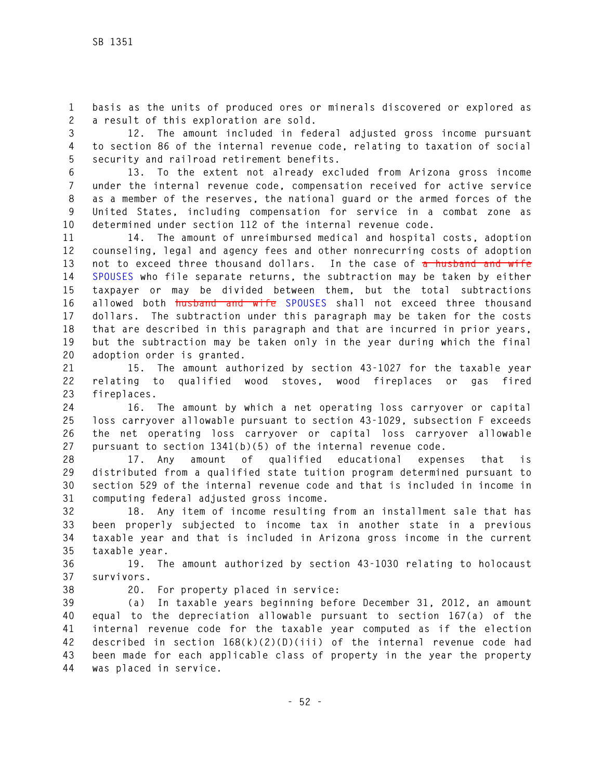**1 basis as the units of produced ores or minerals discovered or explored as 2 a result of this exploration are sold.** 

**3 12. The amount included in federal adjusted gross income pursuant 4 to section 86 of the internal revenue code, relating to taxation of social 5 security and railroad retirement benefits.** 

**6 13. To the extent not already excluded from Arizona gross income 7 under the internal revenue code, compensation received for active service 8 as a member of the reserves, the national guard or the armed forces of the 9 United States, including compensation for service in a combat zone as 10 determined under section 112 of the internal revenue code.** 

**11 14. The amount of unreimbursed medical and hospital costs, adoption 12 counseling, legal and agency fees and other nonrecurring costs of adoption 13 not to exceed three thousand dollars. In the case of a husband and wife 14 SPOUSES who file separate returns, the subtraction may be taken by either 15 taxpayer or may be divided between them, but the total subtractions 16 allowed both husband and wife SPOUSES shall not exceed three thousand 17 dollars. The subtraction under this paragraph may be taken for the costs 18 that are described in this paragraph and that are incurred in prior years, 19 but the subtraction may be taken only in the year during which the final 20 adoption order is granted.** 

**21 15. The amount authorized by section 43-1027 for the taxable year 22 relating to qualified wood stoves, wood fireplaces or gas fired 23 fireplaces.** 

**24 16. The amount by which a net operating loss carryover or capital 25 loss carryover allowable pursuant to section 43-1029, subsection F exceeds 26 the net operating loss carryover or capital loss carryover allowable 27 pursuant to section 1341(b)(5) of the internal revenue code.** 

**28 17. Any amount of qualified educational expenses that is 29 distributed from a qualified state tuition program determined pursuant to 30 section 529 of the internal revenue code and that is included in income in 31 computing federal adjusted gross income.** 

**32 18. Any item of income resulting from an installment sale that has 33 been properly subjected to income tax in another state in a previous 34 taxable year and that is included in Arizona gross income in the current 35 taxable year.** 

**36 19. The amount authorized by section 43-1030 relating to holocaust 37 survivors.** 

**38 20. For property placed in service:** 

**39 (a) In taxable years beginning before December 31, 2012, an amount 40 equal to the depreciation allowable pursuant to section 167(a) of the 41 internal revenue code for the taxable year computed as if the election 42 described in section 168(k)(2)(D)(iii) of the internal revenue code had 43 been made for each applicable class of property in the year the property 44 was placed in service.**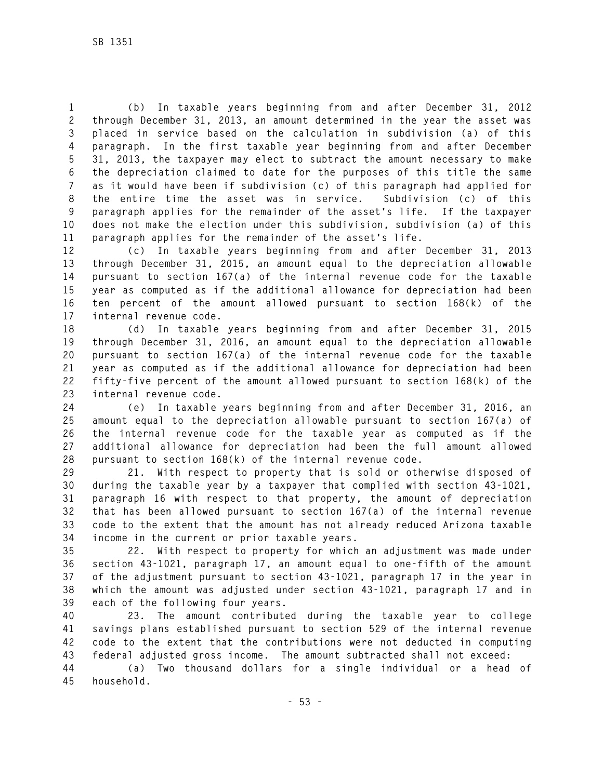**1 (b) In taxable years beginning from and after December 31, 2012 2 through December 31, 2013, an amount determined in the year the asset was 3 placed in service based on the calculation in subdivision (a) of this 4 paragraph. In the first taxable year beginning from and after December 5 31, 2013, the taxpayer may elect to subtract the amount necessary to make 6 the depreciation claimed to date for the purposes of this title the same 7 as it would have been if subdivision (c) of this paragraph had applied for 8 the entire time the asset was in service. Subdivision (c) of this 9 paragraph applies for the remainder of the asset's life. If the taxpayer 10 does not make the election under this subdivision, subdivision (a) of this 11 paragraph applies for the remainder of the asset's life.** 

**12 (c) In taxable years beginning from and after December 31, 2013 13 through December 31, 2015, an amount equal to the depreciation allowable 14 pursuant to section 167(a) of the internal revenue code for the taxable 15 year as computed as if the additional allowance for depreciation had been 16 ten percent of the amount allowed pursuant to section 168(k) of the 17 internal revenue code.** 

**18 (d) In taxable years beginning from and after December 31, 2015 19 through December 31, 2016, an amount equal to the depreciation allowable 20 pursuant to section 167(a) of the internal revenue code for the taxable 21 year as computed as if the additional allowance for depreciation had been 22 fifty-five percent of the amount allowed pursuant to section 168(k) of the 23 internal revenue code.** 

**24 (e) In taxable years beginning from and after December 31, 2016, an 25 amount equal to the depreciation allowable pursuant to section 167(a) of 26 the internal revenue code for the taxable year as computed as if the 27 additional allowance for depreciation had been the full amount allowed 28 pursuant to section 168(k) of the internal revenue code.** 

**29 21. With respect to property that is sold or otherwise disposed of 30 during the taxable year by a taxpayer that complied with section 43-1021, 31 paragraph 16 with respect to that property, the amount of depreciation 32 that has been allowed pursuant to section 167(a) of the internal revenue 33 code to the extent that the amount has not already reduced Arizona taxable 34 income in the current or prior taxable years.** 

**35 22. With respect to property for which an adjustment was made under 36 section 43-1021, paragraph 17, an amount equal to one-fifth of the amount 37 of the adjustment pursuant to section 43-1021, paragraph 17 in the year in 38 which the amount was adjusted under section 43-1021, paragraph 17 and in 39 each of the following four years.** 

**40 23. The amount contributed during the taxable year to college 41 savings plans established pursuant to section 529 of the internal revenue 42 code to the extent that the contributions were not deducted in computing 43 federal adjusted gross income. The amount subtracted shall not exceed:** 

**44 (a) Two thousand dollars for a single individual or a head of 45 household.**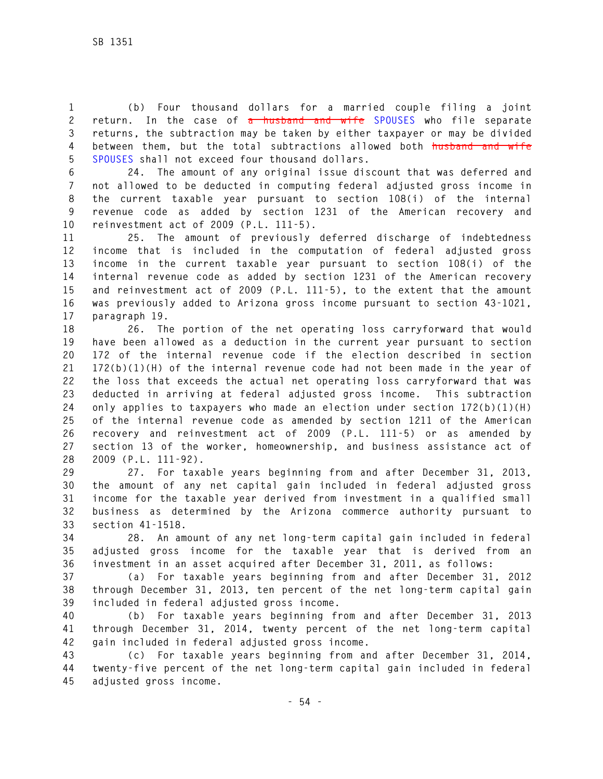**1 (b) Four thousand dollars for a married couple filing a joint 2 return. In the case of a husband and wife SPOUSES who file separate 3 returns, the subtraction may be taken by either taxpayer or may be divided 4 between them, but the total subtractions allowed both husband and wife 5 SPOUSES shall not exceed four thousand dollars.** 

**6 24. The amount of any original issue discount that was deferred and 7 not allowed to be deducted in computing federal adjusted gross income in 8 the current taxable year pursuant to section 108(i) of the internal 9 revenue code as added by section 1231 of the American recovery and 10 reinvestment act of 2009 (P.L. 111-5).** 

**11 25. The amount of previously deferred discharge of indebtedness 12 income that is included in the computation of federal adjusted gross 13 income in the current taxable year pursuant to section 108(i) of the 14 internal revenue code as added by section 1231 of the American recovery 15 and reinvestment act of 2009 (P.L. 111-5), to the extent that the amount 16 was previously added to Arizona gross income pursuant to section 43-1021, 17 paragraph 19.** 

**18 26. The portion of the net operating loss carryforward that would 19 have been allowed as a deduction in the current year pursuant to section 20 172 of the internal revenue code if the election described in section 21 172(b)(1)(H) of the internal revenue code had not been made in the year of 22 the loss that exceeds the actual net operating loss carryforward that was 23 deducted in arriving at federal adjusted gross income. This subtraction 24 only applies to taxpayers who made an election under section 172(b)(1)(H) 25 of the internal revenue code as amended by section 1211 of the American 26 recovery and reinvestment act of 2009 (P.L. 111-5) or as amended by 27 section 13 of the worker, homeownership, and business assistance act of 28 2009 (P.L. 111-92).** 

**29 27. For taxable years beginning from and after December 31, 2013, 30 the amount of any net capital gain included in federal adjusted gross 31 income for the taxable year derived from investment in a qualified small 32 business as determined by the Arizona commerce authority pursuant to 33 section 41-1518.** 

**34 28. An amount of any net long-term capital gain included in federal 35 adjusted gross income for the taxable year that is derived from an 36 investment in an asset acquired after December 31, 2011, as follows:** 

**37 (a) For taxable years beginning from and after December 31, 2012 38 through December 31, 2013, ten percent of the net long-term capital gain 39 included in federal adjusted gross income.** 

**40 (b) For taxable years beginning from and after December 31, 2013 41 through December 31, 2014, twenty percent of the net long-term capital 42 gain included in federal adjusted gross income.** 

**43 (c) For taxable years beginning from and after December 31, 2014, 44 twenty-five percent of the net long-term capital gain included in federal 45 adjusted gross income.**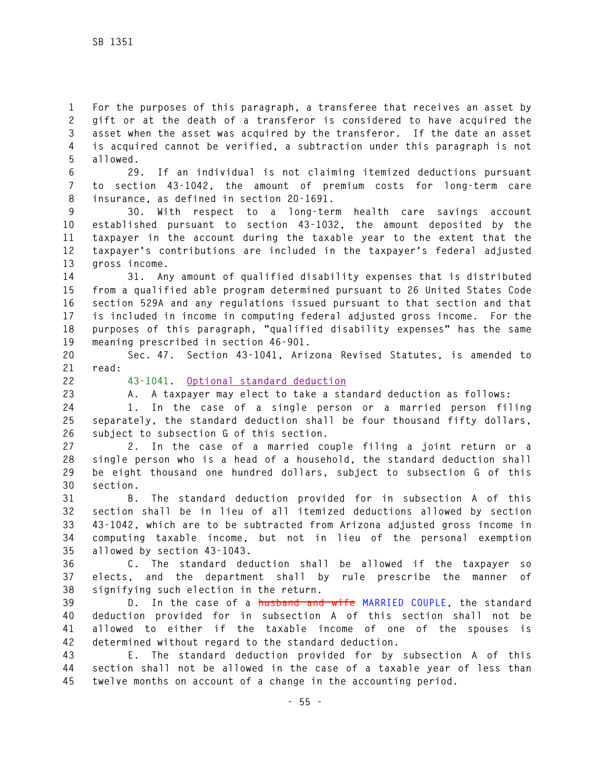**1 For the purposes of this paragraph, a transferee that receives an asset by 2 gift or at the death of a transferor is considered to have acquired the 3 asset when the asset was acquired by the transferor. If the date an asset 4 is acquired cannot be verified, a subtraction under this paragraph is not 5 allowed.** 

**6 29. If an individual is not claiming itemized deductions pursuant 7 to section 43-1042, the amount of premium costs for long-term care 8 insurance, as defined in section 20-1691.** 

**9 30. With respect to a long-term health care savings account 10 established pursuant to section 43-1032, the amount deposited by the 11 taxpayer in the account during the taxable year to the extent that the 12 taxpayer's contributions are included in the taxpayer's federal adjusted 13 gross income.** 

**14 31. Any amount of qualified disability expenses that is distributed 15 from a qualified able program determined pursuant to 26 United States Code 16 section 529A and any regulations issued pursuant to that section and that 17 is included in income in computing federal adjusted gross income. For the 18 purposes of this paragraph, "qualified disability expenses" has the same 19 meaning prescribed in section 46-901.** 

**20 Sec. 47. Section 43-1041, Arizona Revised Statutes, is amended to 21 read:** 

**22 43-1041. Optional standard deduction**

**23 A. A taxpayer may elect to take a standard deduction as follows:** 

**24 1. In the case of a single person or a married person filing 25 separately, the standard deduction shall be four thousand fifty dollars, 26 subject to subsection G of this section.** 

**27 2. In the case of a married couple filing a joint return or a 28 single person who is a head of a household, the standard deduction shall 29 be eight thousand one hundred dollars, subject to subsection G of this 30 section.** 

**31 B. The standard deduction provided for in subsection A of this 32 section shall be in lieu of all itemized deductions allowed by section 33 43-1042, which are to be subtracted from Arizona adjusted gross income in 34 computing taxable income, but not in lieu of the personal exemption 35 allowed by section 43-1043.** 

**36 C. The standard deduction shall be allowed if the taxpayer so 37 elects, and the department shall by rule prescribe the manner of 38 signifying such election in the return.** 

**39 D. In the case of a husband and wife MARRIED COUPLE, the standard 40 deduction provided for in subsection A of this section shall not be 41 allowed to either if the taxable income of one of the spouses is 42 determined without regard to the standard deduction.** 

**43 E. The standard deduction provided for by subsection A of this 44 section shall not be allowed in the case of a taxable year of less than 45 twelve months on account of a change in the accounting period.**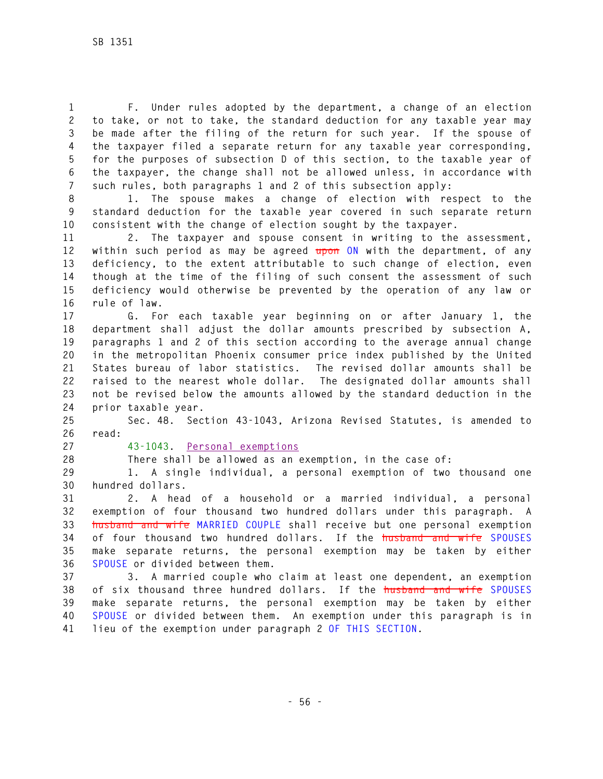**1 F. Under rules adopted by the department, a change of an election 2 to take, or not to take, the standard deduction for any taxable year may 3 be made after the filing of the return for such year. If the spouse of 4 the taxpayer filed a separate return for any taxable year corresponding, 5 for the purposes of subsection D of this section, to the taxable year of 6 the taxpayer, the change shall not be allowed unless, in accordance with 7 such rules, both paragraphs 1 and 2 of this subsection apply:** 

**8 1. The spouse makes a change of election with respect to the 9 standard deduction for the taxable year covered in such separate return 10 consistent with the change of election sought by the taxpayer.** 

**11 2. The taxpayer and spouse consent in writing to the assessment, 12 within such period as may be agreed upon ON with the department, of any 13 deficiency, to the extent attributable to such change of election, even 14 though at the time of the filing of such consent the assessment of such 15 deficiency would otherwise be prevented by the operation of any law or 16 rule of law.** 

**17 G. For each taxable year beginning on or after January 1, the 18 department shall adjust the dollar amounts prescribed by subsection A, 19 paragraphs 1 and 2 of this section according to the average annual change 20 in the metropolitan Phoenix consumer price index published by the United 21 States bureau of labor statistics. The revised dollar amounts shall be 22 raised to the nearest whole dollar. The designated dollar amounts shall 23 not be revised below the amounts allowed by the standard deduction in the 24 prior taxable year.** 

**25 Sec. 48. Section 43-1043, Arizona Revised Statutes, is amended to 26 read:** 

**27 43-1043. Personal exemptions**

**28 There shall be allowed as an exemption, in the case of:** 

**29 1. A single individual, a personal exemption of two thousand one 30 hundred dollars.** 

**31 2. A head of a household or a married individual, a personal 32 exemption of four thousand two hundred dollars under this paragraph. A 33 husband and wife MARRIED COUPLE shall receive but one personal exemption 34 of four thousand two hundred dollars. If the husband and wife SPOUSES 35 make separate returns, the personal exemption may be taken by either 36 SPOUSE or divided between them.** 

**37 3. A married couple who claim at least one dependent, an exemption 38 of six thousand three hundred dollars. If the husband and wife SPOUSES 39 make separate returns, the personal exemption may be taken by either 40 SPOUSE or divided between them. An exemption under this paragraph is in 41 lieu of the exemption under paragraph 2 OF THIS SECTION.**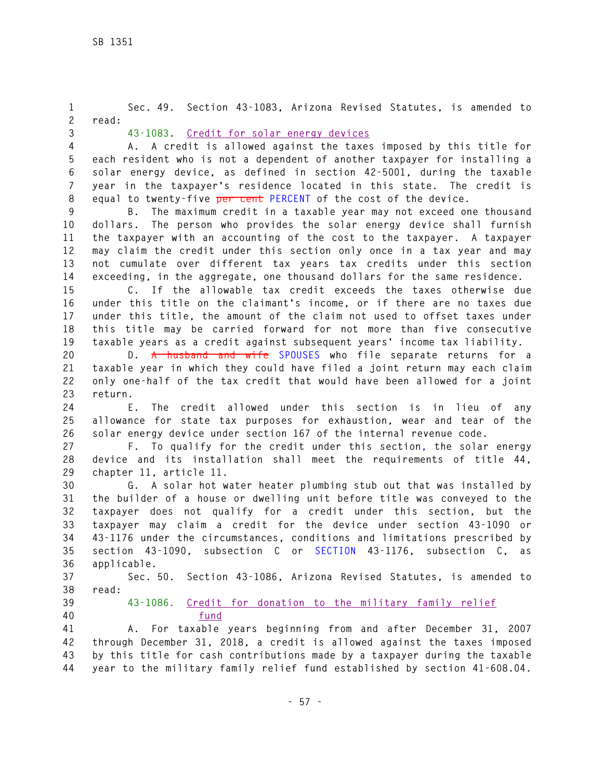**1 Sec. 49. Section 43-1083, Arizona Revised Statutes, is amended to 2 read: 3 43-1083. Credit for solar energy devices 4 A. A credit is allowed against the taxes imposed by this title for 5 each resident who is not a dependent of another taxpayer for installing a 6 solar energy device, as defined in section 42-5001, during the taxable 7 year in the taxpayer's residence located in this state. The credit is 8 equal to twenty-five per cent PERCENT of the cost of the device. 9 B. The maximum credit in a taxable year may not exceed one thousand 10 dollars. The person who provides the solar energy device shall furnish 11 the taxpayer with an accounting of the cost to the taxpayer. A taxpayer 12 may claim the credit under this section only once in a tax year and may 13 not cumulate over different tax years tax credits under this section 14 exceeding, in the aggregate, one thousand dollars for the same residence. 15 C. If the allowable tax credit exceeds the taxes otherwise due 16 under this title on the claimant's income, or if there are no taxes due 17 under this title, the amount of the claim not used to offset taxes under 18 this title may be carried forward for not more than five consecutive 19 taxable years as a credit against subsequent years' income tax liability. 20 D. A husband and wife SPOUSES who file separate returns for a 21 taxable year in which they could have filed a joint return may each claim 22 only one-half of the tax credit that would have been allowed for a joint 23 return. 24 E. The credit allowed under this section is in lieu of any 25 allowance for state tax purposes for exhaustion, wear and tear of the 26 solar energy device under section 167 of the internal revenue code. 27 F. To qualify for the credit under this section, the solar energy 28 device and its installation shall meet the requirements of title 44, 29 chapter 11, article 11. 30 G. A solar hot water heater plumbing stub out that was installed by 31 the builder of a house or dwelling unit before title was conveyed to the 32 taxpayer does not qualify for a credit under this section, but the 33 taxpayer may claim a credit for the device under section 43-1090 or 34 43-1176 under the circumstances, conditions and limitations prescribed by 35 section 43-1090, subsection C or SECTION 43-1176, subsection C, as 36 applicable. 37 Sec. 50. Section 43-1086, Arizona Revised Statutes, is amended to 38 read: 39 43-1086. Credit for donation to the military family relief 40 fund 41 A. For taxable years beginning from and after December 31, 2007 42 through December 31, 2018, a credit is allowed against the taxes imposed 43 by this title for cash contributions made by a taxpayer during the taxable 44 year to the military family relief fund established by section 41-608.04.**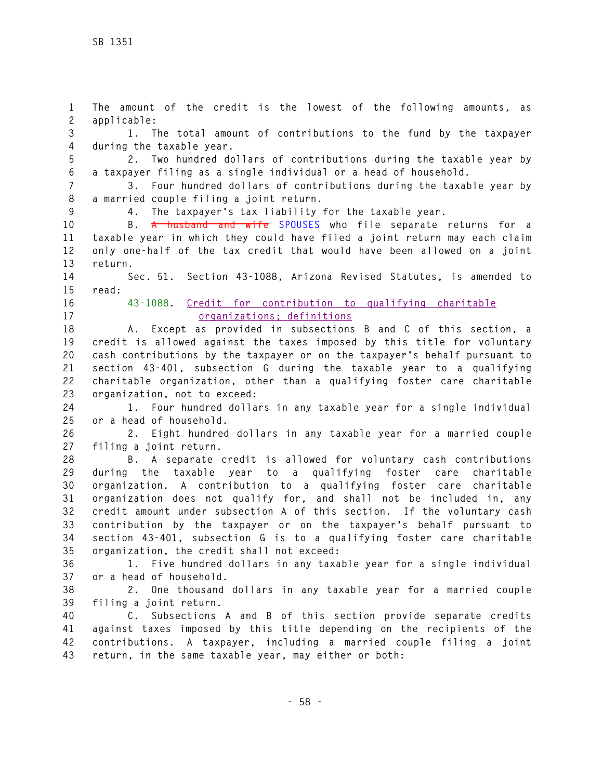**1 The amount of the credit is the lowest of the following amounts, as 2 applicable: 3 1. The total amount of contributions to the fund by the taxpayer 4 during the taxable year. 5 2. Two hundred dollars of contributions during the taxable year by 6 a taxpayer filing as a single individual or a head of household. 7 3. Four hundred dollars of contributions during the taxable year by 8 a married couple filing a joint return. 9 4. The taxpayer's tax liability for the taxable year. 10 B. A husband and wife SPOUSES who file separate returns for a 11 taxable year in which they could have filed a joint return may each claim 12 only one-half of the tax credit that would have been allowed on a joint 13 return. 14 Sec. 51. Section 43-1088, Arizona Revised Statutes, is amended to 15 read: 16 43-1088. Credit for contribution to qualifying charitable 17 organizations; definitions 18 A. Except as provided in subsections B and C of this section, a 19 credit is allowed against the taxes imposed by this title for voluntary 20 cash contributions by the taxpayer or on the taxpayer's behalf pursuant to 21 section 43-401, subsection G during the taxable year to a qualifying 22 charitable organization, other than a qualifying foster care charitable 23 organization, not to exceed: 24 1. Four hundred dollars in any taxable year for a single individual 25 or a head of household. 26 2. Eight hundred dollars in any taxable year for a married couple 27 filing a joint return. 28 B. A separate credit is allowed for voluntary cash contributions 29 during the taxable year to a qualifying foster care charitable 30 organization. A contribution to a qualifying foster care charitable 31 organization does not qualify for, and shall not be included in, any 32 credit amount under subsection A of this section. If the voluntary cash 33 contribution by the taxpayer or on the taxpayer's behalf pursuant to 34 section 43-401, subsection G is to a qualifying foster care charitable 35 organization, the credit shall not exceed: 36 1. Five hundred dollars in any taxable year for a single individual 37 or a head of household. 38 2. One thousand dollars in any taxable year for a married couple 39 filing a joint return. 40 C. Subsections A and B of this section provide separate credits 41 against taxes imposed by this title depending on the recipients of the 42 contributions. A taxpayer, including a married couple filing a joint 43 return, in the same taxable year, may either or both:**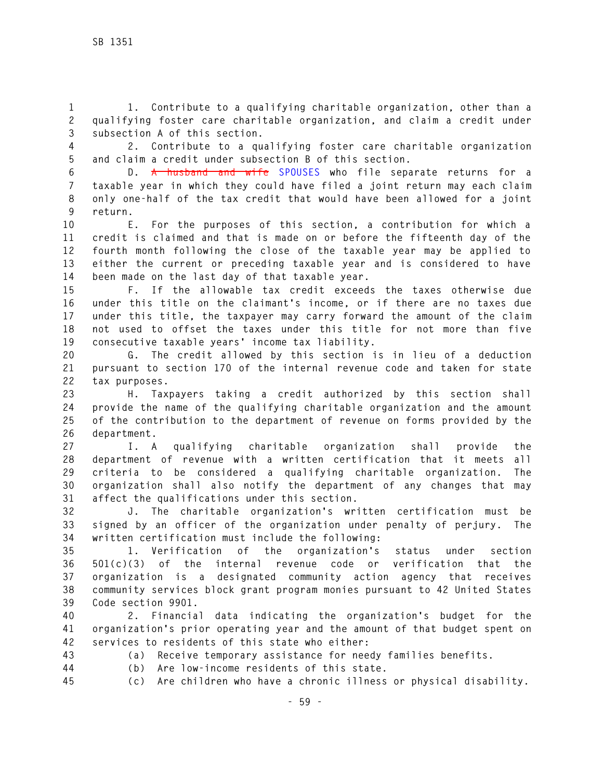**1 1. Contribute to a qualifying charitable organization, other than a 2 qualifying foster care charitable organization, and claim a credit under 3 subsection A of this section.** 

**4 2. Contribute to a qualifying foster care charitable organization 5 and claim a credit under subsection B of this section.** 

**6 D. A husband and wife SPOUSES who file separate returns for a 7 taxable year in which they could have filed a joint return may each claim 8 only one-half of the tax credit that would have been allowed for a joint 9 return.** 

**10 E. For the purposes of this section, a contribution for which a 11 credit is claimed and that is made on or before the fifteenth day of the 12 fourth month following the close of the taxable year may be applied to 13 either the current or preceding taxable year and is considered to have 14 been made on the last day of that taxable year.** 

**15 F. If the allowable tax credit exceeds the taxes otherwise due 16 under this title on the claimant's income, or if there are no taxes due 17 under this title, the taxpayer may carry forward the amount of the claim 18 not used to offset the taxes under this title for not more than five 19 consecutive taxable years' income tax liability.** 

**20 G. The credit allowed by this section is in lieu of a deduction 21 pursuant to section 170 of the internal revenue code and taken for state 22 tax purposes.** 

**23 H. Taxpayers taking a credit authorized by this section shall 24 provide the name of the qualifying charitable organization and the amount 25 of the contribution to the department of revenue on forms provided by the 26 department.** 

**27 I. A qualifying charitable organization shall provide the 28 department of revenue with a written certification that it meets all 29 criteria to be considered a qualifying charitable organization. The 30 organization shall also notify the department of any changes that may 31 affect the qualifications under this section.** 

**32 J. The charitable organization's written certification must be 33 signed by an officer of the organization under penalty of perjury. The 34 written certification must include the following:** 

**35 1. Verification of the organization's status under section 36 501(c)(3) of the internal revenue code or verification that the 37 organization is a designated community action agency that receives 38 community services block grant program monies pursuant to 42 United States 39 Code section 9901.** 

**40 2. Financial data indicating the organization's budget for the 41 organization's prior operating year and the amount of that budget spent on 42 services to residents of this state who either:** 

**43 (a) Receive temporary assistance for needy families benefits.** 

**44 (b) Are low-income residents of this state. 45 (c) Are children who have a chronic illness or physical disability.**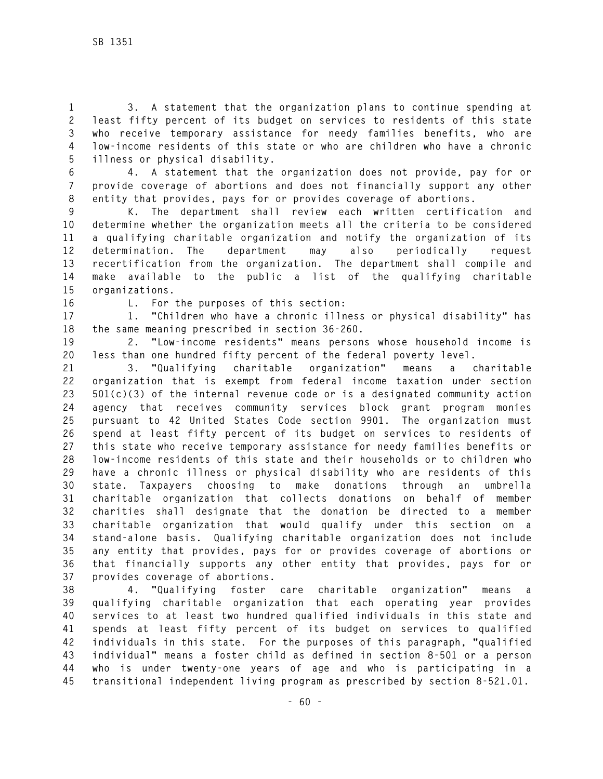**1 3. A statement that the organization plans to continue spending at 2 least fifty percent of its budget on services to residents of this state 3 who receive temporary assistance for needy families benefits, who are 4 low-income residents of this state or who are children who have a chronic 5 illness or physical disability.** 

**6 4. A statement that the organization does not provide, pay for or 7 provide coverage of abortions and does not financially support any other 8 entity that provides, pays for or provides coverage of abortions.** 

**9 K. The department shall review each written certification and 10 determine whether the organization meets all the criteria to be considered 11 a qualifying charitable organization and notify the organization of its 12 determination. The department may also periodically request 13 recertification from the organization. The department shall compile and 14 make available to the public a list of the qualifying charitable 15 organizations.** 

**16 L. For the purposes of this section:** 

**17 1. "Children who have a chronic illness or physical disability" has 18 the same meaning prescribed in section 36-260.** 

**19 2. "Low-income residents" means persons whose household income is 20 less than one hundred fifty percent of the federal poverty level.** 

**21 3. "Qualifying charitable organization" means a charitable 22 organization that is exempt from federal income taxation under section 23 501(c)(3) of the internal revenue code or is a designated community action 24 agency that receives community services block grant program monies 25 pursuant to 42 United States Code section 9901. The organization must 26 spend at least fifty percent of its budget on services to residents of 27 this state who receive temporary assistance for needy families benefits or 28 low-income residents of this state and their households or to children who 29 have a chronic illness or physical disability who are residents of this 30 state. Taxpayers choosing to make donations through an umbrella 31 charitable organization that collects donations on behalf of member 32 charities shall designate that the donation be directed to a member 33 charitable organization that would qualify under this section on a 34 stand-alone basis. Qualifying charitable organization does not include 35 any entity that provides, pays for or provides coverage of abortions or 36 that financially supports any other entity that provides, pays for or 37 provides coverage of abortions.** 

**38 4. "Qualifying foster care charitable organization" means a 39 qualifying charitable organization that each operating year provides 40 services to at least two hundred qualified individuals in this state and 41 spends at least fifty percent of its budget on services to qualified 42 individuals in this state. For the purposes of this paragraph, "qualified 43 individual" means a foster child as defined in section 8-501 or a person 44 who is under twenty-one years of age and who is participating in a 45 transitional independent living program as prescribed by section 8-521.01.**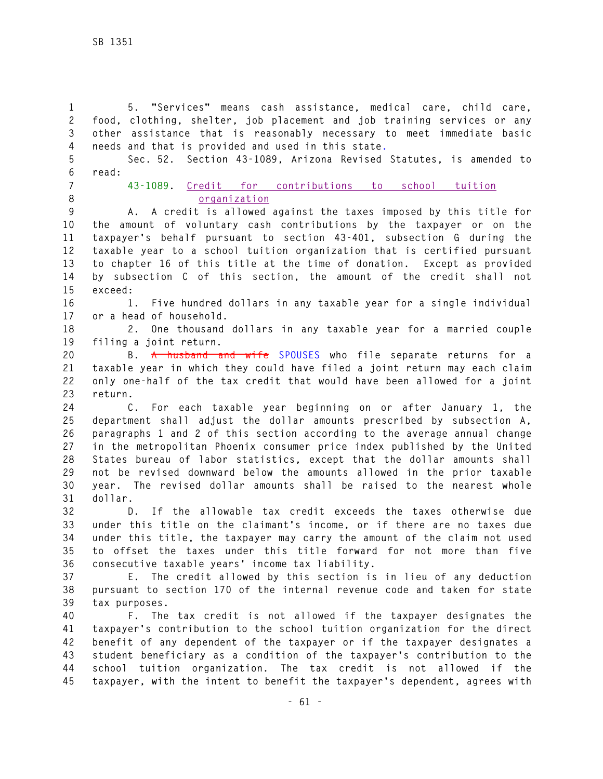**1 5. "Services" means cash assistance, medical care, child care, 2 food, clothing, shelter, job placement and job training services or any 3 other assistance that is reasonably necessary to meet immediate basic 4 needs and that is provided and used in this state.**

**5 Sec. 52. Section 43-1089, Arizona Revised Statutes, is amended to 6 read:** 

**7 43-1089. Credit for contributions to school tuition 8 organization**

**9 A. A credit is allowed against the taxes imposed by this title for 10 the amount of voluntary cash contributions by the taxpayer or on the 11 taxpayer's behalf pursuant to section 43-401, subsection G during the 12 taxable year to a school tuition organization that is certified pursuant 13 to chapter 16 of this title at the time of donation. Except as provided 14 by subsection C of this section, the amount of the credit shall not 15 exceed:** 

**16 1. Five hundred dollars in any taxable year for a single individual 17 or a head of household.** 

**18 2. One thousand dollars in any taxable year for a married couple 19 filing a joint return.** 

**20 B. A husband and wife SPOUSES who file separate returns for a 21 taxable year in which they could have filed a joint return may each claim 22 only one-half of the tax credit that would have been allowed for a joint 23 return.** 

**24 C. For each taxable year beginning on or after January 1, the 25 department shall adjust the dollar amounts prescribed by subsection A, 26 paragraphs 1 and 2 of this section according to the average annual change 27 in the metropolitan Phoenix consumer price index published by the United 28 States bureau of labor statistics, except that the dollar amounts shall 29 not be revised downward below the amounts allowed in the prior taxable 30 year. The revised dollar amounts shall be raised to the nearest whole 31 dollar.** 

**32 D. If the allowable tax credit exceeds the taxes otherwise due 33 under this title on the claimant's income, or if there are no taxes due 34 under this title, the taxpayer may carry the amount of the claim not used 35 to offset the taxes under this title forward for not more than five 36 consecutive taxable years' income tax liability.** 

**37 E. The credit allowed by this section is in lieu of any deduction 38 pursuant to section 170 of the internal revenue code and taken for state 39 tax purposes.** 

**40 F. The tax credit is not allowed if the taxpayer designates the 41 taxpayer's contribution to the school tuition organization for the direct 42 benefit of any dependent of the taxpayer or if the taxpayer designates a 43 student beneficiary as a condition of the taxpayer's contribution to the 44 school tuition organization. The tax credit is not allowed if the 45 taxpayer, with the intent to benefit the taxpayer's dependent, agrees with**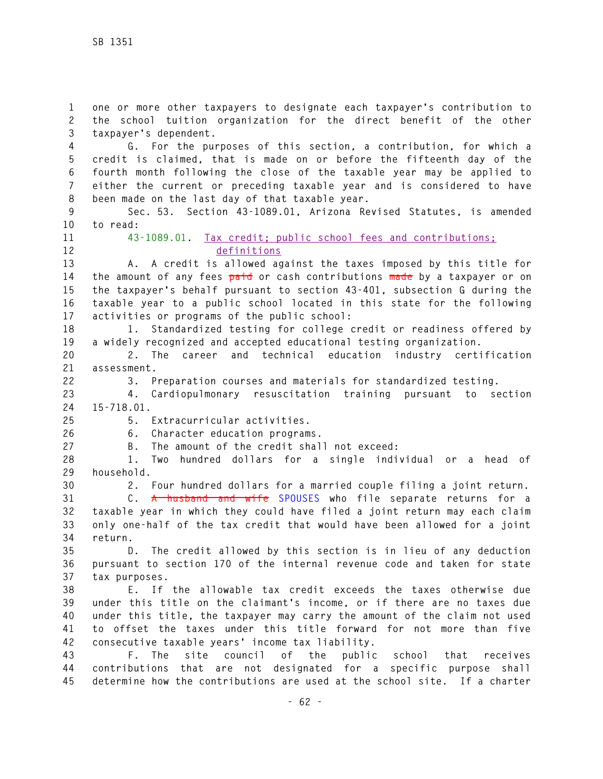**1 one or more other taxpayers to designate each taxpayer's contribution to 2 the school tuition organization for the direct benefit of the other 3 taxpayer's dependent.** 

**4 G. For the purposes of this section, a contribution, for which a 5 credit is claimed, that is made on or before the fifteenth day of the 6 fourth month following the close of the taxable year may be applied to 7 either the current or preceding taxable year and is considered to have 8 been made on the last day of that taxable year.** 

**9 Sec. 53. Section 43-1089.01, Arizona Revised Statutes, is amended 10 to read:** 

**11 43-1089.01. Tax credit; public school fees and contributions; 12 definitions**

**13 A. A credit is allowed against the taxes imposed by this title for 14 the amount of any fees paid or cash contributions made by a taxpayer or on 15 the taxpayer's behalf pursuant to section 43-401, subsection G during the 16 taxable year to a public school located in this state for the following 17 activities or programs of the public school:** 

**18 1. Standardized testing for college credit or readiness offered by 19 a widely recognized and accepted educational testing organization.** 

**20 2. The career and technical education industry certification 21 assessment.** 

**22 3. Preparation courses and materials for standardized testing.** 

**23 4. Cardiopulmonary resuscitation training pursuant to section 24 15-718.01.** 

**25 5. Extracurricular activities.** 

**26 6. Character education programs.** 

**27 B. The amount of the credit shall not exceed:** 

**28 1. Two hundred dollars for a single individual or a head of 29 household.** 

**30 2. Four hundred dollars for a married couple filing a joint return.** 

**31 C. A husband and wife SPOUSES who file separate returns for a 32 taxable year in which they could have filed a joint return may each claim 33 only one-half of the tax credit that would have been allowed for a joint 34 return.** 

**35 D. The credit allowed by this section is in lieu of any deduction 36 pursuant to section 170 of the internal revenue code and taken for state 37 tax purposes.** 

**38 E. If the allowable tax credit exceeds the taxes otherwise due 39 under this title on the claimant's income, or if there are no taxes due 40 under this title, the taxpayer may carry the amount of the claim not used 41 to offset the taxes under this title forward for not more than five 42 consecutive taxable years' income tax liability.** 

**43 F. The site council of the public school that receives 44 contributions that are not designated for a specific purpose shall 45 determine how the contributions are used at the school site. If a charter**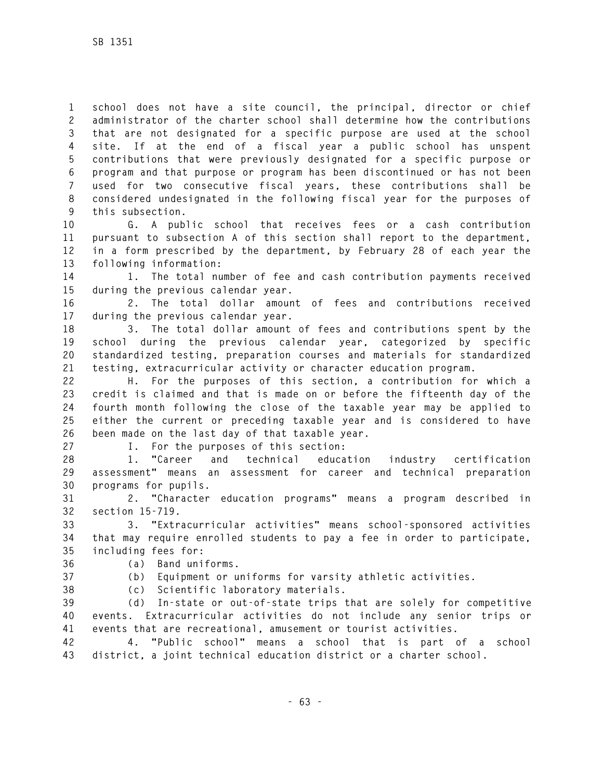**1 school does not have a site council, the principal, director or chief 2 administrator of the charter school shall determine how the contributions 3 that are not designated for a specific purpose are used at the school 4 site. If at the end of a fiscal year a public school has unspent 5 contributions that were previously designated for a specific purpose or 6 program and that purpose or program has been discontinued or has not been 7 used for two consecutive fiscal years, these contributions shall be 8 considered undesignated in the following fiscal year for the purposes of 9 this subsection.** 

**10 G. A public school that receives fees or a cash contribution 11 pursuant to subsection A of this section shall report to the department, 12 in a form prescribed by the department, by February 28 of each year the 13 following information:** 

**14 1. The total number of fee and cash contribution payments received 15 during the previous calendar year.** 

**16 2. The total dollar amount of fees and contributions received 17 during the previous calendar year.** 

**18 3. The total dollar amount of fees and contributions spent by the 19 school during the previous calendar year, categorized by specific 20 standardized testing, preparation courses and materials for standardized 21 testing, extracurricular activity or character education program.** 

**22 H. For the purposes of this section, a contribution for which a 23 credit is claimed and that is made on or before the fifteenth day of the 24 fourth month following the close of the taxable year may be applied to 25 either the current or preceding taxable year and is considered to have 26 been made on the last day of that taxable year.** 

**27 I. For the purposes of this section:** 

**28 1. "Career and technical education industry certification 29 assessment" means an assessment for career and technical preparation 30 programs for pupils.** 

**31 2. "Character education programs" means a program described in 32 section 15-719.** 

**33 3. "Extracurricular activities" means school-sponsored activities 34 that may require enrolled students to pay a fee in order to participate, 35 including fees for:** 

**36 (a) Band uniforms.** 

**37 (b) Equipment or uniforms for varsity athletic activities. 38 (c) Scientific laboratory materials.** 

**39 (d) In-state or out-of-state trips that are solely for competitive 40 events. Extracurricular activities do not include any senior trips or 41 events that are recreational, amusement or tourist activities.** 

**42 4. "Public school" means a school that is part of a school 43 district, a joint technical education district or a charter school.**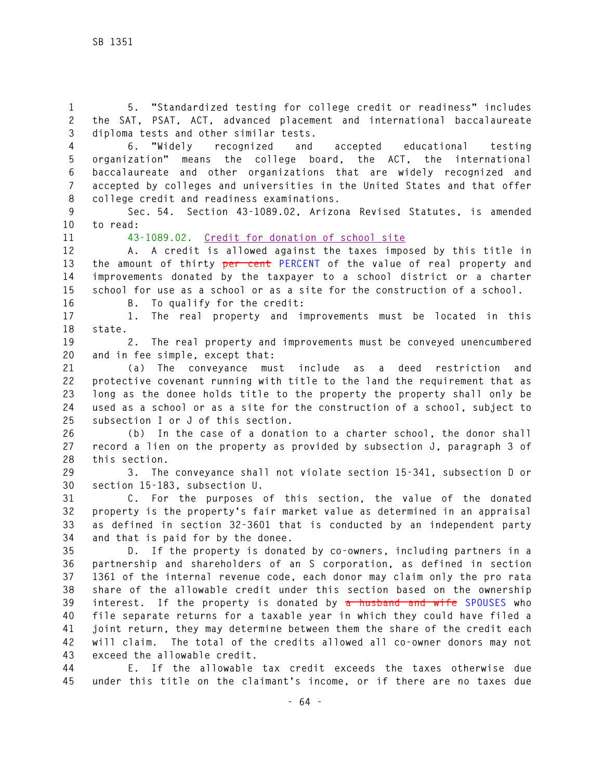**1 5. "Standardized testing for college credit or readiness" includes 2 the SAT, PSAT, ACT, advanced placement and international baccalaureate 3 diploma tests and other similar tests.** 

**4 6. "Widely recognized and accepted educational testing 5 organization" means the college board, the ACT, the international 6 baccalaureate and other organizations that are widely recognized and 7 accepted by colleges and universities in the United States and that offer 8 college credit and readiness examinations.**

**9 Sec. 54. Section 43-1089.02, Arizona Revised Statutes, is amended 10 to read:** 

**11 43-1089.02. Credit for donation of school site**

**12 A. A credit is allowed against the taxes imposed by this title in 13 the amount of thirty per cent PERCENT of the value of real property and 14 improvements donated by the taxpayer to a school district or a charter 15 school for use as a school or as a site for the construction of a school.** 

**16 B. To qualify for the credit:** 

**17 1. The real property and improvements must be located in this 18 state.** 

**19 2. The real property and improvements must be conveyed unencumbered 20 and in fee simple, except that:** 

**21 (a) The conveyance must include as a deed restriction and 22 protective covenant running with title to the land the requirement that as 23 long as the donee holds title to the property the property shall only be 24 used as a school or as a site for the construction of a school, subject to 25 subsection I or J of this section.** 

**26 (b) In the case of a donation to a charter school, the donor shall 27 record a lien on the property as provided by subsection J, paragraph 3 of 28 this section.** 

**29 3. The conveyance shall not violate section 15-341, subsection D or 30 section 15-183, subsection U.** 

**31 C. For the purposes of this section, the value of the donated 32 property is the property's fair market value as determined in an appraisal 33 as defined in section 32-3601 that is conducted by an independent party 34 and that is paid for by the donee.** 

**35 D. If the property is donated by co-owners, including partners in a 36 partnership and shareholders of an S corporation, as defined in section 37 1361 of the internal revenue code, each donor may claim only the pro rata 38 share of the allowable credit under this section based on the ownership 39 interest. If the property is donated by a husband and wife SPOUSES who 40 file separate returns for a taxable year in which they could have filed a 41 joint return, they may determine between them the share of the credit each 42 will claim. The total of the credits allowed all co-owner donors may not 43 exceed the allowable credit.** 

**44 E. If the allowable tax credit exceeds the taxes otherwise due 45 under this title on the claimant's income, or if there are no taxes due**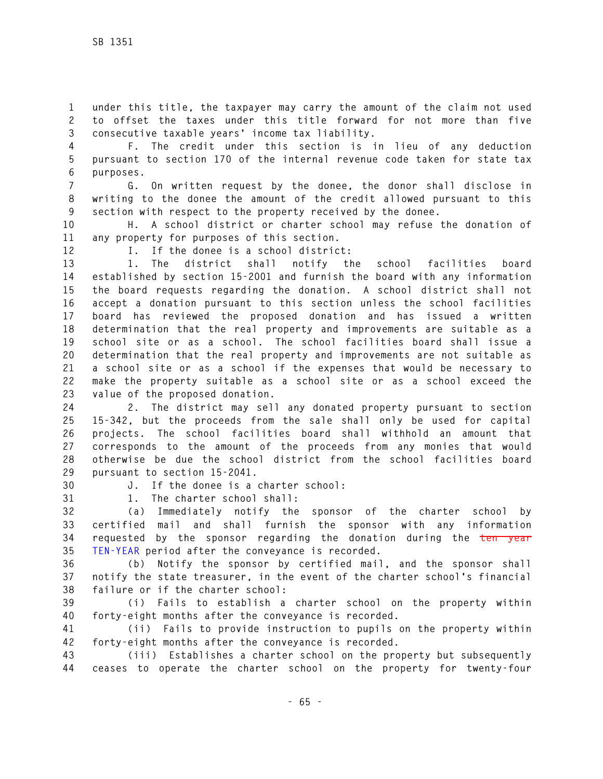**1 under this title, the taxpayer may carry the amount of the claim not used 2 to offset the taxes under this title forward for not more than five 3 consecutive taxable years' income tax liability.** 

**4 F. The credit under this section is in lieu of any deduction 5 pursuant to section 170 of the internal revenue code taken for state tax 6 purposes.** 

**7 G. On written request by the donee, the donor shall disclose in 8 writing to the donee the amount of the credit allowed pursuant to this 9 section with respect to the property received by the donee.** 

**10 H. A school district or charter school may refuse the donation of 11 any property for purposes of this section.** 

**12 I. If the donee is a school district:** 

**13 1. The district shall notify the school facilities board 14 established by section 15-2001 and furnish the board with any information 15 the board requests regarding the donation. A school district shall not 16 accept a donation pursuant to this section unless the school facilities 17 board has reviewed the proposed donation and has issued a written 18 determination that the real property and improvements are suitable as a 19 school site or as a school. The school facilities board shall issue a 20 determination that the real property and improvements are not suitable as 21 a school site or as a school if the expenses that would be necessary to 22 make the property suitable as a school site or as a school exceed the 23 value of the proposed donation.** 

**24 2. The district may sell any donated property pursuant to section 25 15-342, but the proceeds from the sale shall only be used for capital 26 projects. The school facilities board shall withhold an amount that 27 corresponds to the amount of the proceeds from any monies that would 28 otherwise be due the school district from the school facilities board 29 pursuant to section 15-2041.** 

**30 J. If the donee is a charter school:** 

**31 1. The charter school shall:** 

**32 (a) Immediately notify the sponsor of the charter school by 33 certified mail and shall furnish the sponsor with any information 34 requested by the sponsor regarding the donation during the ten year 35 TEN-YEAR period after the conveyance is recorded.** 

**36 (b) Notify the sponsor by certified mail, and the sponsor shall 37 notify the state treasurer, in the event of the charter school's financial 38 failure or if the charter school:** 

**39 (i) Fails to establish a charter school on the property within 40 forty-eight months after the conveyance is recorded.** 

**41 (ii) Fails to provide instruction to pupils on the property within 42 forty-eight months after the conveyance is recorded.** 

**43 (iii) Establishes a charter school on the property but subsequently 44 ceases to operate the charter school on the property for twenty-four**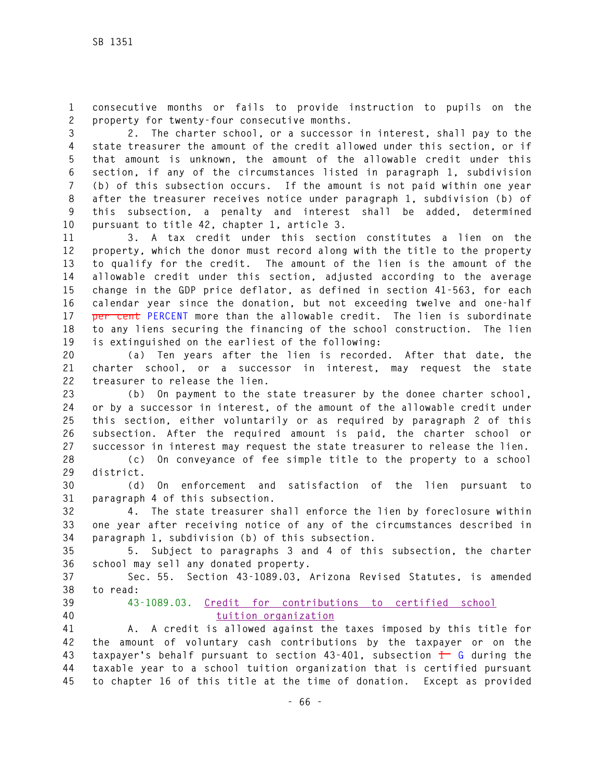**1 consecutive months or fails to provide instruction to pupils on the 2 property for twenty-four consecutive months.** 

**3 2. The charter school, or a successor in interest, shall pay to the 4 state treasurer the amount of the credit allowed under this section, or if 5 that amount is unknown, the amount of the allowable credit under this 6 section, if any of the circumstances listed in paragraph 1, subdivision 7 (b) of this subsection occurs. If the amount is not paid within one year 8 after the treasurer receives notice under paragraph 1, subdivision (b) of 9 this subsection, a penalty and interest shall be added, determined 10 pursuant to title 42, chapter 1, article 3.** 

**11 3. A tax credit under this section constitutes a lien on the 12 property, which the donor must record along with the title to the property 13 to qualify for the credit. The amount of the lien is the amount of the 14 allowable credit under this section, adjusted according to the average 15 change in the GDP price deflator, as defined in section 41-563, for each 16 calendar year since the donation, but not exceeding twelve and one-half 17 per cent PERCENT more than the allowable credit. The lien is subordinate 18 to any liens securing the financing of the school construction. The lien 19 is extinguished on the earliest of the following:** 

**20 (a) Ten years after the lien is recorded. After that date, the 21 charter school, or a successor in interest, may request the state 22 treasurer to release the lien.** 

**23 (b) On payment to the state treasurer by the donee charter school, 24 or by a successor in interest, of the amount of the allowable credit under 25 this section, either voluntarily or as required by paragraph 2 of this 26 subsection. After the required amount is paid, the charter school or 27 successor in interest may request the state treasurer to release the lien.** 

**28 (c) On conveyance of fee simple title to the property to a school 29 district.** 

**30 (d) On enforcement and satisfaction of the lien pursuant to 31 paragraph 4 of this subsection.** 

**32 4. The state treasurer shall enforce the lien by foreclosure within 33 one year after receiving notice of any of the circumstances described in 34 paragraph 1, subdivision (b) of this subsection.** 

**35 5. Subject to paragraphs 3 and 4 of this subsection, the charter 36 school may sell any donated property.** 

**37 Sec. 55. Section 43-1089.03, Arizona Revised Statutes, is amended 38 to read:** 

- 
- 

## **39 43-1089.03. Credit for contributions to certified school 40 tuition organization**

**41 A. A credit is allowed against the taxes imposed by this title for 42 the amount of voluntary cash contributions by the taxpayer or on the**  43 taxpayer's behalf pursuant to section 43-401, subsection  $\pm$  G during the **44 taxable year to a school tuition organization that is certified pursuant 45 to chapter 16 of this title at the time of donation. Except as provided**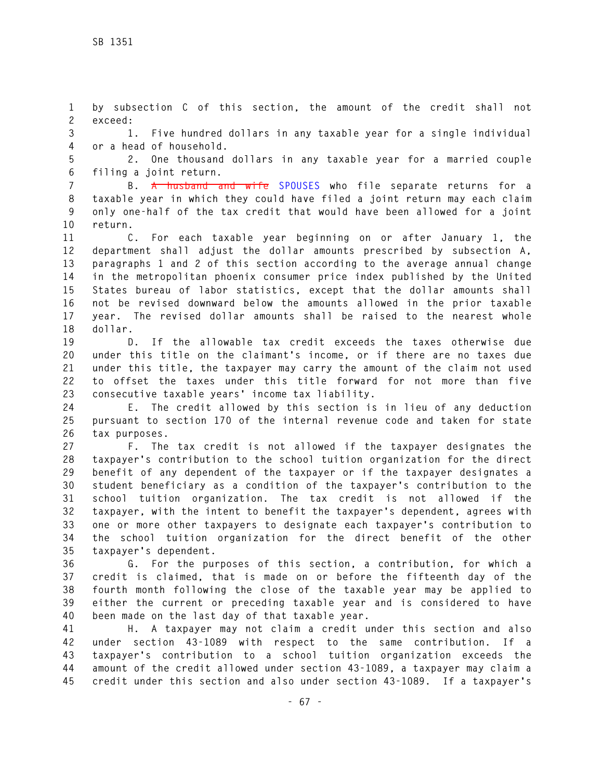**1 by subsection C of this section, the amount of the credit shall not 2 exceed:** 

**3 1. Five hundred dollars in any taxable year for a single individual 4 or a head of household.** 

**5 2. One thousand dollars in any taxable year for a married couple 6 filing a joint return.** 

**7 B. A husband and wife SPOUSES who file separate returns for a 8 taxable year in which they could have filed a joint return may each claim 9 only one-half of the tax credit that would have been allowed for a joint 10 return.** 

**11 C. For each taxable year beginning on or after January 1, the 12 department shall adjust the dollar amounts prescribed by subsection A, 13 paragraphs 1 and 2 of this section according to the average annual change 14 in the metropolitan phoenix consumer price index published by the United 15 States bureau of labor statistics, except that the dollar amounts shall 16 not be revised downward below the amounts allowed in the prior taxable 17 year. The revised dollar amounts shall be raised to the nearest whole 18 dollar.** 

**19 D. If the allowable tax credit exceeds the taxes otherwise due 20 under this title on the claimant's income, or if there are no taxes due 21 under this title, the taxpayer may carry the amount of the claim not used 22 to offset the taxes under this title forward for not more than five 23 consecutive taxable years' income tax liability.** 

**24 E. The credit allowed by this section is in lieu of any deduction 25 pursuant to section 170 of the internal revenue code and taken for state 26 tax purposes.** 

**27 F. The tax credit is not allowed if the taxpayer designates the 28 taxpayer's contribution to the school tuition organization for the direct 29 benefit of any dependent of the taxpayer or if the taxpayer designates a 30 student beneficiary as a condition of the taxpayer's contribution to the 31 school tuition organization. The tax credit is not allowed if the 32 taxpayer, with the intent to benefit the taxpayer's dependent, agrees with 33 one or more other taxpayers to designate each taxpayer's contribution to 34 the school tuition organization for the direct benefit of the other 35 taxpayer's dependent.** 

**36 G. For the purposes of this section, a contribution, for which a 37 credit is claimed, that is made on or before the fifteenth day of the 38 fourth month following the close of the taxable year may be applied to 39 either the current or preceding taxable year and is considered to have 40 been made on the last day of that taxable year.** 

**41 H. A taxpayer may not claim a credit under this section and also 42 under section 43-1089 with respect to the same contribution. If a 43 taxpayer's contribution to a school tuition organization exceeds the 44 amount of the credit allowed under section 43-1089, a taxpayer may claim a 45 credit under this section and also under section 43-1089. If a taxpayer's**